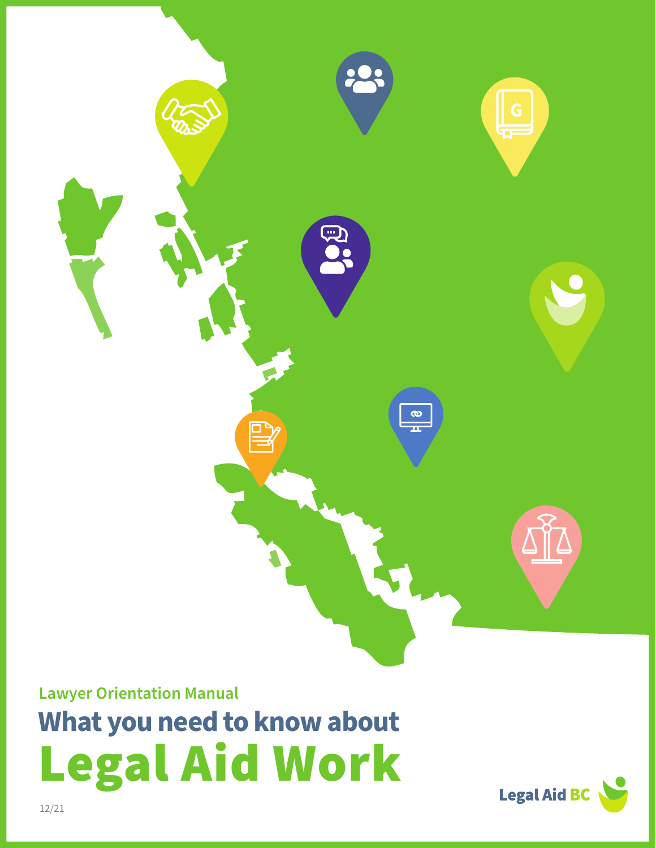

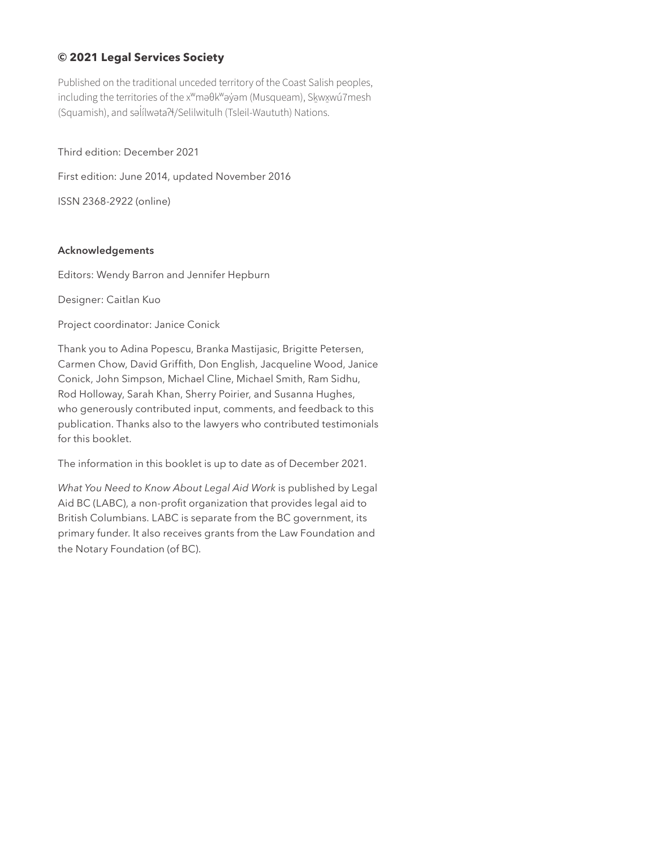#### **© 2021 Legal Services Society**

Published on the traditional unceded territory of the Coast Salish peoples, including the territories of the x<sup>w</sup>maθk<sup>w</sup>ay̓ am (Musqueam), Skwxwú7mesh (Squamish), and səl̓ ílwətaʔɬ/Selilwitulh (Tsleil-Waututh) Nations.

Third edition: December 2021

First edition: June 2014, updated November 2016

ISSN 2368-2922 (online)

#### **Acknowledgements**

Editors: Wendy Barron and Jennifer Hepburn

Designer: Caitlan Kuo

Project coordinator: Janice Conick

Thank you to Adina Popescu, Branka Mastijasic, Brigitte Petersen, Carmen Chow, David Griffith, Don English, Jacqueline Wood, Janice Conick, John Simpson, Michael Cline, Michael Smith, Ram Sidhu, Rod Holloway, Sarah Khan, Sherry Poirier, and Susanna Hughes, who generously contributed input, comments, and feedback to this publication. Thanks also to the lawyers who contributed testimonials for this booklet.

The information in this booklet is up to date as of December 2021.

*What You Need to Know About Legal Aid Work* is published by Legal Aid BC (LABC), a non-profit organization that provides legal aid to British Columbians. LABC is separate from the BC government, its primary funder. It also receives grants from the Law Foundation and the Notary Foundation (of BC).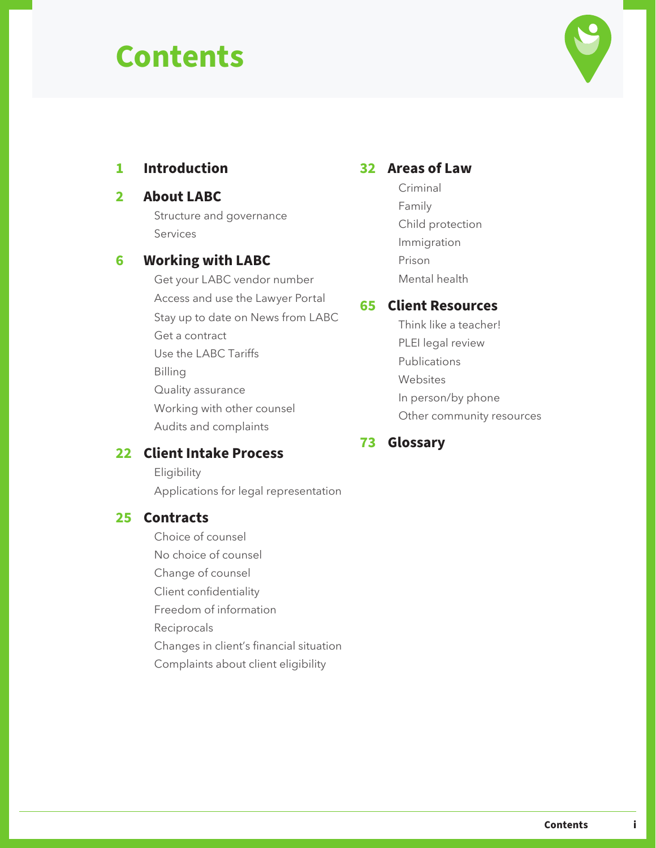## **Contents**



### **1 [Introduction](#page-3-0)**

#### **2 [About LA](#page-4-0)BC**

[Structure and governance](#page-4-0) [Services](#page-5-0)

### **6 [Working with](#page-8-0) LABC**

[Get your LABC vendor number](#page-8-0) [Access and use](#page-9-0) the Lawyer Portal [Stay up to date on News from LABC](#page-11-0) [Get a contract](#page-11-0) [Use the LABC Tariffs](#page-13-0) [Bill](#page-15-0)ing [Quality a](#page-20-0)ssurance [Working with other counsel](#page-22-0) [Audits and complaints](#page-23-0)

### **22 [Client Intake Process](#page-24-0)**

[Eligibility](#page-24-0) [Applications for legal representation](#page-26-0)

#### **25 [Contracts](#page-27-0)**

[Choice of counsel](#page-27-0)

[No choice of counsel](#page-28-0)

[Change of counsel](#page-28-0)

[Client confidentiality](#page-29-0)

[Freedom of information](#page-29-0)

[Reciprocals](#page-29-0)

- [Changes in client's financial situation](#page-31-0)
- [Complaints about client eligibility](#page-33-0)

### **32 [Areas of Law](#page-34-0)**

[Criminal](#page-35-0) [Family](#page-47-0) [Child protection](#page-55-0) [Immigration](#page-59-0) [Prison](#page-63-0) [Mental health](#page-65-0)

#### **65 [Client Resources](#page-67-0)**

[Think like a teacher!](#page-67-0) [PLEI legal review](#page-67-0) [Publications](#page-67-0) [Websites](#page-68-0) [In person](#page-70-0)/by phone [Other community resources](#page-73-0)

### **73 [Glossar](#page-75-0)y**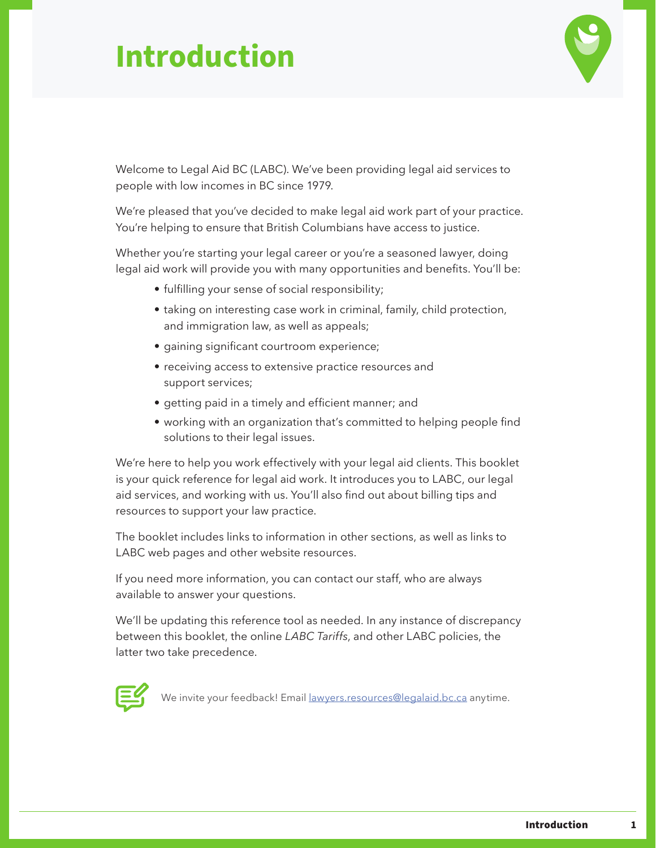## <span id="page-3-0"></span>**Introduction**



Welcome to Legal Aid BC (LABC). We've been providing legal aid services to people with low incomes in BC since 1979.

We're pleased that you've decided to make legal aid work part of your practice. You're helping to ensure that British Columbians have access to justice.

Whether you're starting your legal career or you're a seasoned lawyer, doing legal aid work will provide you with many opportunities and benefits. You'll be:

- fulfilling your sense of social responsibility;
- taking on interesting case work in criminal, family, child protection, and immigration law, as well as appeals;
- gaining significant courtroom experience;
- receiving access to extensive practice resources and support services;
- getting paid in a timely and efficient manner; and
- working with an organization that's committed to helping people find solutions to their legal issues.

We're here to help you work effectively with your legal aid clients. This booklet is your quick reference for legal aid work. It introduces you to LABC, our legal aid services, and working with us. You'll also find out about billing tips and resources to support your law practice.

The booklet includes links to information in other sections, as well as links to LABC web pages and other website resources.

If you need more information, you can contact our staff, who are always available to answer your questions.

We'll be updating this reference tool as needed. In any instance of discrepancy between this booklet, the online *LABC Tariffs*, and other LABC policies, the latter two take precedence.



We invite your feedback! Email [lawyers.resources@legalaid.bc.ca](mailto:lawyers.resources%40legalaid.bc.ca?subject=) anytime.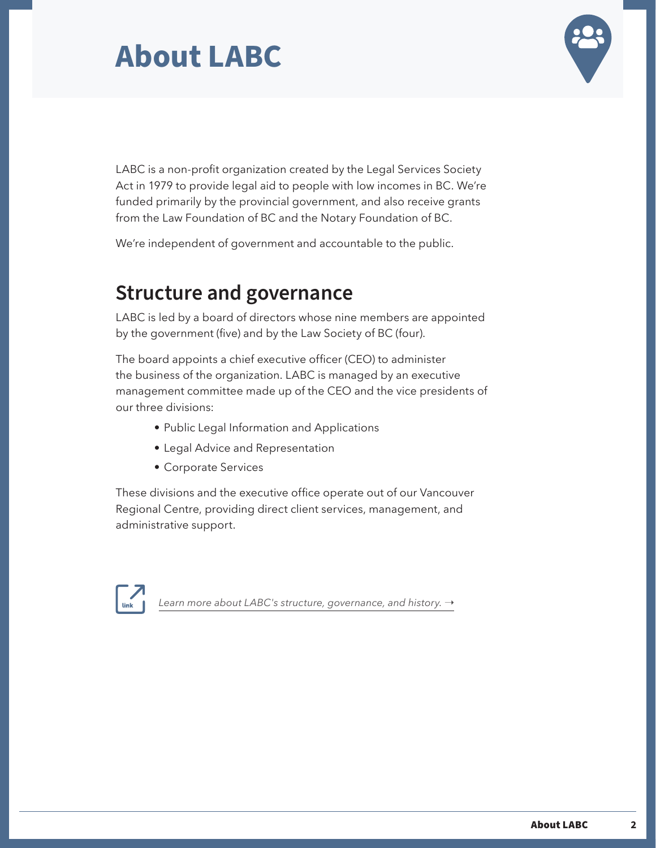

<span id="page-4-0"></span>LABC is a non-profit organization created by the Legal Services Society Act in 1979 to provide legal aid to people with low incomes in BC. We're funded primarily by the provincial government, and also receive grants from the Law Foundation of BC and the Notary Foundation of BC.

We're independent of government and accountable to the public.

### **Structure and governance**

LABC is led by a board of directors whose nine members are appointed by the government (five) and by the Law Society of BC (four).

The board appoints a chief executive officer (CEO) to administer the business of the organization. LABC is managed by an executive management committee made up of the CEO and the vice presidents of our three divisions:

- Public Legal Information and Applications
- Legal Advice and Representation
- Corporate Services

These divisions and the executive office operate out of our Vancouver Regional Centre, providing direct client services, management, and administrative support.



*[Learn more about LABC's structure, governance, and history.](https://legalaid.bc.ca/about) →*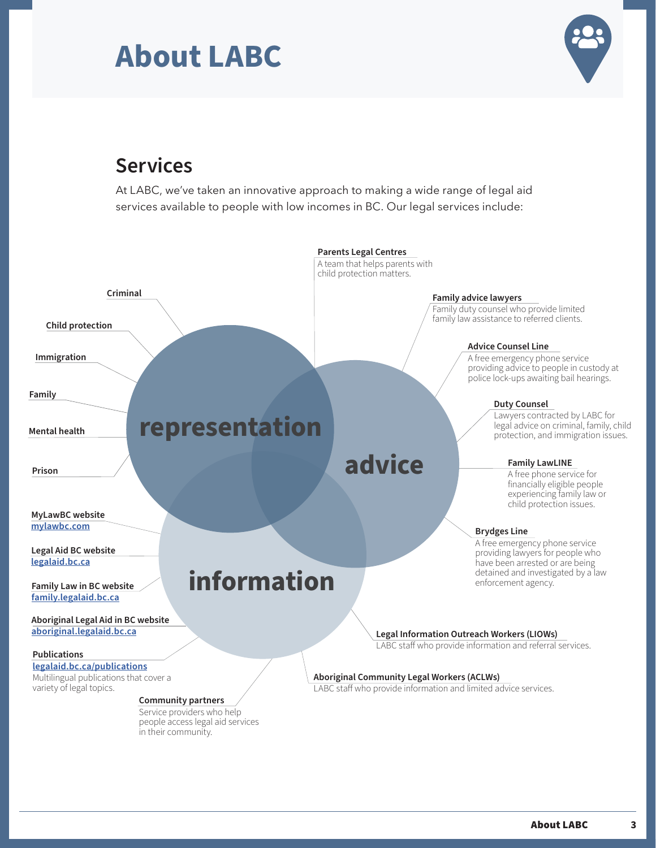

### <span id="page-5-0"></span>**Services**

At LABC, we've taken an innovative approach to making a wide range of legal aid services available to people with low incomes in BC. Our legal services include:

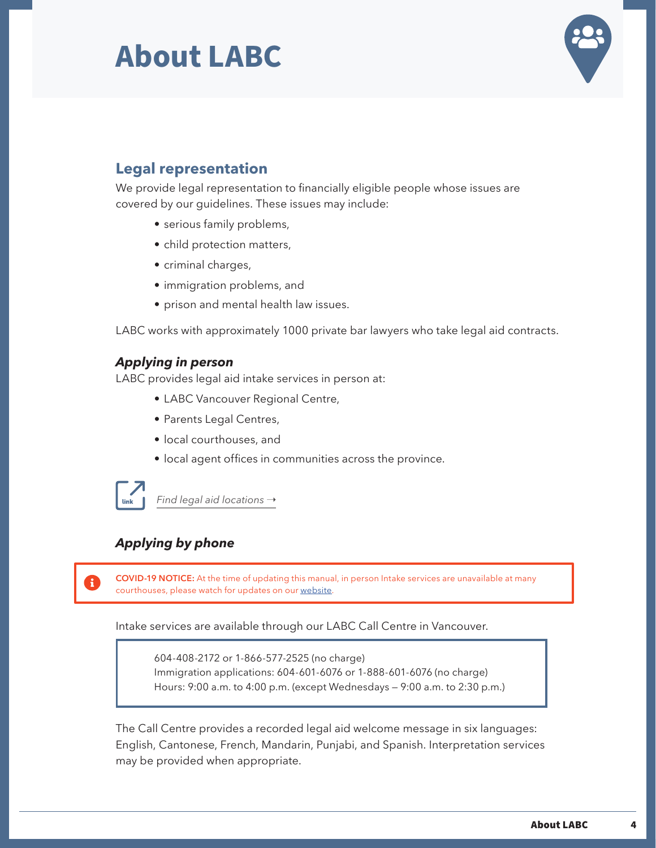

### **Legal representation**

We provide legal representation to financially eligible people whose issues are covered by our guidelines. These issues may include:

- serious family problems,
- child protection matters,
- criminal charges,
- immigration problems, and
- prison and mental health law issues.

LABC works with approximately 1000 private bar lawyers who take legal aid contracts.

### *Applying in person*

LABC provides legal aid intake services in person at:

- LABC Vancouver Regional Centre,
- Parents Legal Centres,
- local courthouses, and
- local agent offices in communities across the province.



*[Find legal aid locations](https://legalaid.bc.ca/legal_aid/legalAidLocations)* →

### *Applying by phone*

**COVID-19 NOTICE:** At the time of updating this manual, in person Intake services are unavailable at many courthouses, please watch for updates on our [website.](https://legalaid.bc.ca/legal_aid/legalAidLocations#legalAidOffices)

Intake services are available through our LABC Call Centre in Vancouver.

604-408-2172 or 1-866-577-2525 (no charge) Immigration applications: 604-601-6076 or 1-888-601-6076 (no charge) Hours: 9:00 a.m. to 4:00 p.m. (except Wednesdays — 9:00 a.m. to 2:30 p.m.)

The Call Centre provides a recorded legal aid welcome message in six languages: English, Cantonese, French, Mandarin, Punjabi, and Spanish. Interpretation services may be provided when appropriate.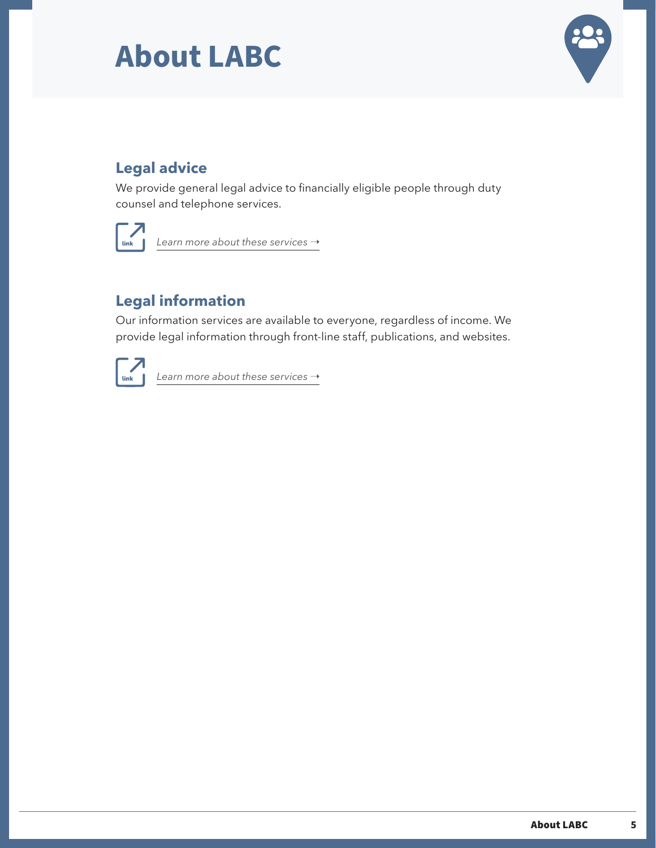

### **Legal advice**

We provide general legal advice to financially eligible people through duty counsel and telephone services.



*[Learn more about these services](https://legalaid.bc.ca/legal_aid/legalAdvice) →* 

### **Legal information**

Our information services are available to everyone, regardless of income. We provide legal information through front-line staff, publications, and websites.



[Learn more about these services](https://legalaid.bc.ca/legal_aid/legalInformation)  $\rightarrow$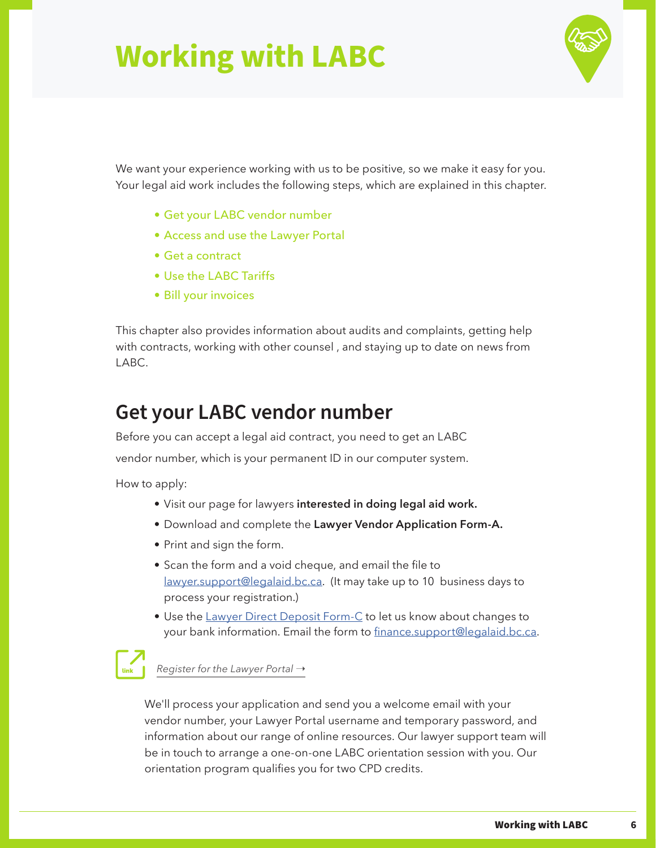

<span id="page-8-0"></span>We want your experience working with us to be positive, so we make it easy for you. Your legal aid work includes the following steps, which are explained in this chapter.

- Get your LABC vendor number
- Access and use the Lawyer Portal
- Get a contract
- Use the LABC Tariffs
- Bill your invoices

This chapter also provides information about audits and complaints, getting help with contracts, working with other counsel , and staying up to date on news from LABC.

### **Get your LABC vendor number**

Before you can accept a legal aid contract, you need to get an LABC vendor number, which is your permanent ID in our computer system.

How to apply:

- Visit our page for lawyers **[interested in doing legal aid work.](https://legalaid.bc.ca/lawyers/newLawyers)**
- Download and complete the **[Lawyer Vendor Application Form-A.](https://legalaid.bc.ca/sites/default/files/inline-files/lawyerVendorApplicationFormA.pdf)**
- Print and sign the form.
- Scan the form and a void cheque, and email the file to [lawyer.support@legalaid.bc.ca.](mailto:lawyer.support%40legalaid.bc.ca?subject=) (It may take up to 10 business days to process your registration.)
- Use the [Lawyer Direct Deposit Form-C](mailto:https://legalaid.bc.ca/sites/default/files/inline-files/Lawyer-Direct-Deposit-FormC.pdf?subject=) to let us know about changes to your bank information. Email the form to [finance.support@legalaid.bc.ca](mailto:finance.support%40legalaid.bc.ca?subject=).

*[Register for the Lawyer Portal](https://legalaid.bc.ca/lawyers/lawyerPortal) →* 

We'll process your application and send you a welcome email with your vendor number, your Lawyer Portal username and temporary password, and information about our range of online resources. Our lawyer support team will be in touch to arrange a one-on-one LABC orientation session with you. Our orientation program qualifies you for two CPD credits.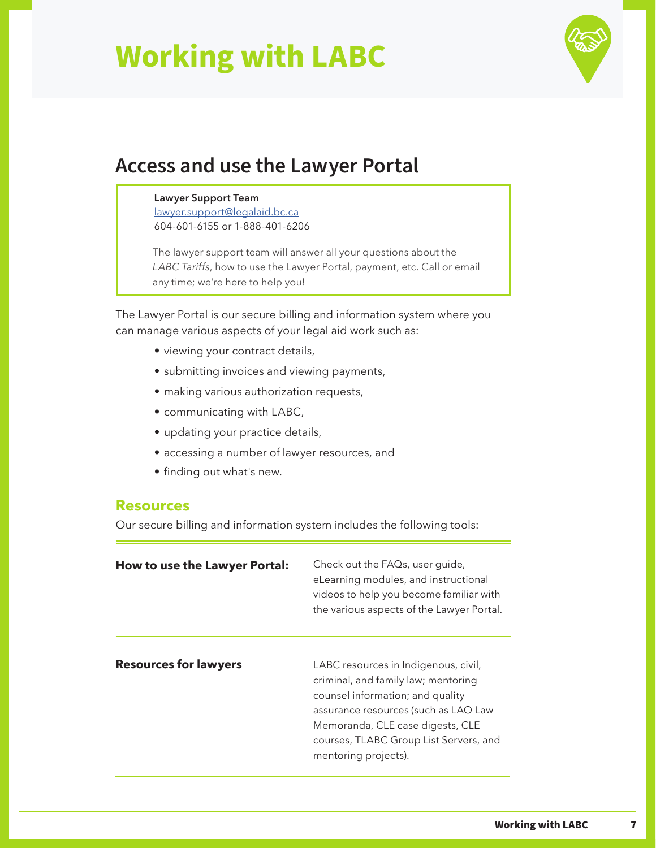

### <span id="page-9-0"></span>**Access and use the Lawyer Portal**

#### **Lawyer Support Team**

[lawyer.support@legalaid.bc.ca](mailto:lawyer.support%40legalaid.bc.ca?subject=) 604-601-6155 or 1-888-401-6206

The lawyer support team will answer all your questions about the *LABC Tariffs*, how to use the Lawyer Portal, payment, etc. Call or email any time; we're here to help you!

The Lawyer Portal is our secure billing and information system where you can manage various aspects of your legal aid work such as:

- viewing your contract details,
- submitting invoices and viewing payments,
- making various authorization requests,
- communicating with LABC,
- updating your practice details,
- accessing a number of lawyer resources, and
- finding out what's new.

#### **Resources**

Our secure billing and information system includes the following tools:

| How to use the Lawyer Portal: | Check out the FAQs, user guide,<br>eLearning modules, and instructional<br>videos to help you become familiar with<br>the various aspects of the Lawyer Portal.                                                                                               |
|-------------------------------|---------------------------------------------------------------------------------------------------------------------------------------------------------------------------------------------------------------------------------------------------------------|
| <b>Resources for lawyers</b>  | LABC resources in Indigenous, civil,<br>criminal, and family law; mentoring<br>counsel information; and quality<br>assurance resources (such as LAO Law<br>Memoranda, CLE case digests, CLE<br>courses, TLABC Group List Servers, and<br>mentoring projects). |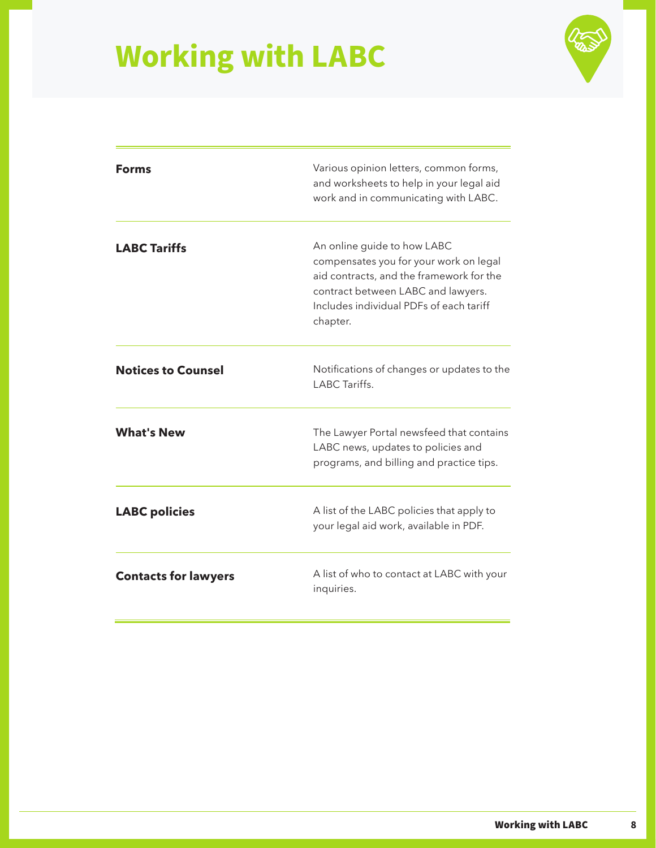

| Forms                       | Various opinion letters, common forms,<br>and worksheets to help in your legal aid<br>work and in communicating with LABC.                                                                                     |
|-----------------------------|----------------------------------------------------------------------------------------------------------------------------------------------------------------------------------------------------------------|
| <b>LABC Tariffs</b>         | An online guide to how LABC<br>compensates you for your work on legal<br>aid contracts, and the framework for the<br>contract between LABC and lawyers.<br>Includes individual PDFs of each tariff<br>chapter. |
| <b>Notices to Counsel</b>   | Notifications of changes or updates to the<br>LABC Tariffs.                                                                                                                                                    |
| <b>What's New</b>           | The Lawyer Portal newsfeed that contains<br>LABC news, updates to policies and<br>programs, and billing and practice tips.                                                                                     |
| <b>LABC</b> policies        | A list of the LABC policies that apply to<br>your legal aid work, available in PDF.                                                                                                                            |
| <b>Contacts for lawyers</b> | A list of who to contact at LABC with your<br>inquiries.                                                                                                                                                       |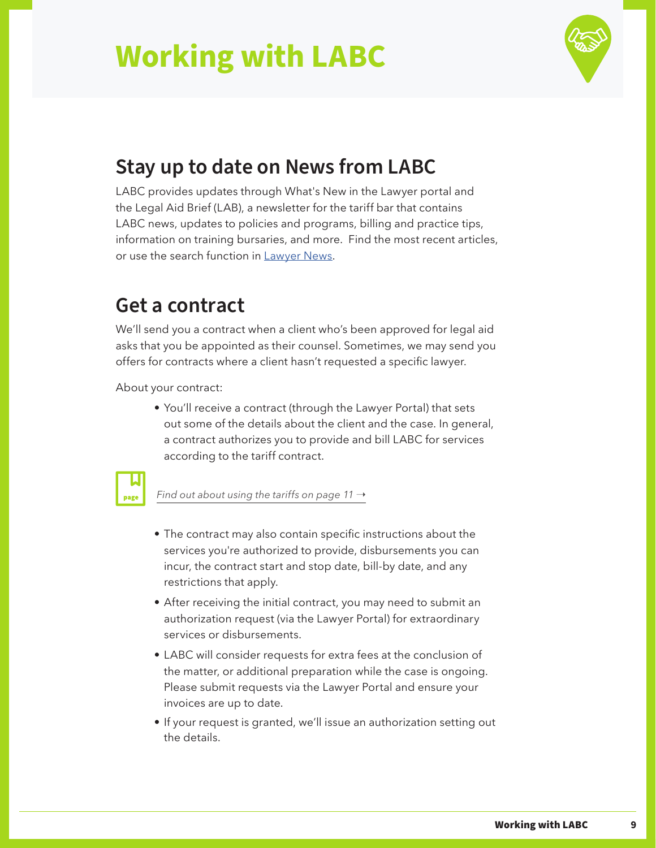

### <span id="page-11-0"></span>**Stay up to date on News from LABC**

LABC provides updates through What's New in the Lawyer portal and the Legal Aid Brief (LAB), a newsletter for the tariff bar that contains LABC news, updates to policies and programs, billing and practice tips, information on training bursaries, and more. Find the most recent articles, or use the search function in [Lawyer News](https://legalaid.bc.ca/lawyers/news).

### **Get a contract**

We'll send you a contract when a client who's been approved for legal aid asks that you be appointed as their counsel. Sometimes, we may send you offers for contracts where a client hasn't requested a specific lawyer.

About your contract:

• You'll receive a contract (through the Lawyer Portal) that sets out some of the details about the client and the case. In general, a contract authorizes you to provide and bill LABC for services according to the tariff contract.



*[Find out about using the tariffs on page 11](#page-13-0) →* 

- The contract may also contain specific instructions about the services you're authorized to provide, disbursements you can incur, the contract start and stop date, bill-by date, and any restrictions that apply.
- After receiving the initial contract, you may need to submit an authorization request (via the Lawyer Portal) for extraordinary services or disbursements.
- LABC will consider requests for extra fees at the conclusion of the matter, or additional preparation while the case is ongoing. Please submit requests via the Lawyer Portal and ensure your invoices are up to date.
- If your request is granted, we'll issue an authorization setting out the details.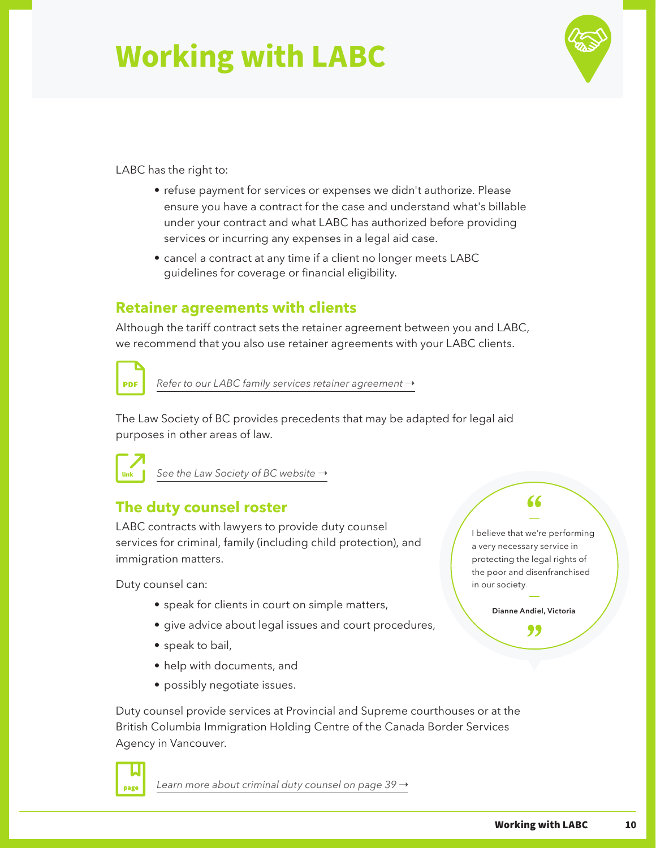### LABC has the right to:

- refuse payment for services or expenses we didn't authorize. Please ensure you have a contract for the case and understand what's billable under your contract and what LABC has authorized before providing services or incurring any expenses in a legal aid case.
- cancel a contract at any time if a client no longer meets LABC guidelines for coverage or financial eligibility.

### **Retainer agreements with clients**

Although the tariff contract sets the retainer agreement between you and LABC, we recommend that you also use retainer agreements with your LABC clients.



*[Refer to our LABC family services retainer agreement](https://legalaid.bc.ca/sites/default/files/inline-files/lssFamilyServicesRetainerAgreement.pdf)*  $\rightarrow$ 

The Law Society of BC provides precedents that may be adapted for legal aid purposes in other areas of law.



page

[See the Law Society of BC website](https://www.lawsociety.bc.ca/)  $\rightarrow$ 

### **The duty counsel roster**

LABC contracts with lawyers to provide duty counsel services for criminal, family (including child protection), and immigration matters.

Duty counsel can:

- speak for clients in court on simple matters,
- give advice about legal issues and court procedures,
- speak to bail,
- help with documents, and
- possibly negotiate issues.

Duty counsel provide services at Provincial and Supreme courthouses or at the British Columbia Immigration Holding Centre of the Canada Border Services Agency in Vancouver.

[Learn more about criminal duty counsel on page 39](#page-41-0) →

### 66

I believe that we're performing a very necessary service in protecting the legal rights of the poor and disenfranchised in our society.

> **Dianne Andiel, Victoria**"

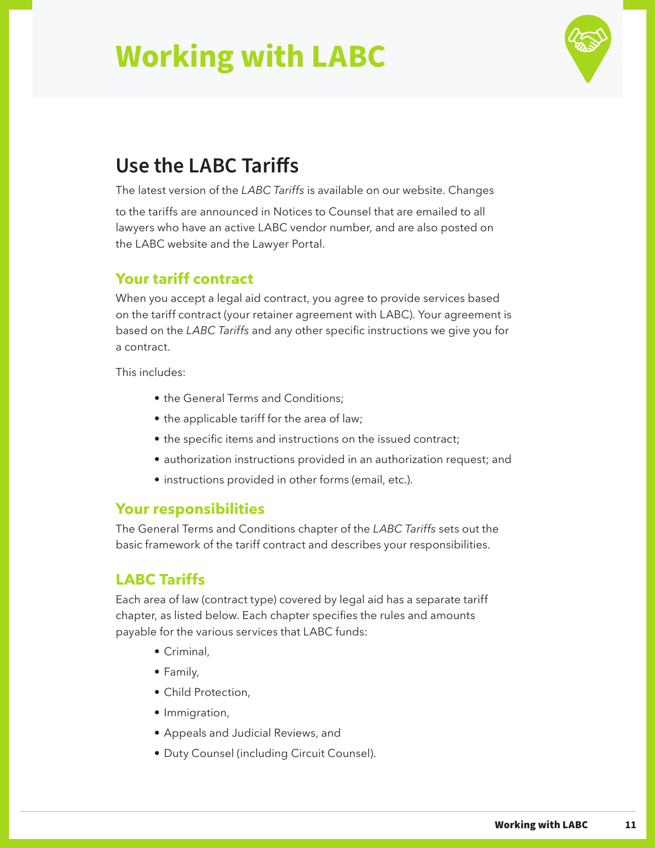

### <span id="page-13-0"></span>**Use the LABC Tariffs**

The latest version of the *LABC Tariffs* is available on our website. Changes

to the tariffs are announced in Notices to Counsel that are emailed to all lawyers who have an active LABC vendor number, and are also posted on the LABC website and the Lawyer Portal.

### **Your tariff contract**

When you accept a legal aid contract, you agree to provide services based on the tariff contract (your retainer agreement with LABC). Your agreement is based on the *LABC Tariffs* and any other specific instructions we give you for a contract.

This includes:

- the General Terms and Conditions;
- the applicable tariff for the area of law;
- the specific items and instructions on the issued contract;
- authorization instructions provided in an authorization request; and
- instructions provided in other forms (email, etc.).

### **Your responsibilities**

The General Terms and Conditions chapter of the *LABC Tariffs* sets out the basic framework of the tariff contract and describes your responsibilities.

### **LABC Tariffs**

Each area of law (contract type) covered by legal aid has a separate tariff chapter, as listed below. Each chapter specifies the rules and amounts payable for the various services that LABC funds:

- Criminal,
- Family,
- Child Protection,
- Immigration,
- Appeals and Judicial Reviews, and
- Duty Counsel (including Circuit Counsel).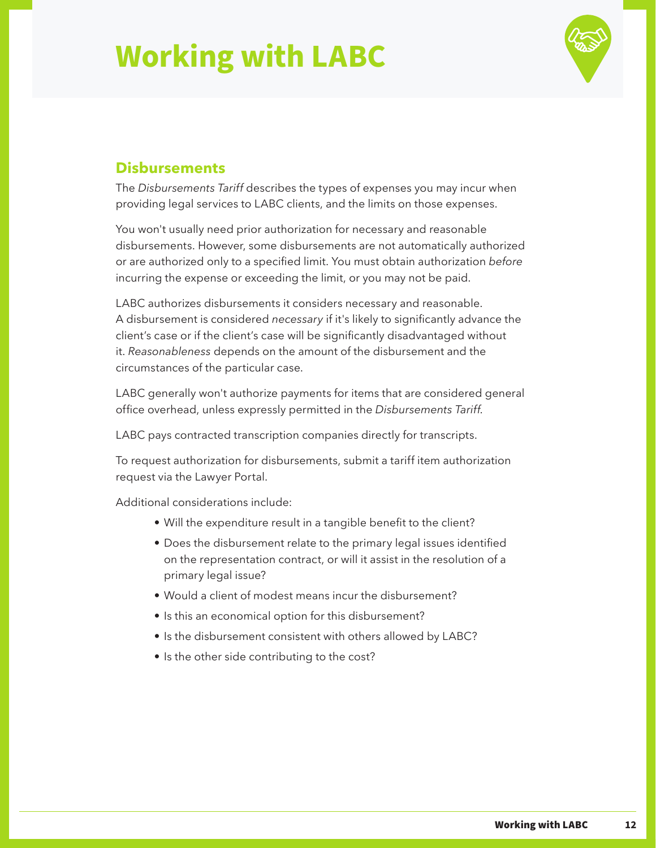

### **Disbursements**

The *Disbursements Tariff* describes the types of expenses you may incur when providing legal services to LABC clients, and the limits on those expenses.

You won't usually need prior authorization for necessary and reasonable disbursements. However, some disbursements are not automatically authorized or are authorized only to a specified limit. You must obtain authorization *before* incurring the expense or exceeding the limit, or you may not be paid.

LABC authorizes disbursements it considers necessary and reasonable. A disbursement is considered *necessary* if it's likely to significantly advance the client's case or if the client's case will be significantly disadvantaged without it. *Reasonableness* depends on the amount of the disbursement and the circumstances of the particular case.

LABC generally won't authorize payments for items that are considered general office overhead, unless expressly permitted in the *Disbursements Tariff.*

LABC pays contracted transcription companies directly for transcripts.

To request authorization for disbursements, submit a tariff item authorization request via the Lawyer Portal.

Additional considerations include:

- Will the expenditure result in a tangible benefit to the client?
- Does the disbursement relate to the primary legal issues identified on the representation contract, or will it assist in the resolution of a primary legal issue?
- Would a client of modest means incur the disbursement?
- Is this an economical option for this disbursement?
- Is the disbursement consistent with others allowed by LABC?
- Is the other side contributing to the cost?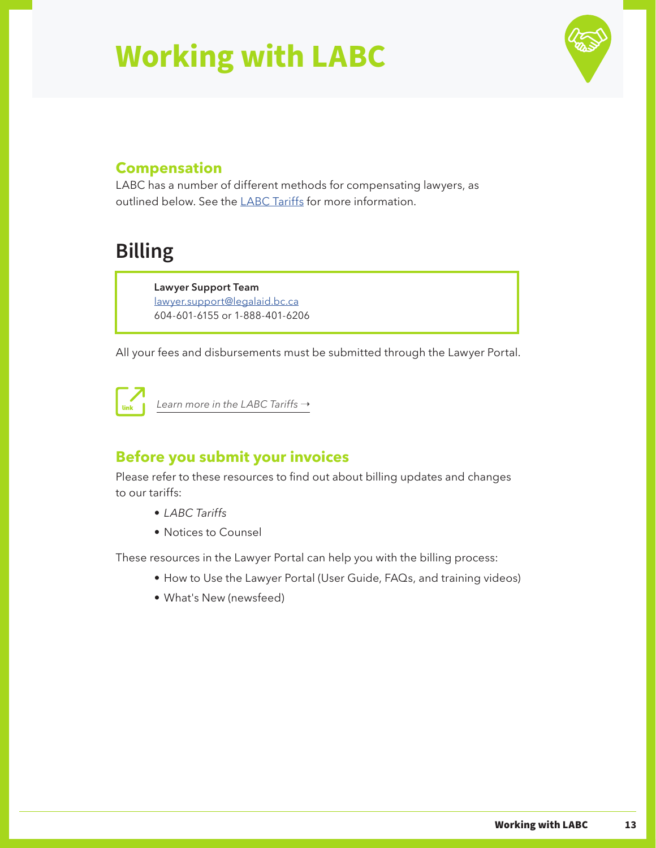

### <span id="page-15-0"></span>**Compensation**

LABC has a number of different methods for compensating lawyers, as outlined below. See the [LABC Tariffs](https://legalaid.bc.ca/lawyers/tariffGuide) for more information.

### **Billing**

**Lawyer Support Team** [lawyer.support@legalaid.bc.ca](mailto:lawyer.support%40legalaid.bc.ca?subject=) 604-601-6155 or 1-888-401-6206

All your fees and disbursements must be submitted through the Lawyer Portal.



*[Learn more in the LABC Tariffs](https://legalaid.bc.ca/lawyers/tariffGuide) →* 

### **Before you submit your invoices**

Please refer to these resources to find out about billing updates and changes to our tariffs:

- *• LABC Tariffs*
- Notices to Counsel

These resources in the Lawyer Portal can help you with the billing process:

- How to Use the Lawyer Portal (User Guide, FAQs, and training videos)
- What's New (newsfeed)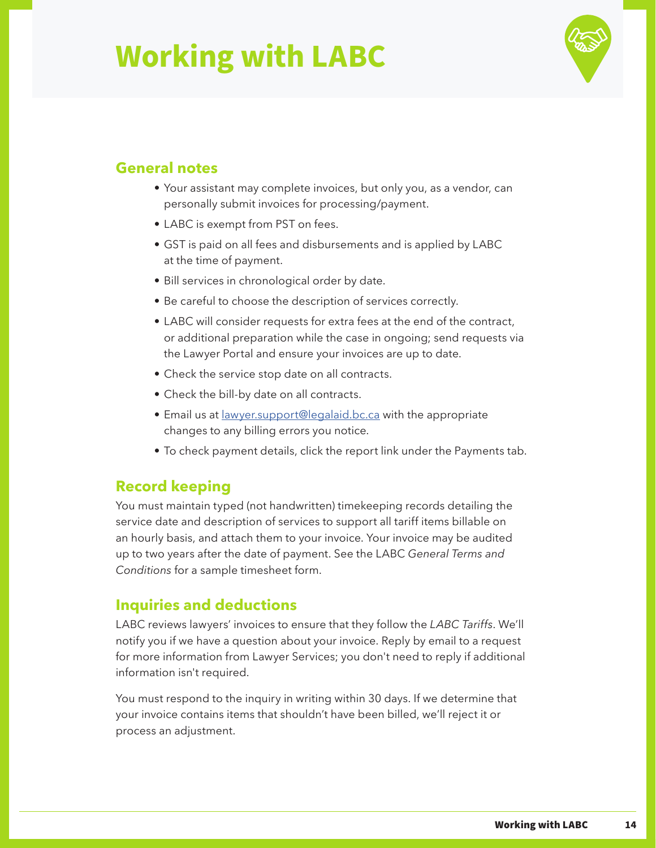

### **General notes**

- Your assistant may complete invoices, but only you, as a vendor, can personally submit invoices for processing/payment.
- LABC is exempt from PST on fees.
- GST is paid on all fees and disbursements and is applied by LABC at the time of payment.
- Bill services in chronological order by date.
- Be careful to choose the description of services correctly.
- LABC will consider requests for extra fees at the end of the contract, or additional preparation while the case in ongoing; send requests via the Lawyer Portal and ensure your invoices are up to date.
- Check the service stop date on all contracts.
- Check the bill-by date on all contracts.
- Email us at [lawyer.support@legalaid.bc.ca](mailto:lawyer.support%40legalaid.bc.ca?subject=) with the appropriate changes to any billing errors you notice.
- To check payment details, click the report link under the Payments tab.

### **Record keeping**

You must maintain typed (not handwritten) timekeeping records detailing the service date and description of services to support all tariff items billable on an hourly basis, and attach them to your invoice. Your invoice may be audited up to two years after the date of payment. See the LABC *General Terms and Conditions* for a sample timesheet form.

### **Inquiries and deductions**

LABC reviews lawyers' invoices to ensure that they follow the *LABC Tariffs*. We'll notify you if we have a question about your invoice. Reply by email to a request for more information from Lawyer Services; you don't need to reply if additional information isn't required.

You must respond to the inquiry in writing within 30 days. If we determine that your invoice contains items that shouldn't have been billed, we'll reject it or process an adjustment.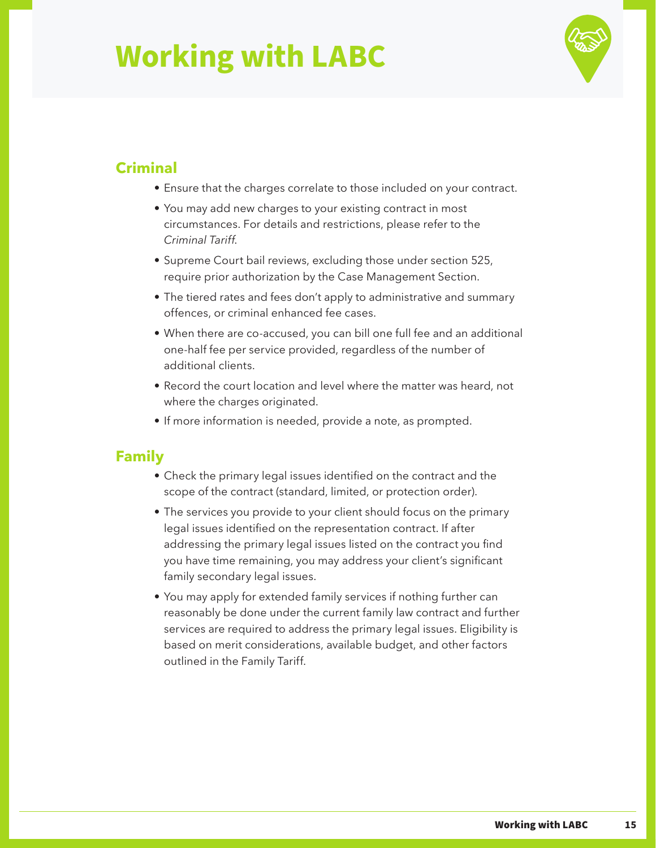

### **Criminal**

- Ensure that the charges correlate to those included on your contract.
- You may add new charges to your existing contract in most circumstances. For details and restrictions, please refer to the *Criminal Tariff*.
- Supreme Court bail reviews, excluding those under section 525, require prior authorization by the Case Management Section.
- The tiered rates and fees don't apply to administrative and summary offences, or criminal enhanced fee cases.
- When there are co-accused, you can bill one full fee and an additional one-half fee per service provided, regardless of the number of additional clients.
- Record the court location and level where the matter was heard, not where the charges originated.
- If more information is needed, provide a note, as prompted.

### **Family**

- Check the primary legal issues identified on the contract and the scope of the contract (standard, limited, or protection order).
- The services you provide to your client should focus on the primary legal issues identified on the representation contract. If after addressing the primary legal issues listed on the contract you find you have time remaining, you may address your client's significant family secondary legal issues.
- You may apply for extended family services if nothing further can reasonably be done under the current family law contract and further services are required to address the primary legal issues. Eligibility is based on merit considerations, available budget, and other factors outlined in the Family Tariff.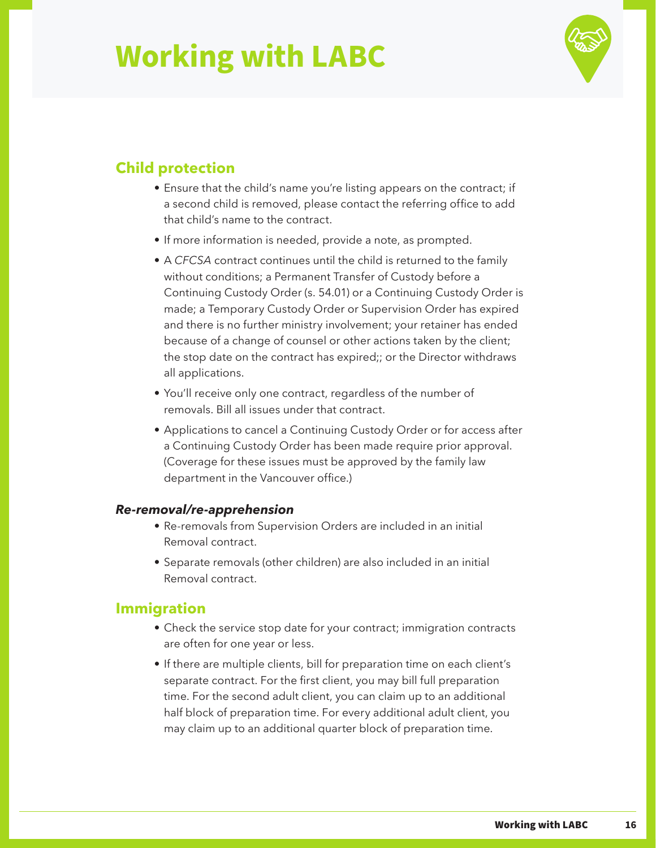

### **Child protection**

- Ensure that the child's name you're listing appears on the contract; if a second child is removed, please contact the referring office to add that child's name to the contract.
- If more information is needed, provide a note, as prompted.
- A *CFCSA* contract continues until the child is returned to the family without conditions; a Permanent Transfer of Custody before a Continuing Custody Order (s. 54.01) or a Continuing Custody Order is made; a Temporary Custody Order or Supervision Order has expired and there is no further ministry involvement; your retainer has ended because of a change of counsel or other actions taken by the client; the stop date on the contract has expired;; or the Director withdraws all applications.
- You'll receive only one contract, regardless of the number of removals. Bill all issues under that contract.
- Applications to cancel a Continuing Custody Order or for access after a Continuing Custody Order has been made require prior approval. (Coverage for these issues must be approved by the family law department in the Vancouver office.)

#### *Re-removal/re-apprehension*

- Re-removals from Supervision Orders are included in an initial Removal contract.
- Separate removals (other children) are also included in an initial Removal contract.

### **Immigration**

- Check the service stop date for your contract; immigration contracts are often for one year or less.
- If there are multiple clients, bill for preparation time on each client's separate contract. For the first client, you may bill full preparation time. For the second adult client, you can claim up to an additional half block of preparation time. For every additional adult client, you may claim up to an additional quarter block of preparation time.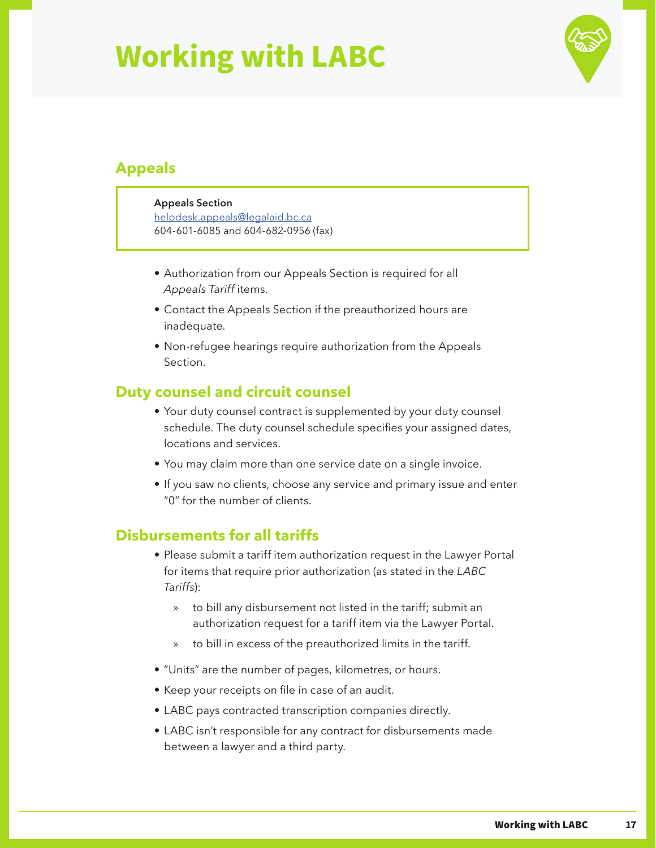

### **Appeals**

#### **Appeals Section**

[helpdesk.appeals@legalaid.bc.ca](mailto:helpdesk.appeals%40legalaid.bc.ca?subject=) 604-601-6085 and 604-682-0956 (fax)

- Authorization from our Appeals Section is required for all *Appeals Tariff* items.
- Contact the Appeals Section if the preauthorized hours are inadequate.
- Non-refugee hearings require authorization from the Appeals Section.

### **Duty counsel and circuit counsel**

- Your duty counsel contract is supplemented by your duty counsel schedule. The duty counsel schedule specifies your assigned dates, locations and services.
- You may claim more than one service date on a single invoice.
- If you saw no clients, choose any service and primary issue and enter "0" for the number of clients.

### **Disbursements for all tariffs**

- Please submit a tariff item authorization request in the Lawyer Portal for items that require prior authorization (as stated in the *LABC Tariffs*):
	- » to bill any disbursement not listed in the tariff; submit an authorization request for a tariff item via the Lawyer Portal.
	- » to bill in excess of the preauthorized limits in the tariff.
- "Units" are the number of pages, kilometres, or hours.
- Keep your receipts on file in case of an audit.
- LABC pays contracted transcription companies directly.
- LABC isn't responsible for any contract for disbursements made between a lawyer and a third party.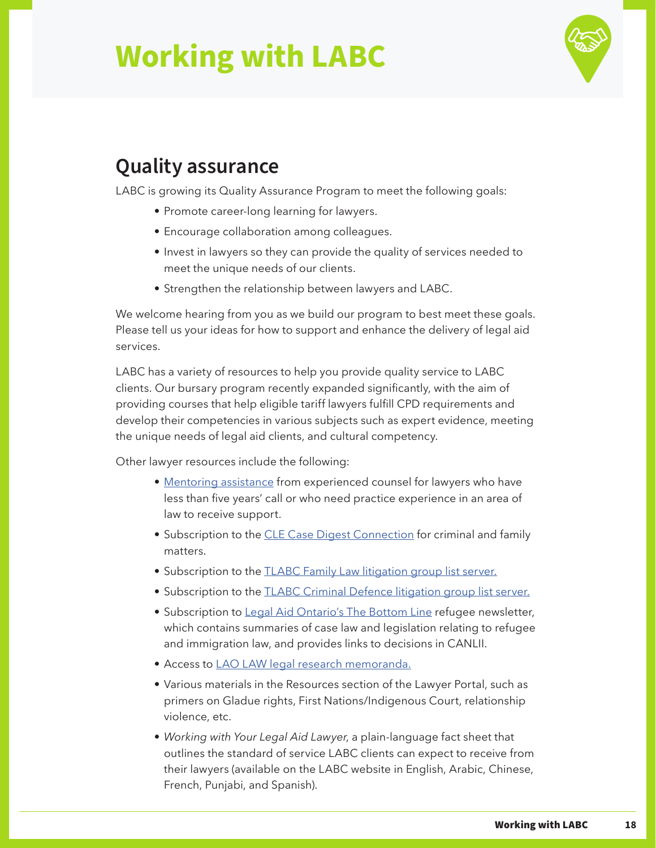

### <span id="page-20-0"></span>**Quality assurance**

LABC is growing its Quality Assurance Program to meet the following goals:

- Promote career-long learning for lawyers.
- Encourage collaboration among colleagues.
- Invest in lawyers so they can provide the quality of services needed to meet the unique needs of our clients.
- Strengthen the relationship between lawyers and LABC.

We welcome hearing from you as we build our program to best meet these goals. Please tell us your ideas for how to support and enhance the delivery of legal aid services.

LABC has a variety of resources to help you provide quality service to LABC clients. Our bursary program recently expanded significantly, with the aim of providing courses that help eligible tariff lawyers fulfill CPD requirements and develop their competencies in various subjects such as expert evidence, meeting the unique needs of legal aid clients, and cultural competency.

Other lawyer resources include the following:

- [Mentoring assistance](https://legalaid.bc.ca/lawyers/mentoringProjects) from experienced counsel for lawyers who have less than five years' call or who need practice experience in an area of law to receive support.
- Subscription to the [CLE Case Digest Connection](https://legalaid.bc.ca/lawyers/Continuinglegaleducation) for criminal and family matters.
- Subscription to the **[TLABC Family Law litigation group list server](https://legalaid.bc.ca/lawyers/FamilyLawLitigationGroup).**
- Subscription to the **[TLABC Criminal Defence litigation group list server](https://legalaid.bc.ca/lawyers/CriminalDefenceLitigationGroup).**
- Subscription to [Legal Aid Ontario's The Bottom Line](https://legalaid.bc.ca/lawyers/laoLAWBottomLine) refugee newsletter, which contains summaries of case law and legislation relating to refugee and immigration law, and provides links to decisions in CANLII.
- Access to [LAO LAW legal research memoranda](https://legalaid.bc.ca/lawyers/legalAidOntarioMemos).
- Various materials in the Resources section of the Lawyer Portal, such as primers on Gladue rights, First Nations/Indigenous Court, relationship violence, etc.
- *• Working with Your Legal Aid Lawyer*, a plain-language fact sheet that outlines the standard of service LABC clients can expect to receive from their lawyers (available on the LABC website in English, Arabic, Chinese, French, Punjabi, and Spanish).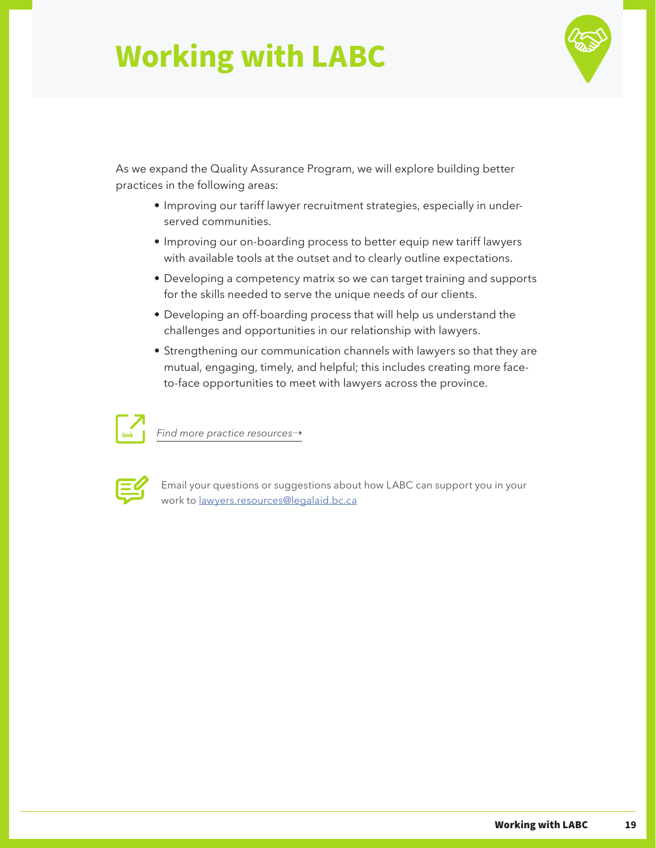

As we expand the Quality Assurance Program, we will explore building better practices in the following areas:

- Improving our tariff lawyer recruitment strategies, especially in underserved communities.
- Improving our on-boarding process to better equip new tariff lawyers with available tools at the outset and to clearly outline expectations.
- Developing a competency matrix so we can target training and supports for the skills needed to serve the unique needs of our clients.
- Developing an off-boarding process that will help us understand the challenges and opportunities in our relationship with lawyers.
- Strengthening our communication channels with lawyers so that they are mutual, engaging, timely, and helpful; this includes creating more faceto-face opportunities to meet with lawyers across the province.



*[Find more practice resources](https://legalaid.bc.ca/lawyers/practiceResources)→* 



Email your questions or suggestions about how LABC can support you in your work to [lawyers.resources@legalaid.bc.ca](mailto:lawyers.resources%40legalaid.bc.ca?subject=)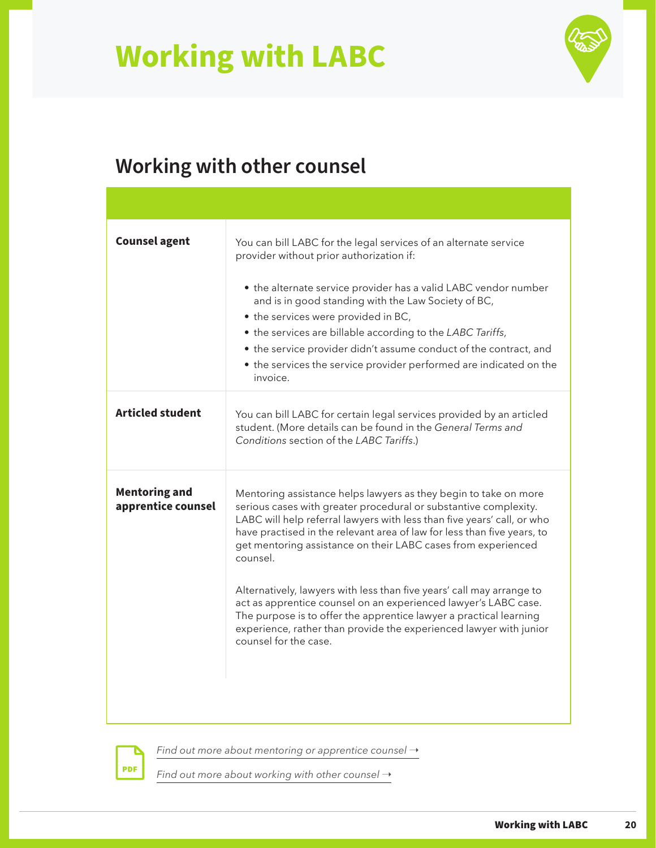

## <span id="page-22-0"></span>**Working with other counsel**

| <b>Counsel agent</b>                       | You can bill LABC for the legal services of an alternate service<br>provider without prior authorization if:<br>• the alternate service provider has a valid LABC vendor number<br>and is in good standing with the Law Society of BC,<br>• the services were provided in BC,<br>• the services are billable according to the LABC Tariffs,<br>• the service provider didn't assume conduct of the contract, and<br>• the services the service provider performed are indicated on the<br>invoice.                                                                                                                                                                                       |
|--------------------------------------------|------------------------------------------------------------------------------------------------------------------------------------------------------------------------------------------------------------------------------------------------------------------------------------------------------------------------------------------------------------------------------------------------------------------------------------------------------------------------------------------------------------------------------------------------------------------------------------------------------------------------------------------------------------------------------------------|
| <b>Articled student</b>                    | You can bill LABC for certain legal services provided by an articled<br>student. (More details can be found in the General Terms and<br>Conditions section of the LABC Tariffs.)                                                                                                                                                                                                                                                                                                                                                                                                                                                                                                         |
| <b>Mentoring and</b><br>apprentice counsel | Mentoring assistance helps lawyers as they begin to take on more<br>serious cases with greater procedural or substantive complexity.<br>LABC will help referral lawyers with less than five years' call, or who<br>have practised in the relevant area of law for less than five years, to<br>get mentoring assistance on their LABC cases from experienced<br>counsel.<br>Alternatively, lawyers with less than five years' call may arrange to<br>act as apprentice counsel on an experienced lawyer's LABC case.<br>The purpose is to offer the apprentice lawyer a practical learning<br>experience, rather than provide the experienced lawyer with junior<br>counsel for the case. |

**PDF** 

[Find out more about mentoring or apprentice counsel](https://legalaid.bc.ca/lawyers/mentoringProjects)  $\rightarrow$ 

*Find out more about working with other counsel*  $\rightarrow$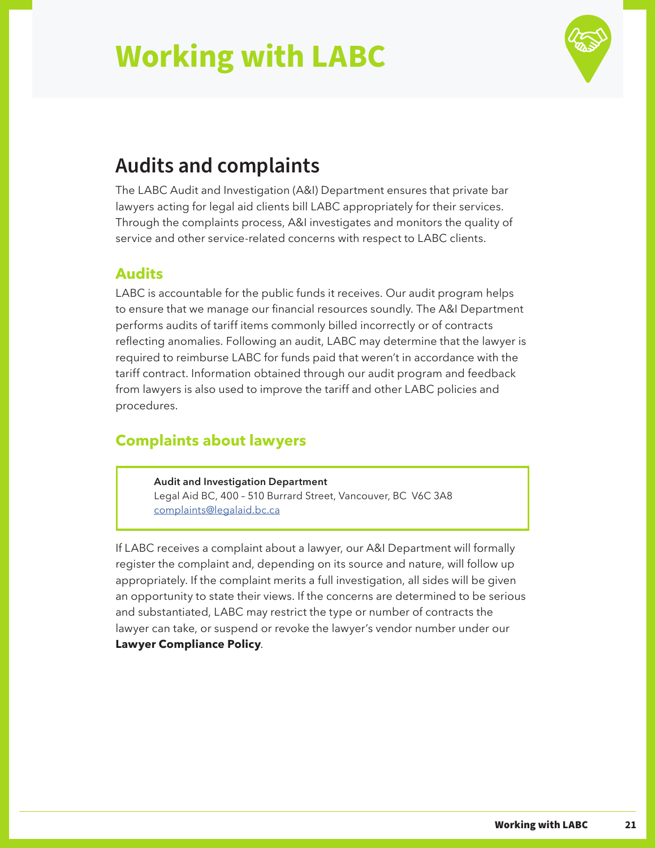

### <span id="page-23-0"></span>**Audits and complaints**

The LABC Audit and Investigation (A&I) Department ensures that private bar lawyers acting for legal aid clients bill LABC appropriately for their services. Through the complaints process, A&I investigates and monitors the quality of service and other service-related concerns with respect to LABC clients.

### **Audits**

LABC is accountable for the public funds it receives. Our audit program helps to ensure that we manage our financial resources soundly. The A&I Department performs audits of tariff items commonly billed incorrectly or of contracts reflecting anomalies. Following an audit, LABC may determine that the lawyer is required to reimburse LABC for funds paid that weren't in accordance with the tariff contract. Information obtained through our audit program and feedback from lawyers is also used to improve the tariff and other LABC policies and procedures.

### **Complaints about lawyers**

#### **Audit and Investigation Department**

Legal Aid BC, 400 – 510 Burrard Street, Vancouver, BC V6C 3A8 [complaints@legalaid.bc.ca](mailto:complaints%40legalaid.bc.ca%20?subject=)

If LABC receives a complaint about a lawyer, our A&I Department will formally register the complaint and, depending on its source and nature, will follow up appropriately. If the complaint merits a full investigation, all sides will be given an opportunity to state their views. If the concerns are determined to be serious and substantiated, LABC may restrict the type or number of contracts the lawyer can take, or suspend or revoke the lawyer's vendor number under our **[Lawyer Compliance Policy](https://courtyard.lss.bc.ca/Policies/Lawyer%20Policies/Lawyer%20Compliance%20Policy.pdf)**.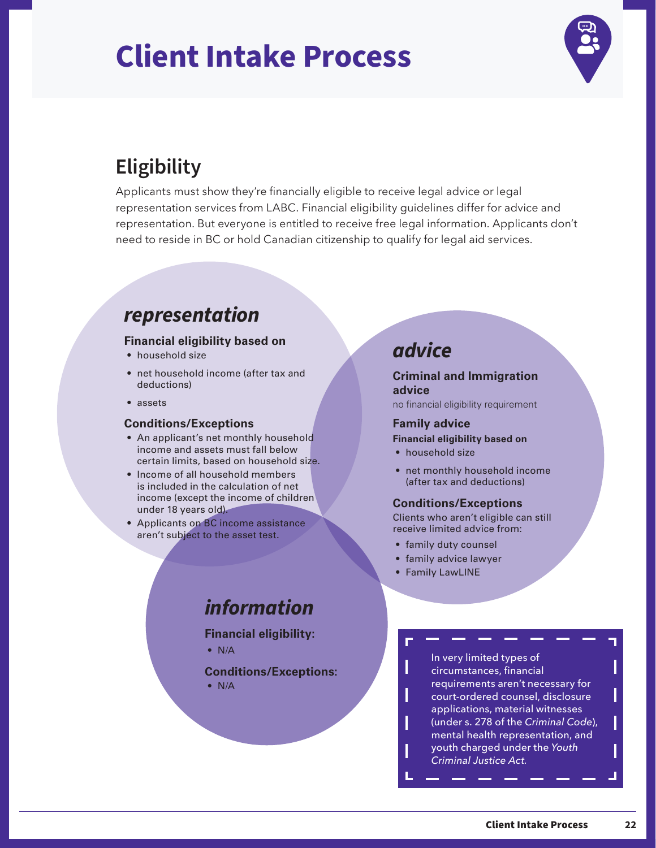## <span id="page-24-0"></span>**Client Intake Process**



## **Eligibility**

Applicants must show they're financially eligible to receive legal advice or legal representation services from LABC. Financial eligibility guidelines differ for advice and representation. But everyone is entitled to receive free legal information. Applicants don't need to reside in BC or hold Canadian citizenship to qualify for legal aid services.

### *representation*

#### **Financial eligibility based on**

- household size
- net household income (after tax and deductions)
- assets

#### **Conditions/Exceptions**

- An applicant's net monthly household income and assets must fall below certain limits, based on household size.
- Income of all household members is included in the calculation of net income (except the income of children under 18 years old).
- Applicants on BC income assistance aren't subject to the asset test.

### *advice*

#### **Criminal and Immigration advice**

no financial eligibility requirement

#### **Family advice**

#### **Financial eligibility based on**

- household size
- net monthly household income (after tax and deductions)

#### **Conditions/Exceptions**

Clients who aren't eligible can still receive limited advice from:

- family duty counsel
- family advice lawyer
- Family LawLINE

### *information*

**Financial eligibility:**

• N/A

**Conditions/Exceptions:**

• N/A

In very limited types of circumstances, financial requirements aren't necessary for court-ordered counsel, disclosure applications, material witnesses (under s. 278 of the *Criminal Code*), mental health representation, and youth charged under the *Youth Criminal Justice Act.*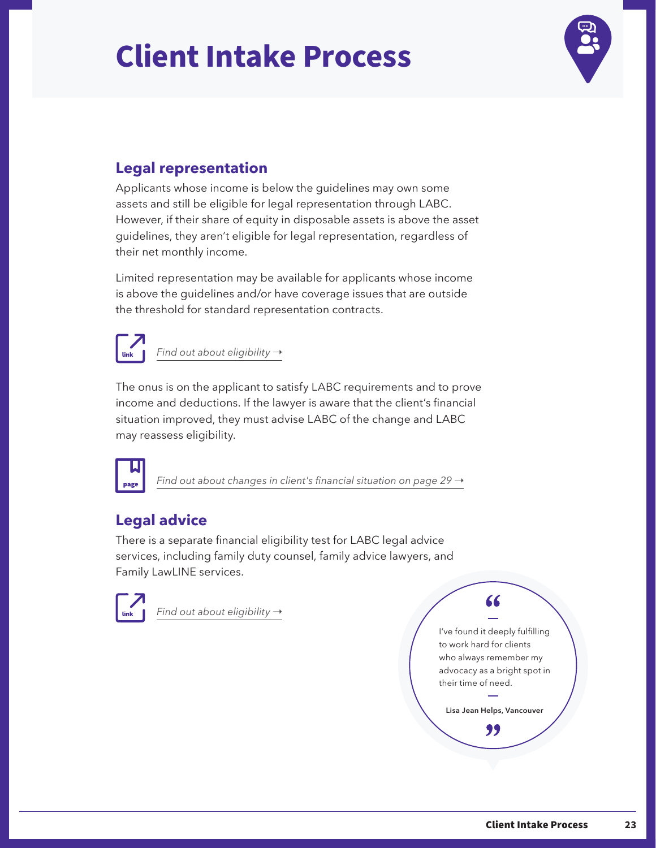# **Client Intake Process**



### **Legal representation**

Applicants whose income is below the guidelines may own some assets and still be eligible for legal representation through LABC. However, if their share of equity in disposable assets is above the asset guidelines, they aren't eligible for legal representation, regardless of their net monthly income.

Limited representation may be available for applicants whose income is above the guidelines and/or have coverage issues that are outside the threshold for standard representation contracts.



*Find out about eligibility*  $\rightarrow$ 

The onus is on the applicant to satisfy LABC requirements and to prove income and deductions. If the lawyer is aware that the client's financial situation improved, they must advise LABC of the change and LABC may reassess eligibility.



*[Find out about changes in client's financial situation on page 29](#page-31-0)* →

### **Legal advice**

There is a separate financial eligibility test for LABC legal advice services, including family duty counsel, family advice lawyers, and Family LawLINE services.



*Find out about eligibility* →

I've found it deeply fulfilling to work hard for clients who always remember my advocacy as a bright spot in their time of need.

66

**Lisa Jean Helps, Vancouver**"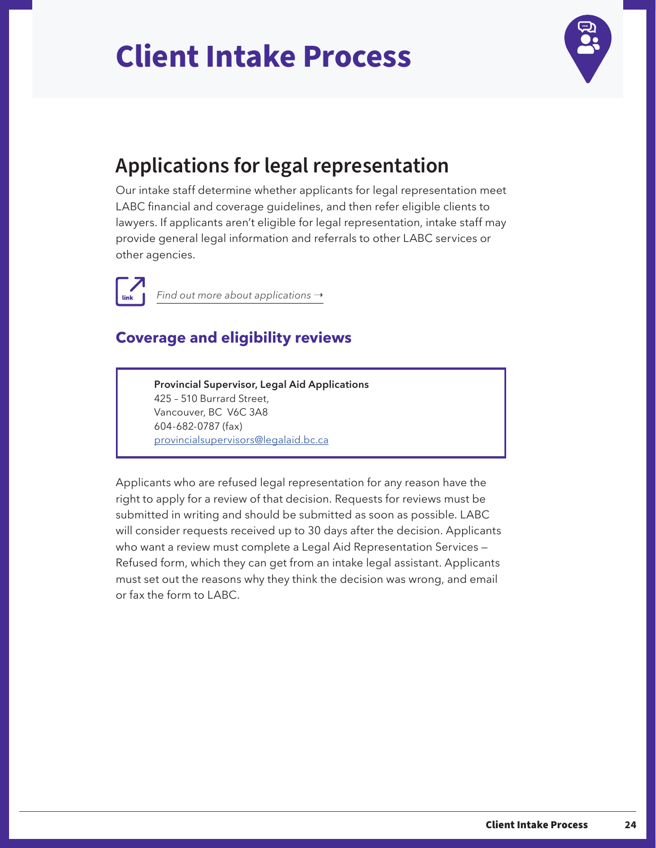# <span id="page-26-0"></span>**Client Intake Process**



### **Applications for legal representation**

Our intake staff determine whether applicants for legal representation meet LABC financial and coverage guidelines, and then refer eligible clients to lawyers. If applicants aren't eligible for legal representation, intake staff may provide general legal information and referrals to other LABC services or other agencies.



*Find out more about applications* →

### **Coverage and eligibility reviews**

**Provincial Supervisor, Legal Aid Applications** 425 – 510 Burrard Street, Vancouver, BC V6C 3A8 604-682-0787 (fax) [provincialsupervisors@legalaid.bc.ca](mailto:provincialsupervisors%40legalaid.bc.ca?subject=)

Applicants who are refused legal representation for any reason have the right to apply for a review of that decision. Requests for reviews must be submitted in writing and should be submitted as soon as possible. LABC will consider requests received up to 30 days after the decision. Applicants who want a review must complete a Legal Aid Representation Services -Refused form, which they can get from an intake legal assistant. Applicants must set out the reasons why they think the decision was wrong, and email or fax the form to LABC.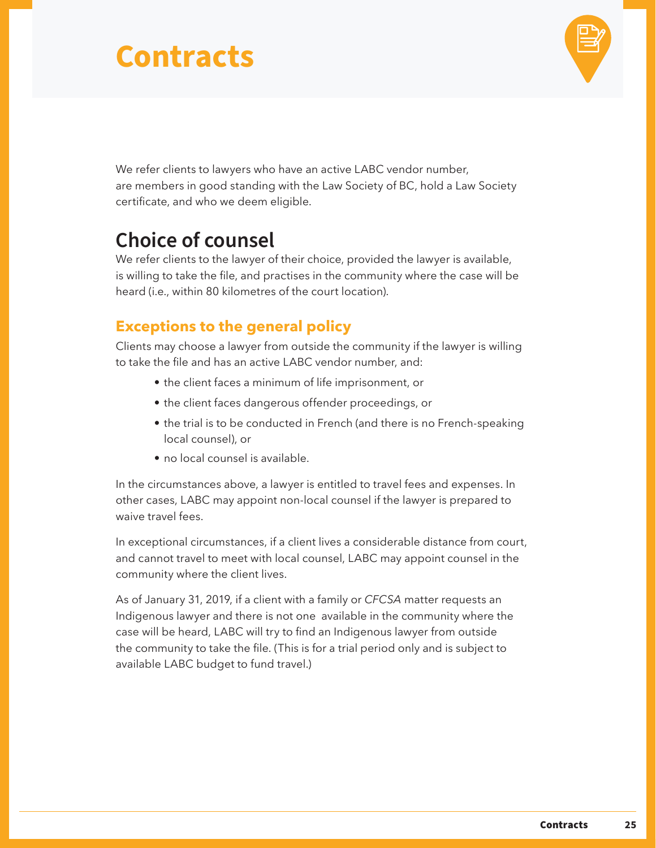

<span id="page-27-0"></span>We refer clients to lawyers who have an active LABC vendor number, are members in good standing with the Law Society of BC, hold a Law Society certificate, and who we deem eligible.

### **Choice of counsel**

We refer clients to the lawyer of their choice, provided the lawyer is available, is willing to take the file, and practises in the community where the case will be heard (i.e., within 80 kilometres of the court location).

### **Exceptions to the general policy**

Clients may choose a lawyer from outside the community if the lawyer is willing to take the file and has an active LABC vendor number, and:

- the client faces a minimum of life imprisonment, or
- the client faces dangerous offender proceedings, or
- the trial is to be conducted in French (and there is no French-speaking local counsel), or
- no local counsel is available.

In the circumstances above, a lawyer is entitled to travel fees and expenses. In other cases, LABC may appoint non-local counsel if the lawyer is prepared to waive travel fees.

In exceptional circumstances, if a client lives a considerable distance from court, and cannot travel to meet with local counsel, LABC may appoint counsel in the community where the client lives.

As of January 31, 2019, if a client with a family or *CFCSA* matter requests an Indigenous lawyer and there is not one available in the community where the case will be heard, LABC will try to find an Indigenous lawyer from outside the community to take the file. (This is for a trial period only and is subject to available LABC budget to fund travel.)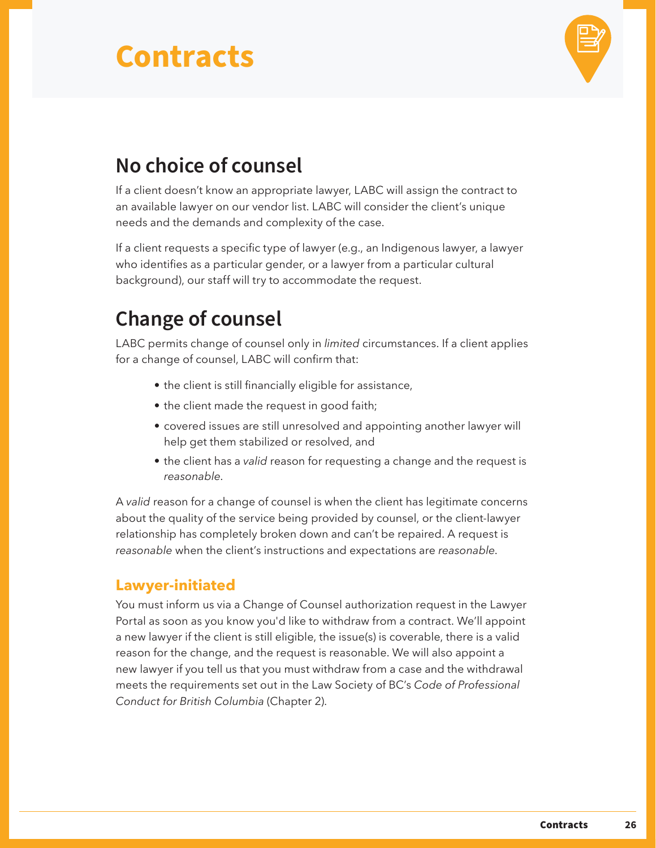

### <span id="page-28-0"></span>**No choice of counsel**

If a client doesn't know an appropriate lawyer, LABC will assign the contract to an available lawyer on our vendor list. LABC will consider the client's unique needs and the demands and complexity of the case.

If a client requests a specific type of lawyer (e.g., an Indigenous lawyer, a lawyer who identifies as a particular gender, or a lawyer from a particular cultural background), our staff will try to accommodate the request.

## **Change of counsel**

LABC permits change of counsel only in *limited* circumstances. If a client applies for a change of counsel, LABC will confirm that:

- the client is still financially eligible for assistance,
- the client made the request in good faith;
- covered issues are still unresolved and appointing another lawyer will help get them stabilized or resolved, and
- the client has a *valid* reason for requesting a change and the request is *reasonable*.

A *valid* reason for a change of counsel is when the client has legitimate concerns about the quality of the service being provided by counsel, or the client-lawyer relationship has completely broken down and can't be repaired. A request is *reasonable* when the client's instructions and expectations are *reasonable*.

### **Lawyer-initiated**

You must inform us via a Change of Counsel authorization request in the Lawyer Portal as soon as you know you'd like to withdraw from a contract. We'll appoint a new lawyer if the client is still eligible, the issue(s) is coverable, there is a valid reason for the change, and the request is reasonable. We will also appoint a new lawyer if you tell us that you must withdraw from a case and the withdrawal meets the requirements set out in the Law Society of BC's *Code of Professional Conduct for British Columbia* (Chapter 2).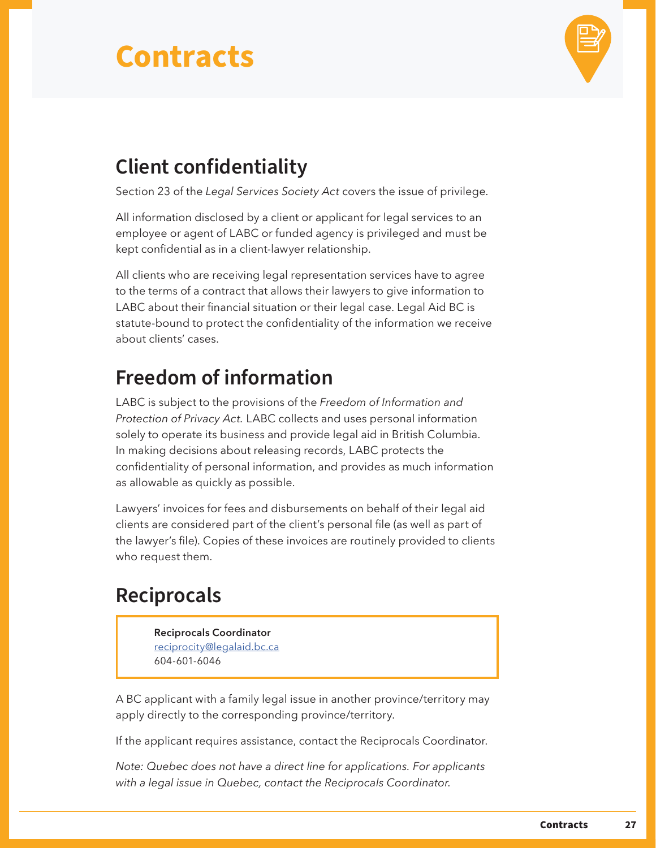

## <span id="page-29-0"></span>**Client confidentiality**

Section 23 of the *Legal Services Society Act* covers the issue of privilege.

All information disclosed by a client or applicant for legal services to an employee or agent of LABC or funded agency is privileged and must be kept confidential as in a client-lawyer relationship.

All clients who are receiving legal representation services have to agree to the terms of a contract that allows their lawyers to give information to LABC about their financial situation or their legal case. Legal Aid BC is statute-bound to protect the confidentiality of the information we receive about clients' cases.

### **Freedom of information**

LABC is subject to the provisions of the *Freedom of Information and Protection of Privacy Act.* LABC collects and uses personal information solely to operate its business and provide legal aid in British Columbia. In making decisions about releasing records, LABC protects the confidentiality of personal information, and provides as much information as allowable as quickly as possible.

Lawyers' invoices for fees and disbursements on behalf of their legal aid clients are considered part of the client's personal file (as well as part of the lawyer's file). Copies of these invoices are routinely provided to clients who request them.

### **Reciprocals**

**Reciprocals Coordinator** [reciprocity@legalaid.bc.ca](mailto:reciprocity%40legalaid.bc.ca?subject=) 604-601-6046

A BC applicant with a family legal issue in another province/territory may apply directly to the corresponding province/territory.

If the applicant requires assistance, contact the Reciprocals Coordinator.

*Note: Quebec does not have a direct line for applications. For applicants with a legal issue in Quebec, contact the Reciprocals Coordinator.*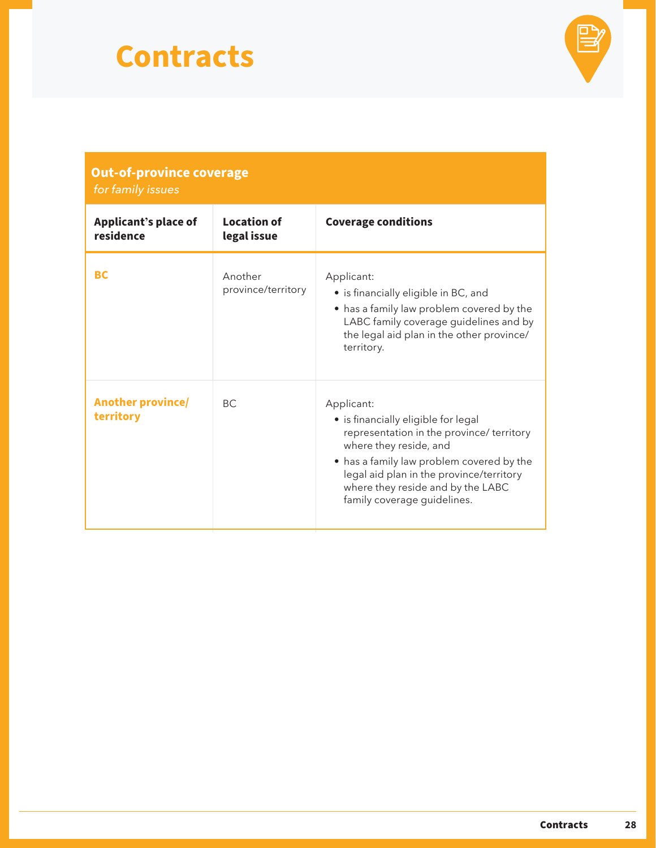

| <b>Out-of-province coverage</b><br>for family issues |                                   |                                                                                                                                                                                                                                                                                       |
|------------------------------------------------------|-----------------------------------|---------------------------------------------------------------------------------------------------------------------------------------------------------------------------------------------------------------------------------------------------------------------------------------|
| <b>Applicant's place of</b><br>residence             | <b>Location of</b><br>legal issue | <b>Coverage conditions</b>                                                                                                                                                                                                                                                            |
| <b>BC</b>                                            | Another<br>province/territory     | Applicant:<br>• is financially eligible in BC, and<br>• has a family law problem covered by the<br>LABC family coverage guidelines and by<br>the legal aid plan in the other province/<br>territory.                                                                                  |
| <b>Another province/</b><br>territory                | BC.                               | Applicant:<br>• is financially eligible for legal<br>representation in the province/ territory<br>where they reside, and<br>• has a family law problem covered by the<br>legal aid plan in the province/territory<br>where they reside and by the LABC<br>family coverage guidelines. |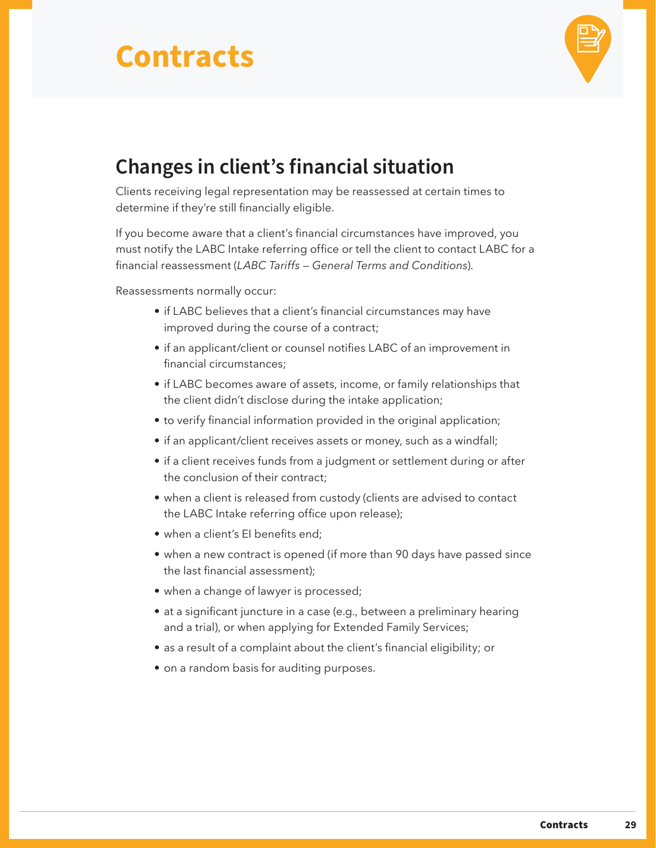

### <span id="page-31-0"></span>**Changes in client's financial situation**

Clients receiving legal representation may be reassessed at certain times to determine if they're still financially eligible.

If you become aware that a client's financial circumstances have improved, you must notify the LABC Intake referring office or tell the client to contact LABC for a financial reassessment (*LABC Tariffs — General Terms and Conditions*).

Reassessments normally occur:

- if LABC believes that a client's financial circumstances may have improved during the course of a contract;
- if an applicant/client or counsel notifies LABC of an improvement in financial circumstances;
- if LABC becomes aware of assets, income, or family relationships that the client didn't disclose during the intake application;
- to verify financial information provided in the original application;
- if an applicant/client receives assets or money, such as a windfall;
- if a client receives funds from a judgment or settlement during or after the conclusion of their contract;
- when a client is released from custody (clients are advised to contact the LABC Intake referring office upon release);
- when a client's EI benefits end;
- when a new contract is opened (if more than 90 days have passed since the last financial assessment);
- when a change of lawyer is processed;
- at a significant juncture in a case (e.g., between a preliminary hearing and a trial), or when applying for Extended Family Services;
- as a result of a complaint about the client's financial eligibility; or
- on a random basis for auditing purposes.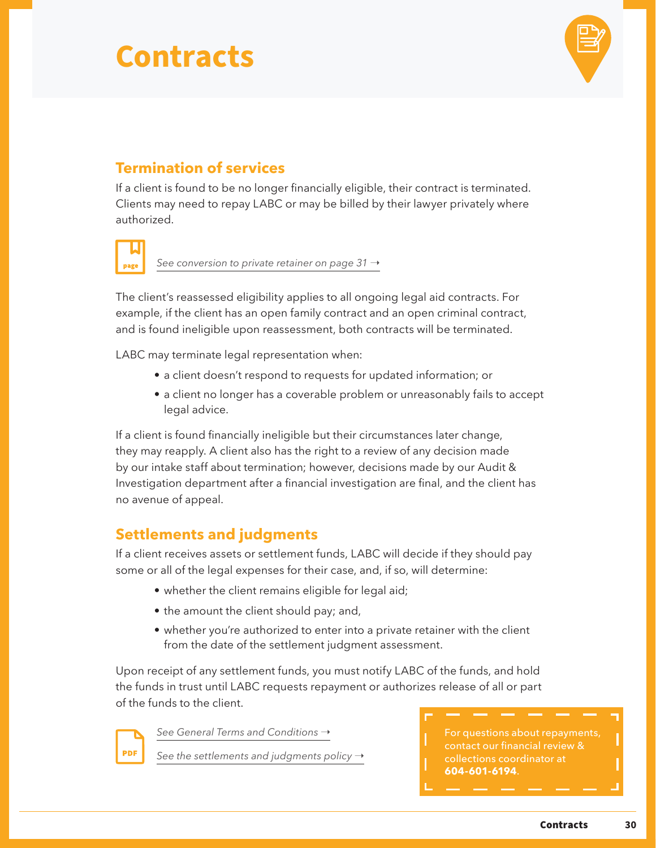

### **Termination of services**

If a client is found to be no longer financially eligible, their contract is terminated. Clients may need to repay LABC or may be billed by their lawyer privately where authorized.

[See conversion to private retainer on page 31](#page-33-0) →

The client's reassessed eligibility applies to all ongoing legal aid contracts. For example, if the client has an open family contract and an open criminal contract, and is found ineligible upon reassessment, both contracts will be terminated.

LABC may terminate legal representation when:

- a client doesn't respond to requests for updated information; or
- a client no longer has a coverable problem or unreasonably fails to accept legal advice.

If a client is found financially ineligible but their circumstances later change, they may reapply. A client also has the right to a review of any decision made by our intake staff about termination; however, decisions made by our Audit & Investigation department after a financial investigation are final, and the client has no avenue of appeal.

### **Settlements and judgments**

If a client receives assets or settlement funds, LABC will decide if they should pay some or all of the legal expenses for their case, and, if so, will determine:

- whether the client remains eligible for legal aid;
- the amount the client should pay; and,
- whether you're authorized to enter into a private retainer with the client from the date of the settlement judgment assessment.

Upon receipt of any settlement funds, you must notify LABC of the funds, and hold the funds in trust until LABC requests repayment or authorizes release of all or part of the funds to the client.



*See General Terms and Conditions* →

[See the settlements and judgments policy](https://legalaid.bc.ca/sites/default/files/inline-files/settlementsAndJudgementsPolicy.pdf) →

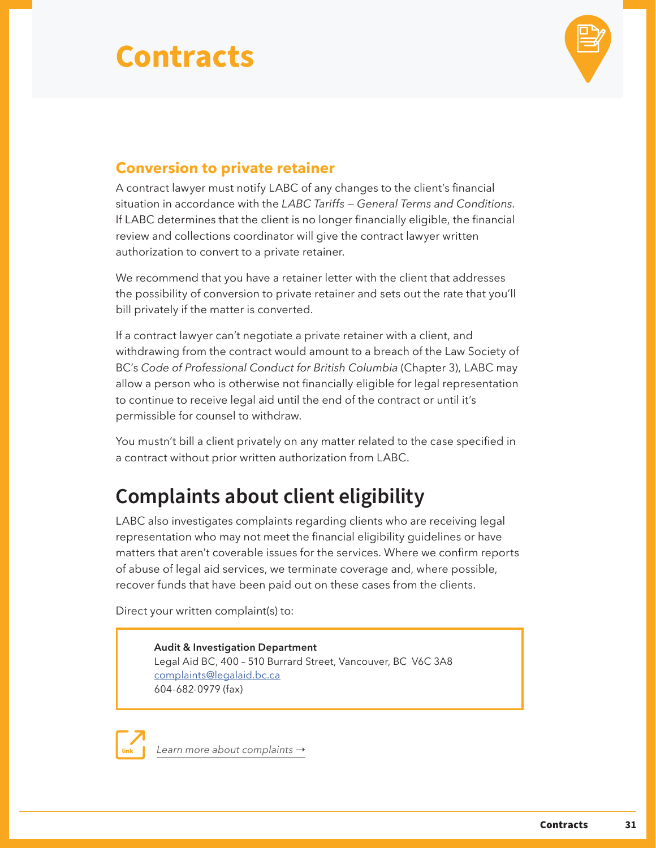

### <span id="page-33-0"></span>**Conversion to private retainer**

A contract lawyer must notify LABC of any changes to the client's financial situation in accordance with the *LABC Tariffs — General Terms and Conditions.* If LABC determines that the client is no longer financially eligible, the financial review and collections coordinator will give the contract lawyer written authorization to convert to a private retainer.

We recommend that you have a retainer letter with the client that addresses the possibility of conversion to private retainer and sets out the rate that you'll bill privately if the matter is converted.

If a contract lawyer can't negotiate a private retainer with a client, and withdrawing from the contract would amount to a breach of the Law Society of BC's *Code of Professional Conduct for British Columbia* (Chapter 3), LABC may allow a person who is otherwise not financially eligible for legal representation to continue to receive legal aid until the end of the contract or until it's permissible for counsel to withdraw.

You mustn't bill a client privately on any matter related to the case specified in a contract without prior written authorization from LABC.

## **Complaints about client eligibility**

LABC also investigates complaints regarding clients who are receiving legal representation who may not meet the financial eligibility guidelines or have matters that aren't coverable issues for the services. Where we confirm reports of abuse of legal aid services, we terminate coverage and, where possible, recover funds that have been paid out on these cases from the clients.

Direct your written complaint(s) to:

**Audit & Investigation Department** Legal Aid BC, 400 – 510 Burrard Street, Vancouver, BC V6C 3A8 [complaints@legalaid.bc.ca](mailto:complaints%40legalaid.bc.ca?subject=) 604-682-0979 (fax)

[Learn more about complaints](https://legalaid.bc.ca/about/complaints) →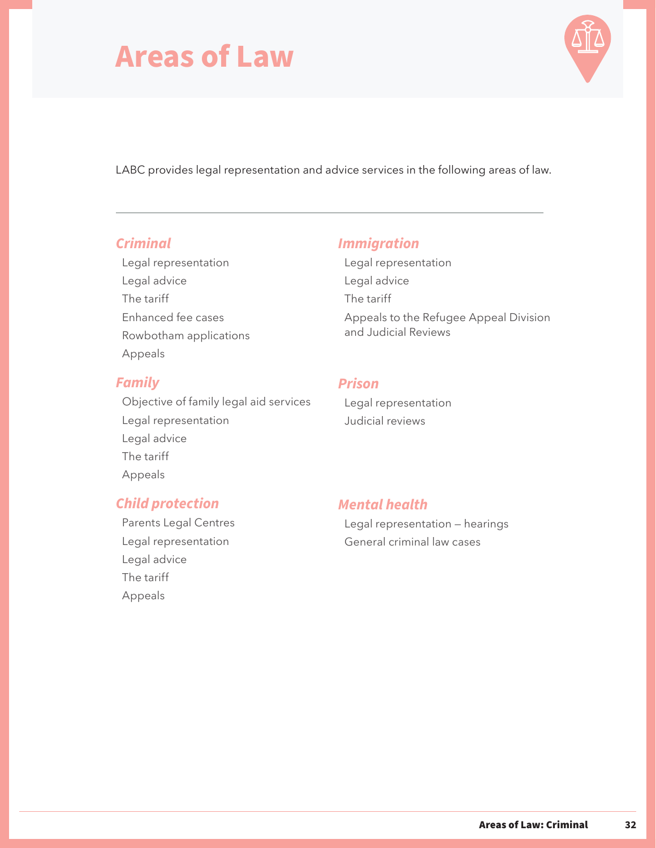## <span id="page-34-0"></span>**Areas of Law**



LABC provides legal representation and advice services in the following areas of law.

#### *[Criminal](#page-35-0)*

[Legal representation](#page-35-0) [Legal advice](#page-41-0) [The tariff](#page-44-0) [Enhanced fee cases](#page-45-0) [Rowbotham applications](#page-45-0) [Appeals](#page-46-0)

#### *[Family](#page-47-0)*

[Objective of family legal aid services](#page-47-0) [Legal representation](#page-48-0) [Legal advice](#page-51-0) [The tariff](#page-54-0) [Appeals](#page-54-0)

### *[Immigration](#page-59-0)*

[Legal representation](#page-59-0) [Legal advice](#page-61-0) [The tariff](#page-62-0) [Appeals to the Refugee Appeal Division](#page-62-0) [and Judicial Reviews](#page-62-0)

### *[Prison](#page-63-0)*

[Legal representation](#page-63-0) Judicial r[eviews](#page-64-0)

### *[Child protection](#page-55-0)*

[Parents Legal Centres](#page-55-0) [Legal representation](#page-55-0) [Legal advice](#page-57-0) [The tariff](#page-58-0) [Appeals](#page-58-0)

#### *[Mental health](#page-65-0)*

[Legal representation — hearings](#page-65-0) [General criminal law cases](#page-66-0)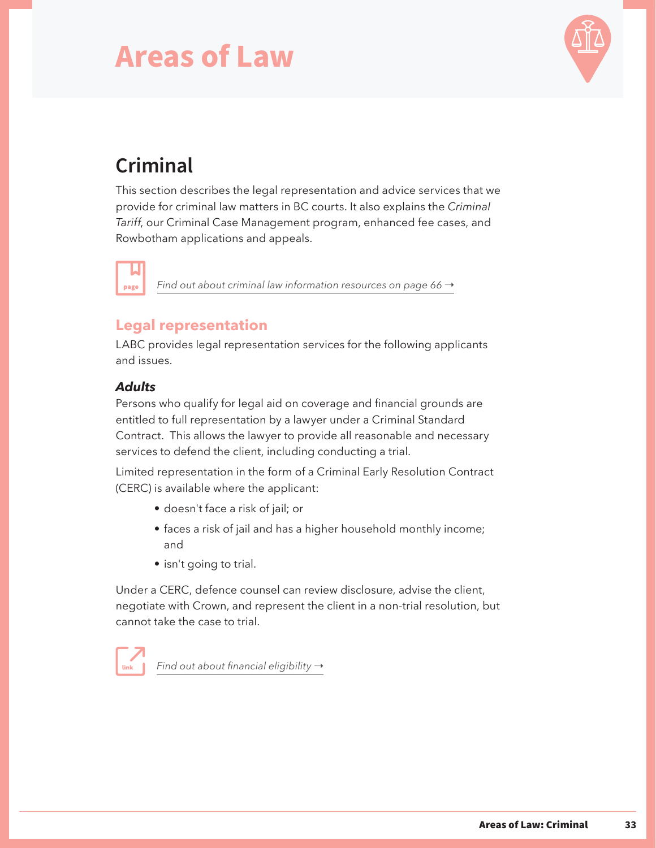## <span id="page-35-0"></span>**Areas of Law**



## **Criminal**

This section describes the legal representation and advice services that we provide for criminal law matters in BC courts. It also explains the *Criminal Tariff*, our Criminal Case Management program, enhanced fee cases, and Rowbotham applications and appeals.

*[Find out about criminal law information resources on page 66](#page-68-0) →* 

### **Legal representation**

LABC provides legal representation services for the following applicants and issues.

#### *Adults*

page

Persons who qualify for legal aid on coverage and financial grounds are entitled to full representation by a lawyer under a Criminal Standard Contract. This allows the lawyer to provide all reasonable and necessary services to defend the client, including conducting a trial.

Limited representation in the form of a Criminal Early Resolution Contract (CERC) is available where the applicant:

- doesn't face a risk of jail; or
- faces a risk of jail and has a higher household monthly income; and
- isn't going to trial.

Under a CERC, defence counsel can review disclosure, advise the client, negotiate with Crown, and represent the client in a non-trial resolution, but cannot take the case to trial.

*Find out about financial eligibility* →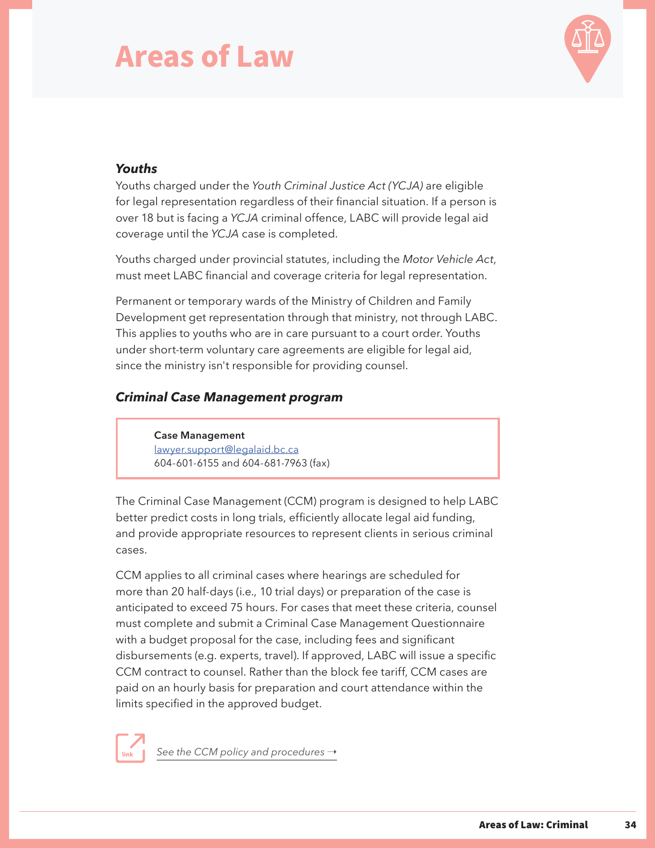

#### *Youths*

Youths charged under the *Youth Criminal Justice Act (YCJA)* are eligible for legal representation regardless of their financial situation. If a person is over 18 but is facing a *YCJA* criminal offence, LABC will provide legal aid coverage until the *YCJA* case is completed.

Youths charged under provincial statutes, including the *Motor Vehicle Act*, must meet LABC financial and coverage criteria for legal representation.

Permanent or temporary wards of the Ministry of Children and Family Development get representation through that ministry, not through LABC. This applies to youths who are in care pursuant to a court order. Youths under short-term voluntary care agreements are eligible for legal aid, since the ministry isn't responsible for providing counsel.

#### *Criminal Case Management program*

**Case Management** [lawyer.support@legalaid.bc.ca](mailto:lawyer.support@legalaid.bc.ca?subject=) 604-601-6155 and 604-681-7963 (fax)

The Criminal Case Management (CCM) program is designed to help LABC better predict costs in long trials, efficiently allocate legal aid funding, and provide appropriate resources to represent clients in serious criminal cases.

CCM applies to all criminal cases where hearings are scheduled for more than 20 half-days (i.e., 10 trial days) or preparation of the case is anticipated to exceed 75 hours. For cases that meet these criteria, counsel must complete and submit a Criminal Case Management Questionnaire with a budget proposal for the case, including fees and significant disbursements (e.g. experts, travel). If approved, LABC will issue a specific CCM contract to counsel. Rather than the block fee tariff, CCM cases are paid on an hourly basis for preparation and court attendance within the limits specified in the approved budget.

[See the CCM policy and procedures](https://legalaid.bc.ca/lawyers/caseManagement)  $\rightarrow$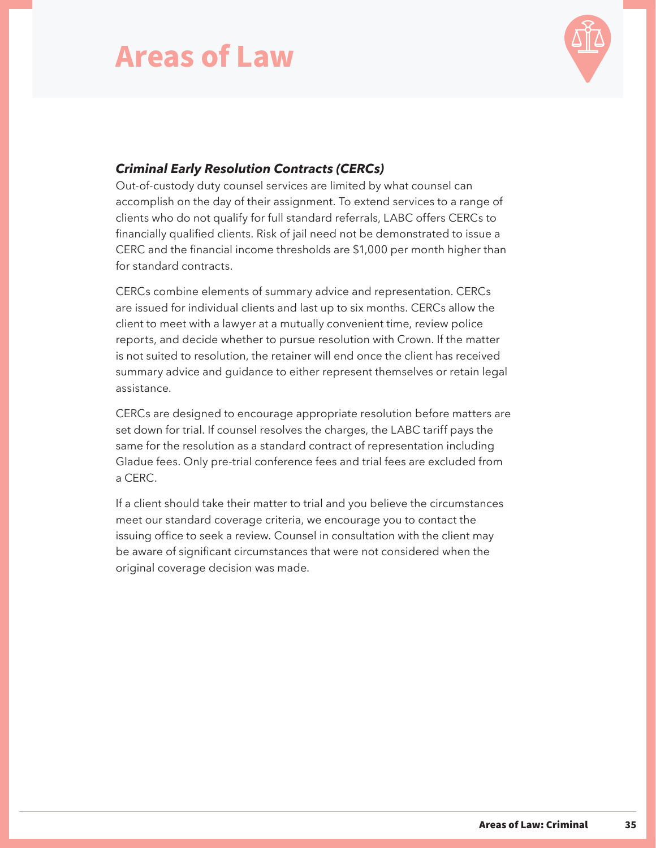

#### *Criminal Early Resolution Contracts (CERCs)*

Out-of-custody duty counsel services are limited by what counsel can accomplish on the day of their assignment. To extend services to a range of clients who do not qualify for full standard referrals, LABC offers CERCs to financially qualified clients. Risk of jail need not be demonstrated to issue a CERC and the financial income thresholds are \$1,000 per month higher than for standard contracts.

CERCs combine elements of summary advice and representation. CERCs are issued for individual clients and last up to six months. CERCs allow the client to meet with a lawyer at a mutually convenient time, review police reports, and decide whether to pursue resolution with Crown. If the matter is not suited to resolution, the retainer will end once the client has received summary advice and guidance to either represent themselves or retain legal assistance.

CERCs are designed to encourage appropriate resolution before matters are set down for trial. If counsel resolves the charges, the LABC tariff pays the same for the resolution as a standard contract of representation including Gladue fees. Only pre-trial conference fees and trial fees are excluded from a CERC.

If a client should take their matter to trial and you believe the circumstances meet our standard coverage criteria, we encourage you to contact the issuing office to seek a review. Counsel in consultation with the client may be aware of significant circumstances that were not considered when the original coverage decision was made.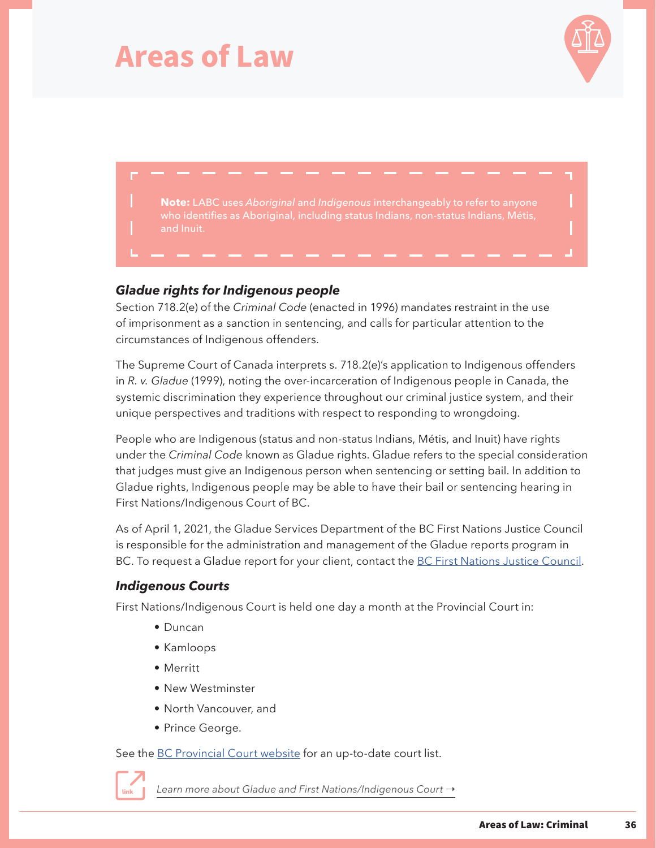



**Note:** LABC uses *Aboriginal* and *Indigenous* interchangeably to refer to anyone

#### *Gladue rights for Indigenous people*

Section 718.2(e) of the *Criminal Code* (enacted in 1996) mandates restraint in the use of imprisonment as a sanction in sentencing, and calls for particular attention to the circumstances of Indigenous offenders.

The Supreme Court of Canada interprets s. 718.2(e)'s application to Indigenous offenders in *R. v. Gladue* (1999), noting the over-incarceration of Indigenous people in Canada, the systemic discrimination they experience throughout our criminal justice system, and their unique perspectives and traditions with respect to responding to wrongdoing.

People who are Indigenous (status and non-status Indians, Métis, and Inuit) have rights under the *Criminal Code* known as Gladue rights. Gladue refers to the special consideration that judges must give an Indigenous person when sentencing or setting bail. In addition to Gladue rights, Indigenous people may be able to have their bail or sentencing hearing in First Nations/Indigenous Court of BC.

As of April 1, 2021, the Gladue Services Department of the BC First Nations Justice Council is responsible for the administration and management of the Gladue reports program in BC. To request a Gladue report for your client, contact the [BC First Nations Justice Council.](https://bcfnjc.com/)

#### *Indigenous Courts*

First Nations/Indigenous Court is held one day a month at the Provincial Court in:

- Duncan
- Kamloops
- Merritt
- New Westminster
- North Vancouver, and
- Prince George.

See the [BC Provincial Court website](https://www.provincialcourt.bc.ca/about-the-court/specialized-courts#IndigenousCourts) for an up-to-date court list.



[Learn more about Gladue and First Nations/Indigenous Court](https://aboriginal.legalaid.bc.ca/courts-criminal-cases) →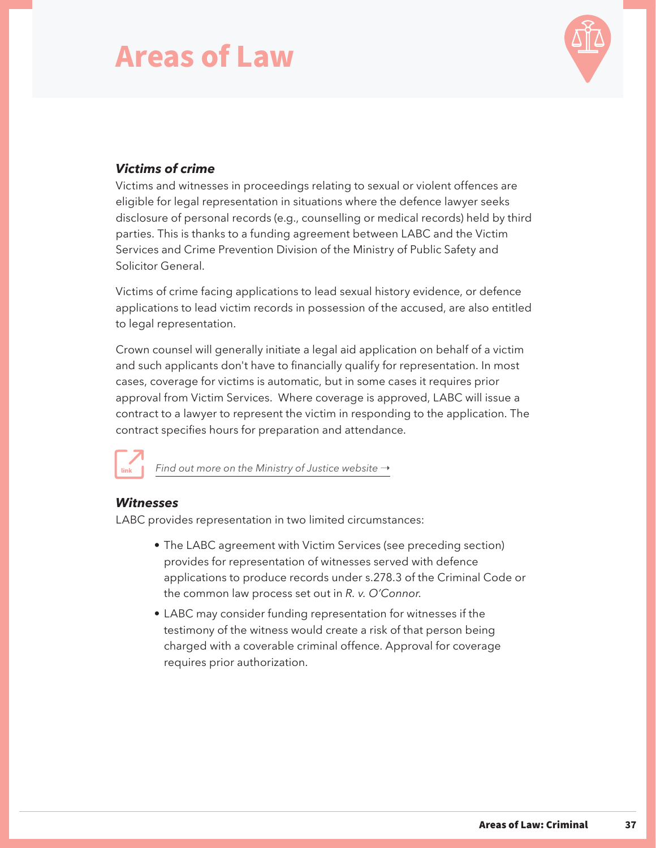

#### *Victims of crime*

Victims and witnesses in proceedings relating to sexual or violent offences are eligible for legal representation in situations where the defence lawyer seeks disclosure of personal records (e.g., counselling or medical records) held by third parties. This is thanks to a funding agreement between LABC and the Victim Services and Crime Prevention Division of the Ministry of Public Safety and Solicitor General.

Victims of crime facing applications to lead sexual history evidence, or defence applications to lead victim records in possession of the accused, are also entitled to legal representation.

Crown counsel will generally initiate a legal aid application on behalf of a victim and such applicants don't have to financially qualify for representation. In most cases, coverage for victims is automatic, but in some cases it requires prior approval from Victim Services. Where coverage is approved, LABC will issue a contract to a lawyer to represent the victim in responding to the application. The contract specifies hours for preparation and attendance.



[Find out more on the Ministry of Justice website](https://www2.gov.bc.ca/gov/content/justice/criminal-justice/bcs-criminal-justice-system/if-you-are-a-victim-of-a-crime/victim-of-crime/financial-assistance-benefits)  $\rightarrow$ 

#### *Witnesses*

LABC provides representation in two limited circumstances:

- The LABC agreement with Victim Services (see preceding section) provides for representation of witnesses served with defence applications to produce records under s.278.3 of the Criminal Code or the common law process set out in *R. v. O'Connor*.
- LABC may consider funding representation for witnesses if the testimony of the witness would create a risk of that person being charged with a coverable criminal offence. Approval for coverage requires prior authorization.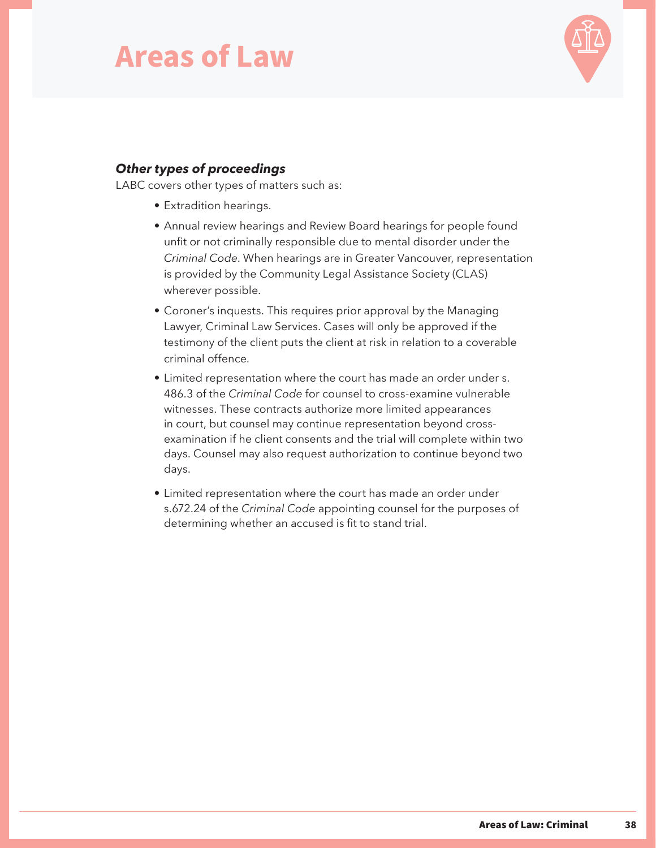

#### *Other types of proceedings*

LABC covers other types of matters such as:

- Extradition hearings.
- Annual review hearings and Review Board hearings for people found unfit or not criminally responsible due to mental disorder under the *Criminal Code*. When hearings are in Greater Vancouver, representation is provided by the Community Legal Assistance Society (CLAS) wherever possible.
- Coroner's inquests. This requires prior approval by the Managing Lawyer, Criminal Law Services. Cases will only be approved if the testimony of the client puts the client at risk in relation to a coverable criminal offence.
- Limited representation where the court has made an order under s. 486.3 of the *Criminal Code* for counsel to cross-examine vulnerable witnesses. These contracts authorize more limited appearances in court, but counsel may continue representation beyond crossexamination if he client consents and the trial will complete within two days. Counsel may also request authorization to continue beyond two days.
- Limited representation where the court has made an order under s.672.24 of the *Criminal Code* appointing counsel for the purposes of determining whether an accused is fit to stand trial.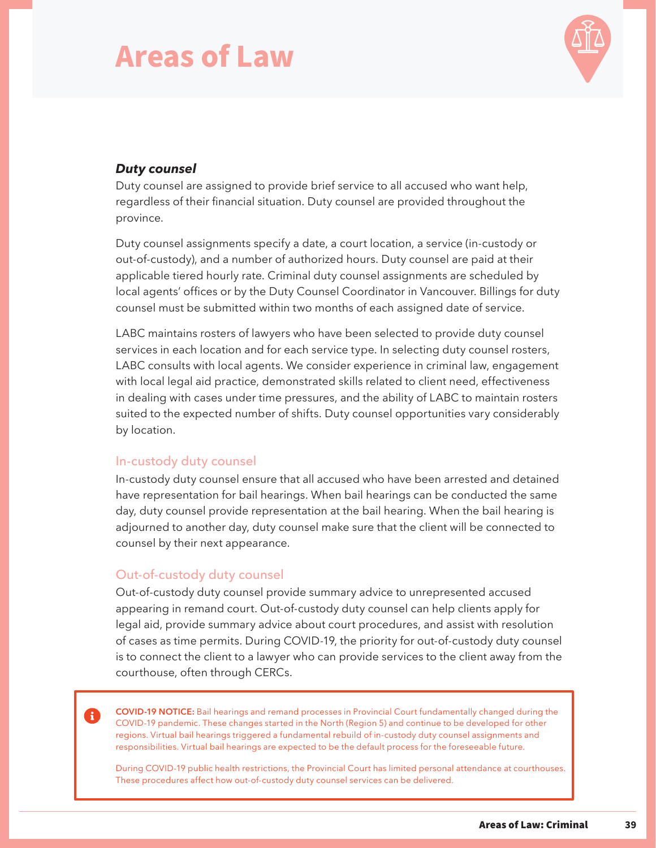

#### *Duty counsel*

Duty counsel are assigned to provide brief service to all accused who want help, regardless of their financial situation. Duty counsel are provided throughout the province.

Duty counsel assignments specify a date, a court location, a service (in-custody or out-of-custody), and a number of authorized hours. Duty counsel are paid at their applicable tiered hourly rate. Criminal duty counsel assignments are scheduled by local agents' offices or by the Duty Counsel Coordinator in Vancouver. Billings for duty counsel must be submitted within two months of each assigned date of service.

LABC maintains rosters of lawyers who have been selected to provide duty counsel services in each location and for each service type. In selecting duty counsel rosters, LABC consults with local agents. We consider experience in criminal law, engagement with local legal aid practice, demonstrated skills related to client need, effectiveness in dealing with cases under time pressures, and the ability of LABC to maintain rosters suited to the expected number of shifts. Duty counsel opportunities vary considerably by location.

#### In-custody duty counsel

In-custody duty counsel ensure that all accused who have been arrested and detained have representation for bail hearings. When bail hearings can be conducted the same day, duty counsel provide representation at the bail hearing. When the bail hearing is adjourned to another day, duty counsel make sure that the client will be connected to counsel by their next appearance.

#### Out-of-custody duty counsel

Out-of-custody duty counsel provide summary advice to unrepresented accused appearing in remand court. Out-of-custody duty counsel can help clients apply for legal aid, provide summary advice about court procedures, and assist with resolution of cases as time permits. During COVID-19, the priority for out-of-custody duty counsel is to connect the client to a lawyer who can provide services to the client away from the courthouse, often through CERCs.

**COVID-19 NOTICE:** Bail hearings and remand processes in Provincial Court fundamentally changed during the COVID-19 pandemic. These changes started in the North (Region 5) and continue to be developed for other regions. Virtual bail hearings triggered a fundamental rebuild of in-custody duty counsel assignments and responsibilities. Virtual bail hearings are expected to be the default process for the foreseeable future.

During COVID-19 public health restrictions, the Provincial Court has limited personal attendance at courthouses. These procedures affect how out-of-custody duty counsel services can be delivered.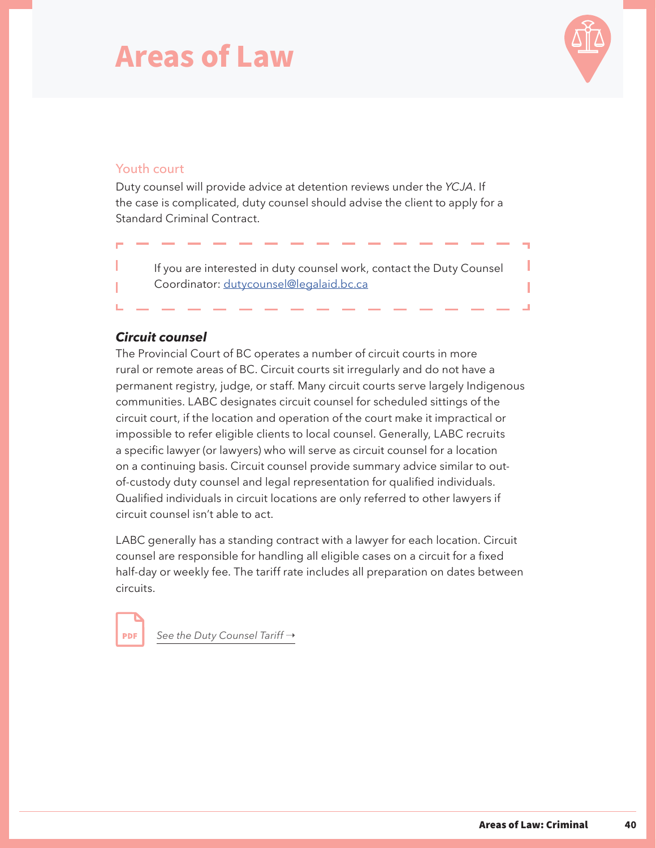

#### Youth court

Duty counsel will provide advice at detention reviews under the *YCJA*. If the case is complicated, duty counsel should advise the client to apply for a Standard Criminal Contract.

If you are interested in duty counsel work, contact the Duty Counsel Coordinator: [dutycounsel@legalaid.bc.ca](mailto:dutycounsel%40legalaid.bc.ca?subject=)

#### *Circuit counsel*

The Provincial Court of BC operates a number of circuit courts in more rural or remote areas of BC. Circuit courts sit irregularly and do not have a permanent registry, judge, or staff. Many circuit courts serve largely Indigenous communities. LABC designates circuit counsel for scheduled sittings of the circuit court, if the location and operation of the court make it impractical or impossible to refer eligible clients to local counsel. Generally, LABC recruits a specific lawyer (or lawyers) who will serve as circuit counsel for a location on a continuing basis. Circuit counsel provide summary advice similar to outof-custody duty counsel and legal representation for qualified individuals. Qualified individuals in circuit locations are only referred to other lawyers if circuit counsel isn't able to act.

LABC generally has a standing contract with a lawyer for each location. Circuit counsel are responsible for handling all eligible cases on a circuit for a fixed half-day or weekly fee. The tariff rate includes all preparation on dates between circuits.

**PDF** 

[See the Duty Counsel Tariff](https://legalaid.bc.ca/sites/default/files/2021-03/DutyCounselApril2021.pdf) →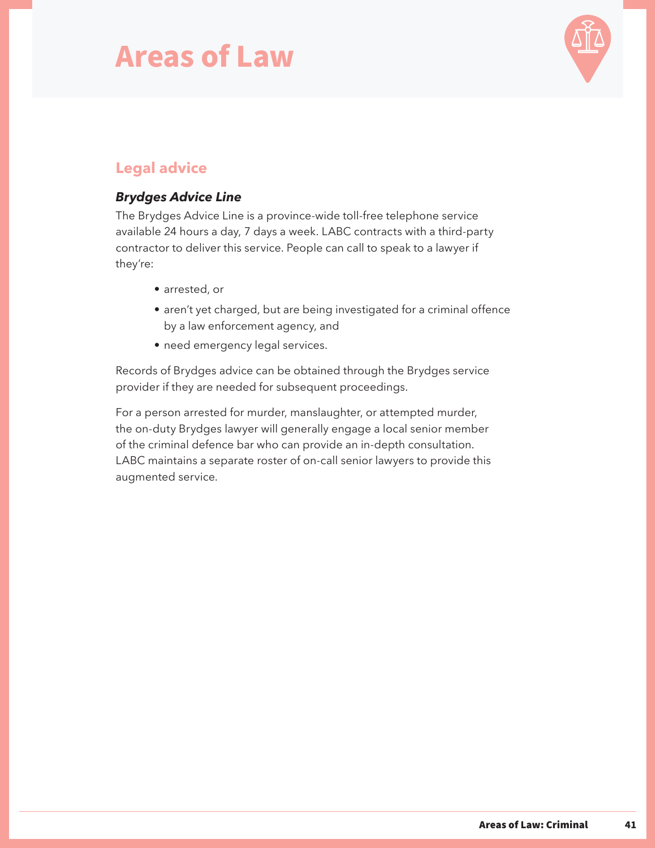

### **Legal advice**

#### *Brydges Advice Line*

The Brydges Advice Line is a province-wide toll-free telephone service available 24 hours a day, 7 days a week. LABC contracts with a third-party contractor to deliver this service. People can call to speak to a lawyer if they're:

- arrested, or
- aren't yet charged, but are being investigated for a criminal offence by a law enforcement agency, and
- need emergency legal services.

Records of Brydges advice can be obtained through the Brydges service provider if they are needed for subsequent proceedings.

For a person arrested for murder, manslaughter, or attempted murder, the on-duty Brydges lawyer will generally engage a local senior member of the criminal defence bar who can provide an in-depth consultation. LABC maintains a separate roster of on-call senior lawyers to provide this augmented service.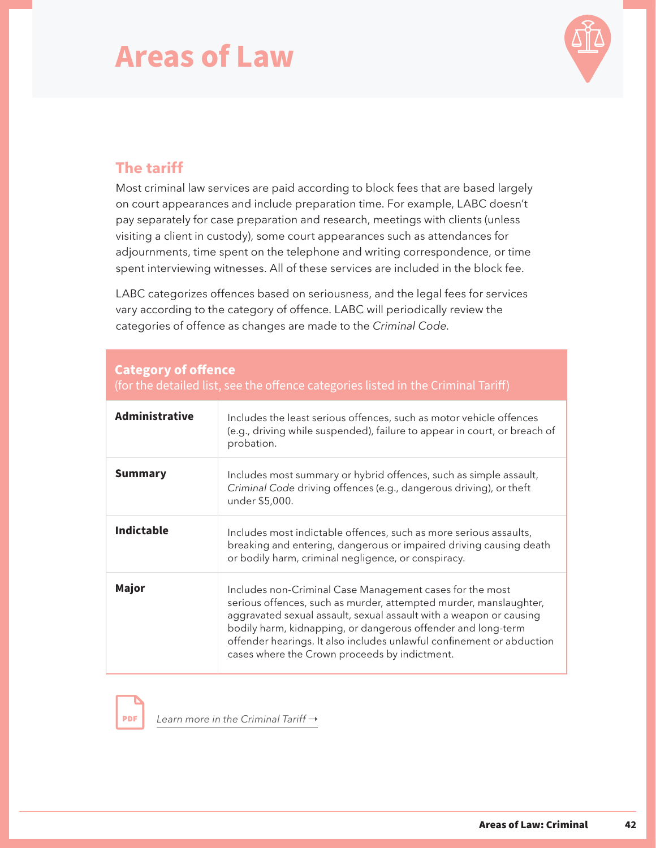

### **The tariff**

 **Category of offence**

Most criminal law services are paid according to block fees that are based largely on court appearances and include preparation time. For example, LABC doesn't pay separately for case preparation and research, meetings with clients (unless visiting a client in custody), some court appearances such as attendances for adjournments, time spent on the telephone and writing correspondence, or time spent interviewing witnesses. All of these services are included in the block fee.

LABC categorizes offences based on seriousness, and the legal fees for services vary according to the category of offence. LABC will periodically review the categories of offence as changes are made to the *Criminal Code.*

| (for the detailed list, see the offence categories listed in the Criminal Tariff) |                                                                                                                                                                                                                                                                                                                                                                                               |
|-----------------------------------------------------------------------------------|-----------------------------------------------------------------------------------------------------------------------------------------------------------------------------------------------------------------------------------------------------------------------------------------------------------------------------------------------------------------------------------------------|
| <b>Administrative</b>                                                             | Includes the least serious offences, such as motor vehicle offences<br>(e.g., driving while suspended), failure to appear in court, or breach of<br>probation.                                                                                                                                                                                                                                |
| <b>Summary</b>                                                                    | Includes most summary or hybrid offences, such as simple assault,<br>Criminal Code driving offences (e.g., dangerous driving), or theft<br>under \$5,000.                                                                                                                                                                                                                                     |
| <b>Indictable</b>                                                                 | Includes most indictable offences, such as more serious assaults,<br>breaking and entering, dangerous or impaired driving causing death<br>or bodily harm, criminal negligence, or conspiracy.                                                                                                                                                                                                |
| Major                                                                             | Includes non-Criminal Case Management cases for the most<br>serious offences, such as murder, attempted murder, manslaughter,<br>aggravated sexual assault, sexual assault with a weapon or causing<br>bodily harm, kidnapping, or dangerous offender and long-term<br>offender hearings. It also includes unlawful confinement or abduction<br>cases where the Crown proceeds by indictment. |

**PDF** 

*[Learn more in the Criminal Tariff](https://legalaid.bc.ca/sites/default/files/2019-05/criminalTariff_May2019.pdf) →*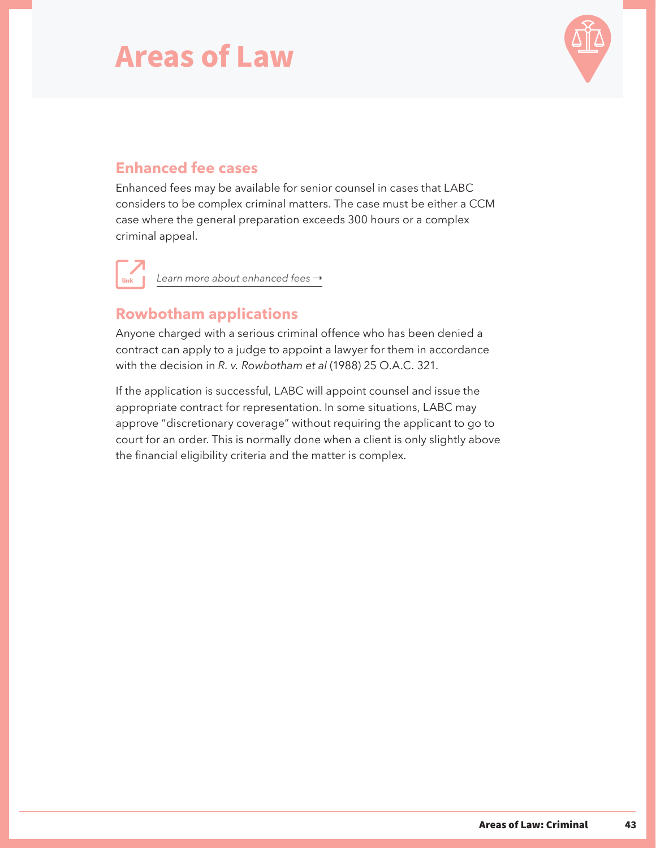

### **Enhanced fee cases**

Enhanced fees may be available for senior counsel in cases that LABC considers to be complex criminal matters. The case must be either a CCM case where the general preparation exceeds 300 hours or a complex criminal appeal.

[Learn more about enhanced fees](https://legalaid.bc.ca/lawyers/enhancedFees)  $\rightarrow$ 

### **Rowbotham applications**

Anyone charged with a serious criminal offence who has been denied a contract can apply to a judge to appoint a lawyer for them in accordance with the decision in *R. v. Rowbotham et al* (1988) 25 O.A.C. 321.

If the application is successful, LABC will appoint counsel and issue the appropriate contract for representation. In some situations, LABC may approve "discretionary coverage" without requiring the applicant to go to court for an order. This is normally done when a client is only slightly above the financial eligibility criteria and the matter is complex.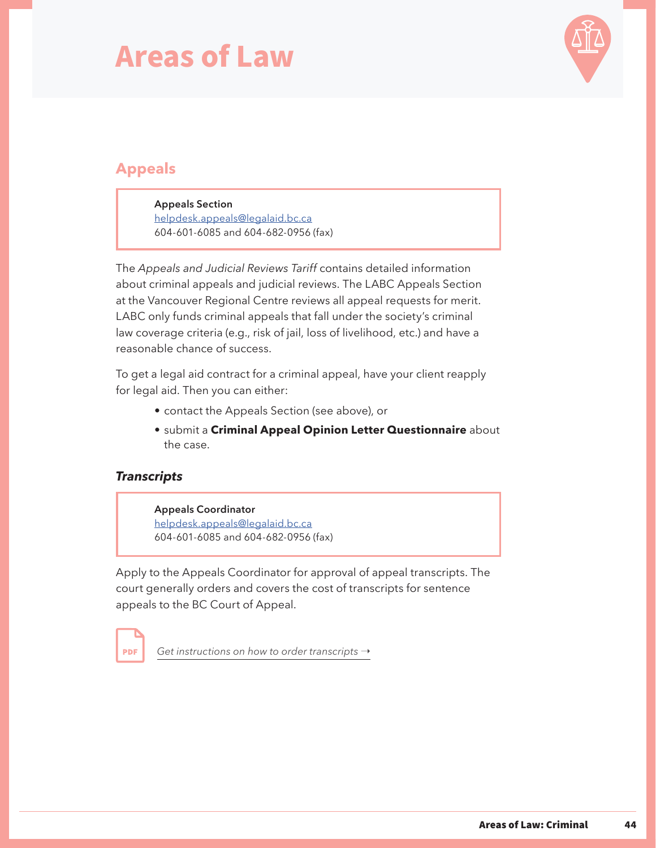

### **Appeals**

**Appeals Section** [helpdesk.appeals@legalaid.bc.ca](mailto:helpdesk.appeals%40legalaid.bc.ca?subject=) 604-601-6085 and 604-682-0956 (fax)

The *Appeals and Judicial Reviews Tariff* contains detailed information about criminal appeals and judicial reviews. The LABC Appeals Section at the Vancouver Regional Centre reviews all appeal requests for merit. LABC only funds criminal appeals that fall under the society's criminal law coverage criteria (e.g., risk of jail, loss of livelihood, etc.) and have a reasonable chance of success.

To get a legal aid contract for a criminal appeal, have your client reapply for legal aid. Then you can either:

- contact the Appeals Section (see above), or
- submit a **Criminal Appeal Opinion Letter Questionnaire** about the case.

#### *Transcripts*

**PDF** 

**Appeals Coordinator** [helpdesk.appeals@legalaid.bc.ca](mailto:helpdesk.appeals%40legalaid.bc.ca?subject=) 604-601-6085 and 604-682-0956 (fax)

Apply to the Appeals Coordinator for approval of appeal transcripts. The court generally orders and covers the cost of transcripts for sentence appeals to the BC Court of Appeal.

[Get instructions on how to order transcripts](https://legalaid.bc.ca/sites/default/files/2019-04/disbursementsApril2019.pdf)  $\rightarrow$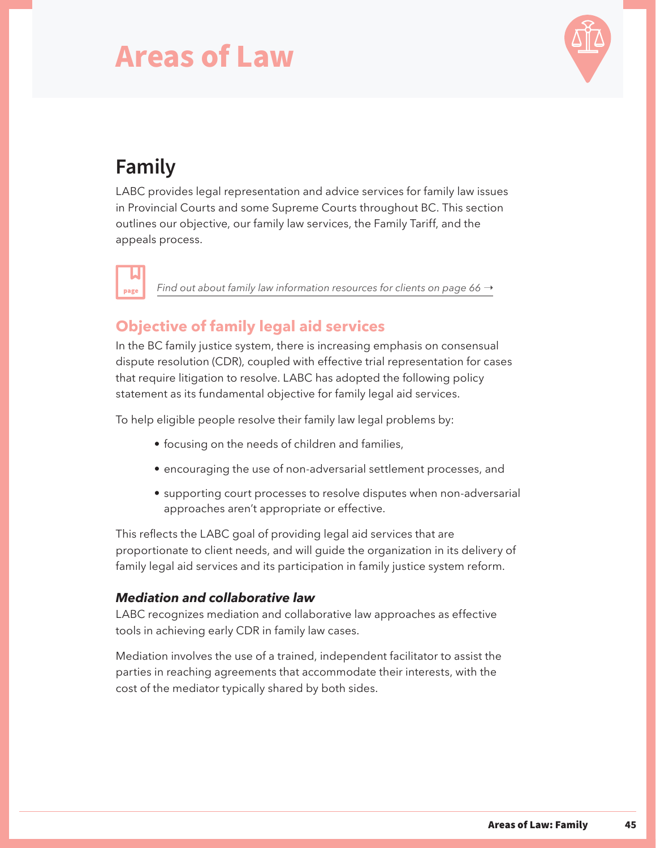

## **Family**

LABC provides legal representation and advice services for family law issues in Provincial Courts and some Supreme Courts throughout BC. This section outlines our objective, our family law services, the Family Tariff, and the appeals process.

page

*[Find out about family law information resources for clients on page 66](#page-68-0)*  $\rightarrow$ 

### **Objective of family legal aid services**

In the BC family justice system, there is increasing emphasis on consensual dispute resolution (CDR), coupled with effective trial representation for cases that require litigation to resolve. LABC has adopted the following policy statement as its fundamental objective for family legal aid services.

To help eligible people resolve their family law legal problems by:

- focusing on the needs of children and families,
- encouraging the use of non-adversarial settlement processes, and
- supporting court processes to resolve disputes when non-adversarial approaches aren't appropriate or effective.

This reflects the LABC goal of providing legal aid services that are proportionate to client needs, and will guide the organization in its delivery of family legal aid services and its participation in family justice system reform.

#### *Mediation and collaborative law*

LABC recognizes mediation and collaborative law approaches as effective tools in achieving early CDR in family law cases.

Mediation involves the use of a trained, independent facilitator to assist the parties in reaching agreements that accommodate their interests, with the cost of the mediator typically shared by both sides.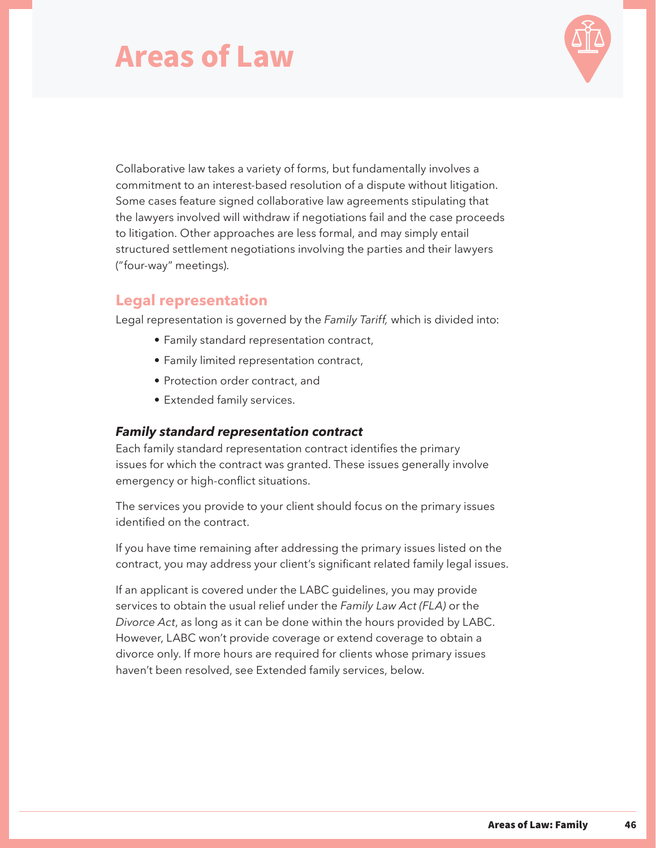

Collaborative law takes a variety of forms, but fundamentally involves a commitment to an interest-based resolution of a dispute without litigation. Some cases feature signed collaborative law agreements stipulating that the lawyers involved will withdraw if negotiations fail and the case proceeds to litigation. Other approaches are less formal, and may simply entail structured settlement negotiations involving the parties and their lawyers ("four-way" meetings).

#### **Legal representation**

Legal representation is governed by the *Family Tariff,* which is divided into:

- Family standard representation contract,
- Family limited representation contract,
- Protection order contract, and
- Extended family services.

#### *Family standard representation contract*

Each family standard representation contract identifies the primary issues for which the contract was granted. These issues generally involve emergency or high-conflict situations.

The services you provide to your client should focus on the primary issues identified on the contract.

If you have time remaining after addressing the primary issues listed on the contract, you may address your client's significant related family legal issues.

If an applicant is covered under the LABC guidelines, you may provide services to obtain the usual relief under the *Family Law Act (FLA)* or the *Divorce Act*, as long as it can be done within the hours provided by LABC. However, LABC won't provide coverage or extend coverage to obtain a divorce only. If more hours are required for clients whose primary issues haven't been resolved, see Extended family services, below.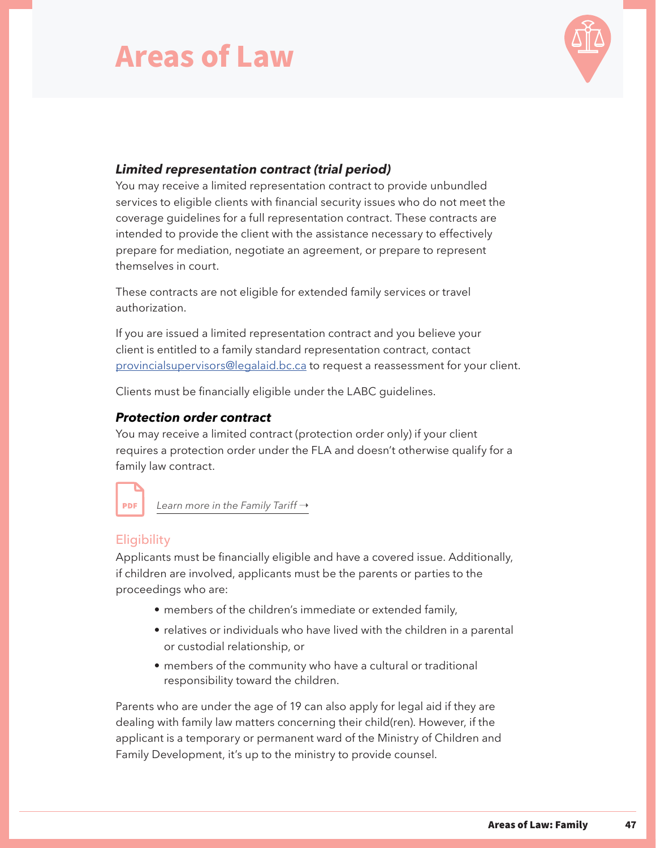

#### *Limited representation contract (trial period)*

You may receive a limited representation contract to provide unbundled services to eligible clients with financial security issues who do not meet the coverage guidelines for a full representation contract. These contracts are intended to provide the client with the assistance necessary to effectively prepare for mediation, negotiate an agreement, or prepare to represent themselves in court.

These contracts are not eligible for extended family services or travel authorization.

If you are issued a limited representation contract and you believe your client is entitled to a family standard representation contract, contact [provincialsupervisors@legalaid.bc.ca](mailto:provincialsupervisors%40legalaid.bc.ca?subject=) to request a reassessment for your client.

Clients must be financially eligible under the LABC guidelines.

#### *Protection order contract*

You may receive a limited contract (protection order only) if your client requires a protection order under the FLA and doesn't otherwise qualify for a family law contract.



*[Learn more in the Family Tariff](https://legalaid.bc.ca/sites/default/files/2019-03/familyTariffOctober2018.pdf) →* 

#### **Eligibility**

Applicants must be financially eligible and have a covered issue. Additionally, if children are involved, applicants must be the parents or parties to the proceedings who are:

- members of the children's immediate or extended family,
- relatives or individuals who have lived with the children in a parental or custodial relationship, or
- members of the community who have a cultural or traditional responsibility toward the children.

Parents who are under the age of 19 can also apply for legal aid if they are dealing with family law matters concerning their child(ren). However, if the applicant is a temporary or permanent ward of the Ministry of Children and Family Development, it's up to the ministry to provide counsel.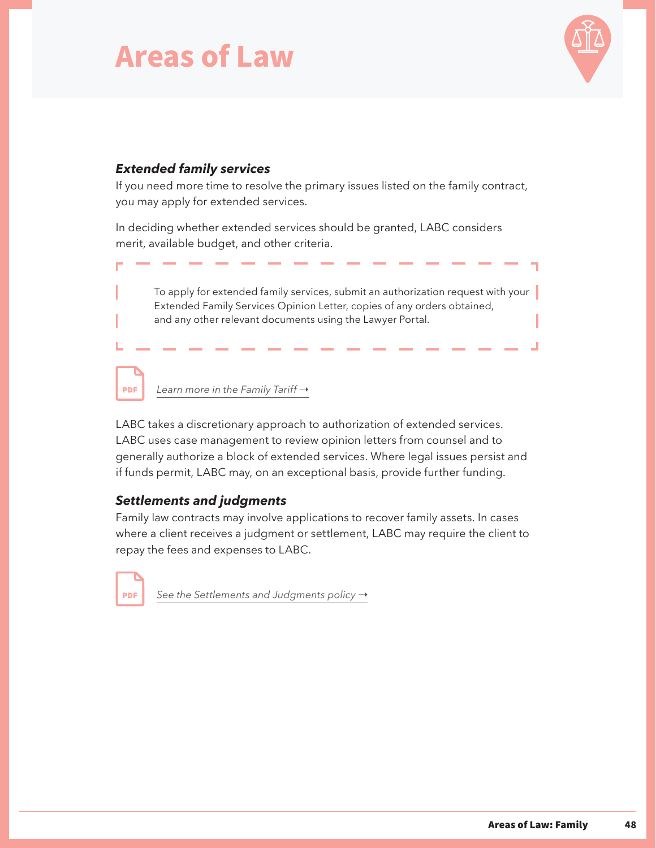

#### *Extended family services*

If you need more time to resolve the primary issues listed on the family contract, you may apply for extended services.

In deciding whether extended services should be granted, LABC considers merit, available budget, and other criteria.

To apply for extended family services, submit an authorization request with your Extended Family Services Opinion Letter, copies of any orders obtained, and any other relevant documents using the Lawyer Portal.

*[Learn more in the Family Tariff](https://legalaid.bc.ca/sites/default/files/2019-03/familyTariffOctober2018.pdf) →* 

LABC takes a discretionary approach to authorization of extended services. LABC uses case management to review opinion letters from counsel and to generally authorize a block of extended services. Where legal issues persist and if funds permit, LABC may, on an exceptional basis, provide further funding.

#### *Settlements and judgments*

Family law contracts may involve applications to recover family assets. In cases where a client receives a judgment or settlement, LABC may require the client to repay the fees and expenses to LABC.

**PDF** 

**PDF** 

[See the Settlements and Judgments policy](https://legalaid.bc.ca/sites/default/files/inline-files/settlementsAndJudgementsPolicy.pdf)  $\rightarrow$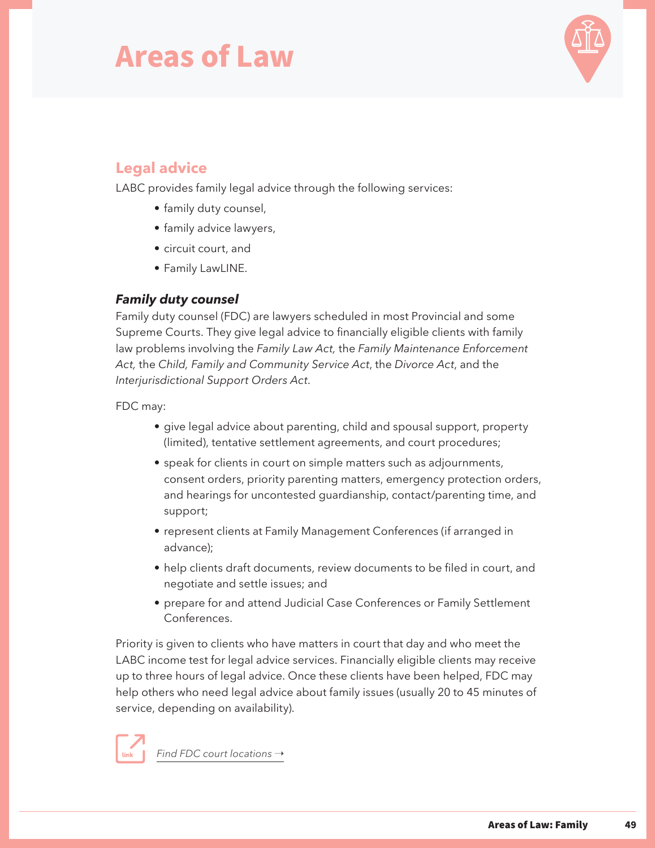

### <span id="page-51-0"></span>**Legal advice**

LABC provides family legal advice through the following services:

- family duty counsel,
- family advice lawyers,
- circuit court, and
- Family LawLINE.

#### *Family duty counsel*

Family duty counsel (FDC) are lawyers scheduled in most Provincial and some Supreme Courts. They give legal advice to financially eligible clients with family law problems involving the *Family Law Act,* the *Family Maintenance Enforcement Act,* the *Child, Family and Community Service Act*, the *Divorce Act*, and the *Interjurisdictional Support Orders Act*.

#### FDC may:

- give legal advice about parenting, child and spousal support, property (limited), tentative settlement agreements, and court procedures;
- speak for clients in court on simple matters such as adjournments, consent orders, priority parenting matters, emergency protection orders, and hearings for uncontested guardianship, contact/parenting time, and support;
- represent clients at Family Management Conferences (if arranged in advance);
- help clients draft documents, review documents to be filed in court, and negotiate and settle issues; and
- prepare for and attend Judicial Case Conferences or Family Settlement Conferences.

Priority is given to clients who have matters in court that day and who meet the LABC income test for legal advice services. Financially eligible clients may receive up to three hours of legal advice. Once these clients have been helped, FDC may help others who need legal advice about family issues (usually 20 to 45 minutes of service, depending on availability).



*Find FDC court locations* →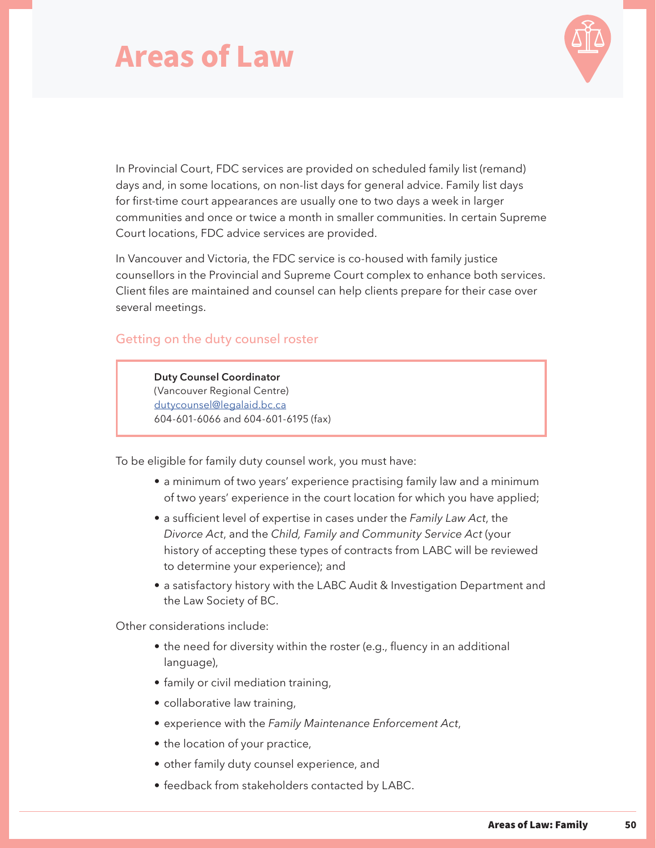

In Provincial Court, FDC services are provided on scheduled family list (remand) days and, in some locations, on non-list days for general advice. Family list days for first-time court appearances are usually one to two days a week in larger communities and once or twice a month in smaller communities. In certain Supreme Court locations, FDC advice services are provided.

In Vancouver and Victoria, the FDC service is co-housed with family justice counsellors in the Provincial and Supreme Court complex to enhance both services. Client files are maintained and counsel can help clients prepare for their case over several meetings.

#### Getting on the duty counsel roster

**Duty Counsel Coordinator** (Vancouver Regional Centre) [dutycounsel@legalaid.bc.ca](mailto:dutycounsel%40legalaid.bc.ca?subject=) 604-601-6066 and 604-601-6195 (fax)

To be eligible for family duty counsel work, you must have:

- a minimum of two years' experience practising family law and a minimum of two years' experience in the court location for which you have applied;
- a sufficient level of expertise in cases under the *Family Law Act*, the *Divorce Act*, and the *Child, Family and Community Service Act* (your history of accepting these types of contracts from LABC will be reviewed to determine your experience); and
- a satisfactory history with the LABC Audit & Investigation Department and the Law Society of BC.

Other considerations include:

- the need for diversity within the roster (e.g., fluency in an additional language),
- family or civil mediation training,
- collaborative law training,
- experience with the *Family Maintenance Enforcement Act*,
- the location of your practice,
- other family duty counsel experience, and
- feedback from stakeholders contacted by LABC.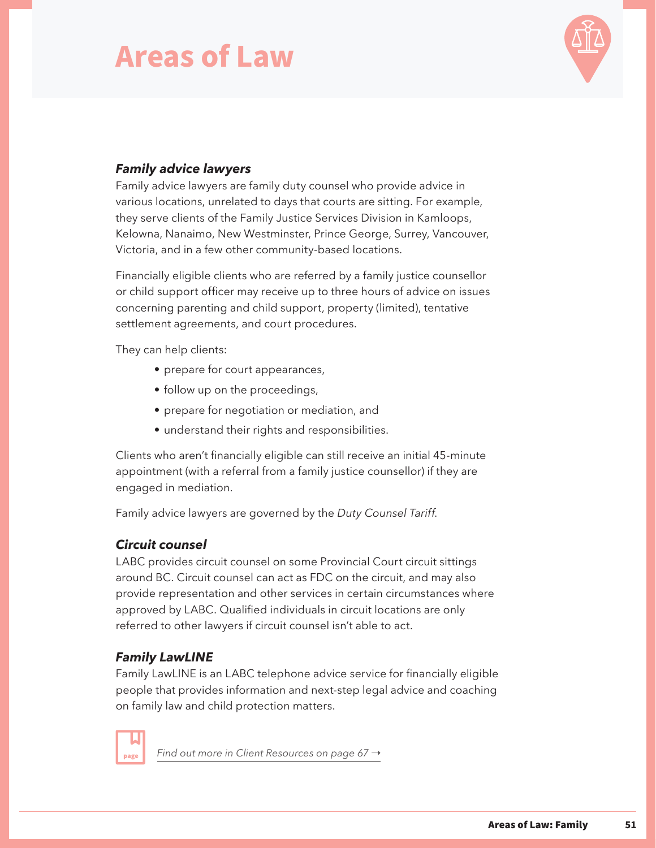

#### *Family advice lawyers*

Family advice lawyers are family duty counsel who provide advice in various locations, unrelated to days that courts are sitting. For example, they serve clients of the Family Justice Services Division in Kamloops, Kelowna, Nanaimo, New Westminster, Prince George, Surrey, Vancouver, Victoria, and in a few other community-based locations.

Financially eligible clients who are referred by a family justice counsellor or child support officer may receive up to three hours of advice on issues concerning parenting and child support, property (limited), tentative settlement agreements, and court procedures.

They can help clients:

- prepare for court appearances,
- follow up on the proceedings,
- prepare for negotiation or mediation, and
- understand their rights and responsibilities.

Clients who aren't financially eligible can still receive an initial 45-minute appointment (with a referral from a family justice counsellor) if they are engaged in mediation.

Family advice lawyers are governed by the *Duty Counsel Tariff*.

#### *Circuit counsel*

LABC provides circuit counsel on some Provincial Court circuit sittings around BC. Circuit counsel can act as FDC on the circuit, and may also provide representation and other services in certain circumstances where approved by LABC. Qualified individuals in circuit locations are only referred to other lawyers if circuit counsel isn't able to act.

#### *Family LawLINE*

Family LawLINE is an LABC telephone advice service for financially eligible people that provides information and next-step legal advice and coaching on family law and child protection matters.

page

*[Find out more in Client Resources on page 67](#page-69-0) →*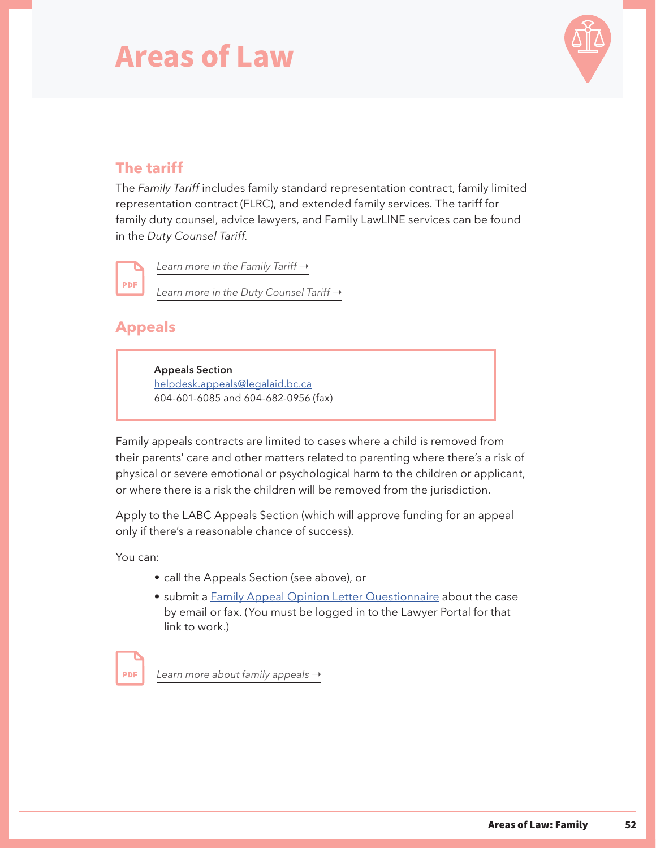

### **The tariff**

The *Family Tariff* includes family standard representation contract, family limited representation contract (FLRC), and extended family services. The tariff for family duty counsel, advice lawyers, and Family LawLINE services can be found in the *Duty Counsel Tariff.*

**PDF** 

*[Learn more in the Family Tariff](https://legalaid.bc.ca/sites/default/files/2019-03/familyTariffOctober2018.pdf) → [Learn more in the Duty Counsel Tariff](https://legalaid.bc.ca/sites/default/files/2019-03/dutyCounselTariffApril2015.pdf) →* 

### **Appeals**

**Appeals Section** [helpdesk.appeals@legalaid.bc.ca](mailto:helpdesk.appeals%40legalaid.bc.ca?subject=) 604-601-6085 and 604-682-0956 (fax)

Family appeals contracts are limited to cases where a child is removed from their parents' care and other matters related to parenting where there's a risk of physical or severe emotional or psychological harm to the children or applicant, or where there is a risk the children will be removed from the jurisdiction.

Apply to the LABC Appeals Section (which will approve funding for an appeal only if there's a reasonable chance of success).

You can:

- call the Appeals Section (see above), or
- submit a [Family Appeal Opinion Letter Questionnaire](https://lssonline.lss.bc.ca/Documents/Family%20Appeal%20Questionnaire.pdf) about the case by email or fax. (You must be logged in to the Lawyer Portal for that link to work.)

*[Learn more about family appeals](https://legalaid.bc.ca/sites/default/files/2019-03/appealsTariffJanuary2017.pdf) →* **PDF**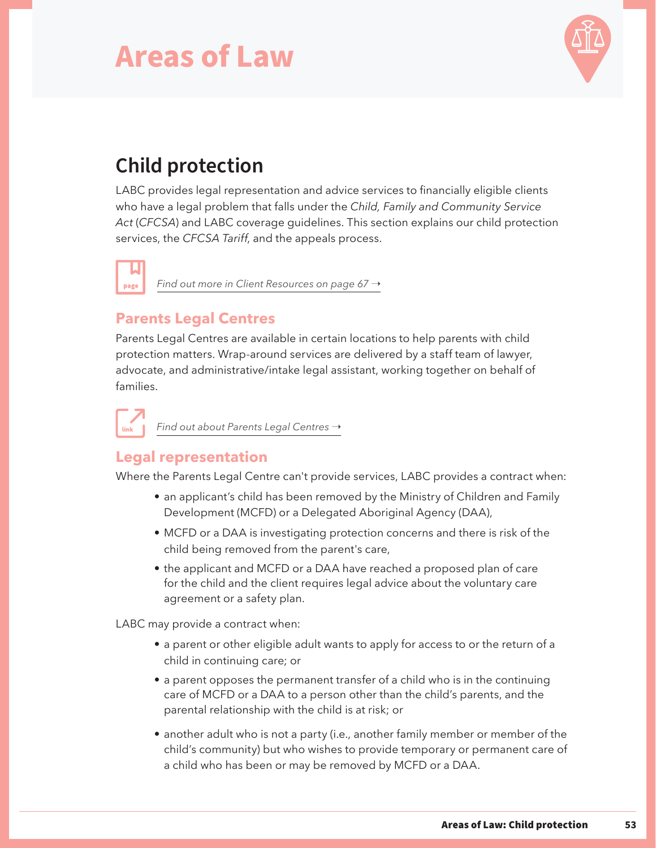

## **Child protection**

LABC provides legal representation and advice services to financially eligible clients who have a legal problem that falls under the *Child, Family and Community Service Act* (*CFCSA*) and LABC coverage guidelines. This section explains our child protection services, the *CFCSA Tariff*, and the appeals process.

*[Find out more in Client Resources on page 67](#page-69-0) →* page

### **Parents Legal Centres**

Parents Legal Centres are available in certain locations to help parents with child protection matters. Wrap-around services are delivered by a staff team of lawyer, advocate, and administrative/intake legal assistant, working together on behalf of families.

*Find out about Parents Legal Centres* →

### **Legal representation**

Where the Parents Legal Centre can't provide services, LABC provides a contract when:

- an applicant's child has been removed by the Ministry of Children and Family Development (MCFD) or a Delegated Aboriginal Agency (DAA),
- MCFD or a DAA is investigating protection concerns and there is risk of the child being removed from the parent's care,
- the applicant and MCFD or a DAA have reached a proposed plan of care for the child and the client requires legal advice about the voluntary care agreement or a safety plan.

LABC may provide a contract when:

- a parent or other eligible adult wants to apply for access to or the return of a child in continuing care; or
- a parent opposes the permanent transfer of a child who is in the continuing care of MCFD or a DAA to a person other than the child's parents, and the parental relationship with the child is at risk; or
- another adult who is not a party (i.e., another family member or member of the child's community) but who wishes to provide temporary or permanent care of a child who has been or may be removed by MCFD or a DAA.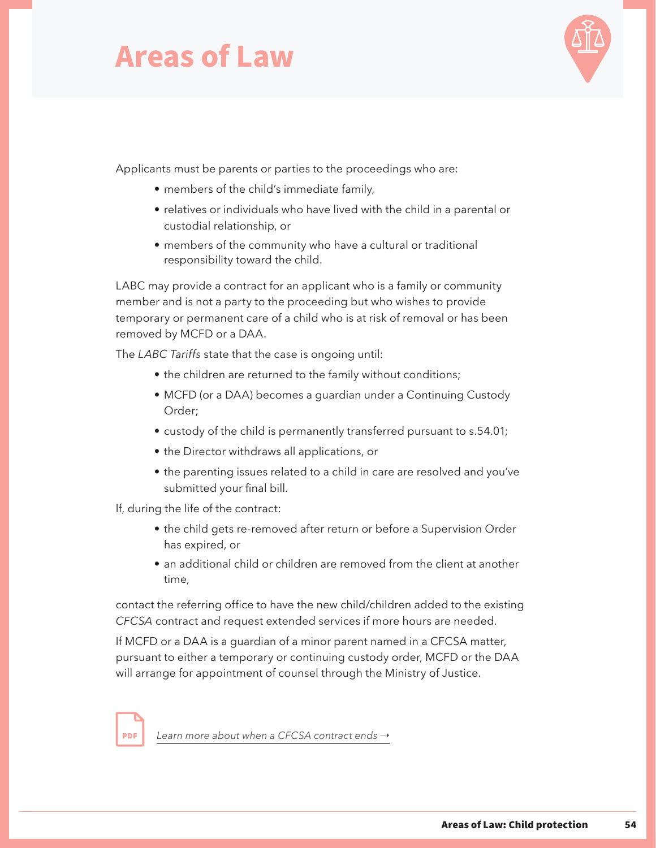

Applicants must be parents or parties to the proceedings who are:

- members of the child's immediate family,
- relatives or individuals who have lived with the child in a parental or custodial relationship, or
- members of the community who have a cultural or traditional responsibility toward the child.

LABC may provide a contract for an applicant who is a family or community member and is not a party to the proceeding but who wishes to provide temporary or permanent care of a child who is at risk of removal or has been removed by MCFD or a DAA.

The *LABC Tariffs* state that the case is ongoing until:

- the children are returned to the family without conditions;
- MCFD (or a DAA) becomes a guardian under a Continuing Custody Order;
- custody of the child is permanently transferred pursuant to s.54.01;
- the Director withdraws all applications, or
- the parenting issues related to a child in care are resolved and you've submitted your final bill.

If, during the life of the contract:

- the child gets re-removed after return or before a Supervision Order has expired, or
- an additional child or children are removed from the client at another time,

contact the referring office to have the new child/children added to the existing *CFCSA* contract and request extended services if more hours are needed.

If MCFD or a DAA is a guardian of a minor parent named in a CFCSA matter, pursuant to either a temporary or continuing custody order, MCFD or the DAA will arrange for appointment of counsel through the Ministry of Justice.

[Learn more about when a CFCSA contract ends](https://legalaid.bc.ca/sites/default/files/2019-03/cfcsaTariffAugust2018.pdf)  $\rightarrow$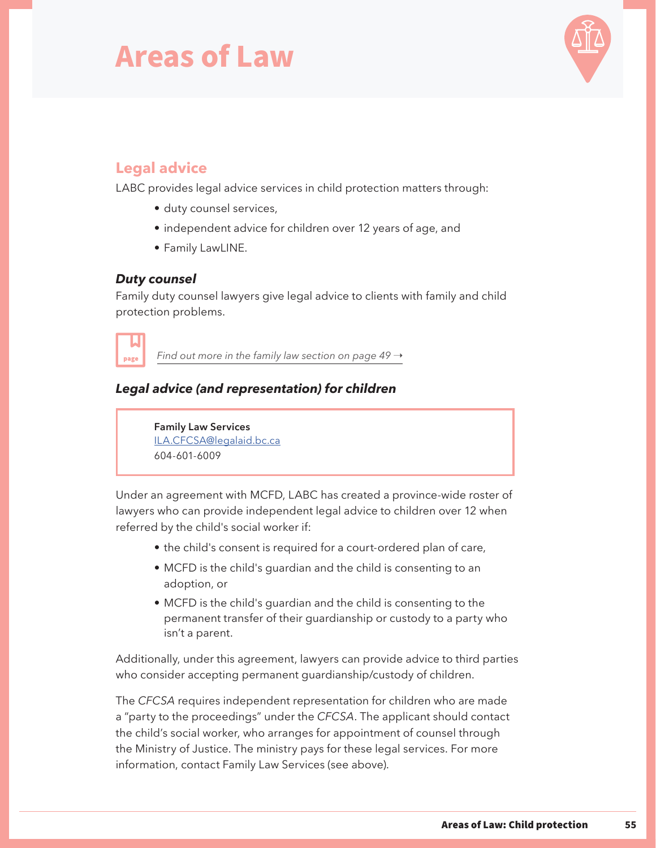

### **Legal advice**

LABC provides legal advice services in child protection matters through:

- duty counsel services,
- independent advice for children over 12 years of age, and
- Family LawLINE.

#### *Duty counsel*

Family duty counsel lawyers give legal advice to clients with family and child protection problems.



*[Find out more in the family law section on page 49](#page-51-0)*  $\rightarrow$ 

#### *Legal advice (and representation) for children*

**Family Law Services** [ILA.CFCSA@legalaid.bc.ca](mailto:ILA.CFCSA%40legalaid.bc.ca?subject=) 604-601-6009

Under an agreement with MCFD, LABC has created a province-wide roster of lawyers who can provide independent legal advice to children over 12 when referred by the child's social worker if:

- the child's consent is required for a court-ordered plan of care,
- MCFD is the child's guardian and the child is consenting to an adoption, or
- MCFD is the child's guardian and the child is consenting to the permanent transfer of their guardianship or custody to a party who isn't a parent.

Additionally, under this agreement, lawyers can provide advice to third parties who consider accepting permanent guardianship/custody of children.

The *CFCSA* requires independent representation for children who are made a "party to the proceedings" under the *CFCSA*. The applicant should contact the child's social worker, who arranges for appointment of counsel through the Ministry of Justice. The ministry pays for these legal services. For more information, contact Family Law Services (see above).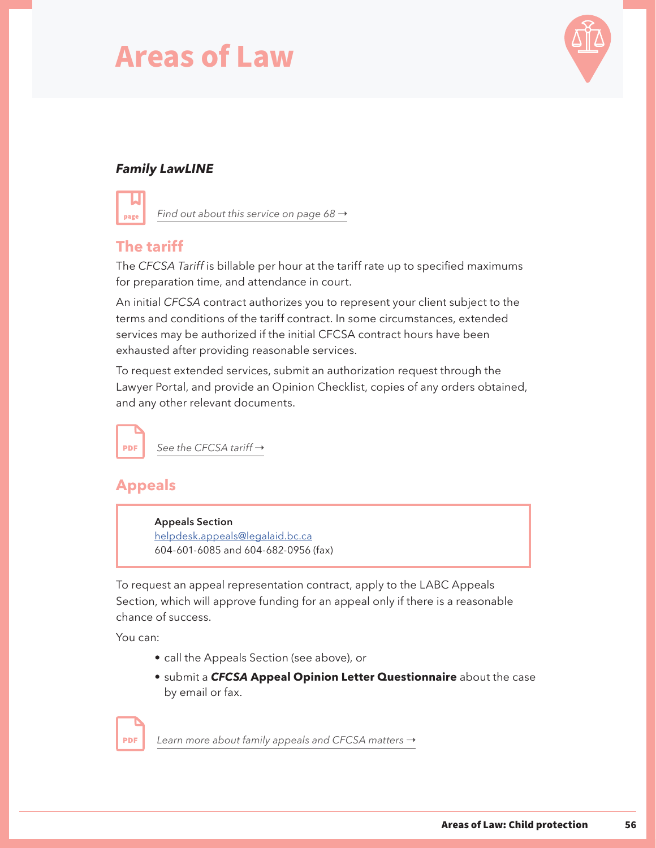

#### *Family LawLINE*



Find out about this service on page  $68 \rightarrow$ 

### **The tariff**

The *CFCSA Tariff* is billable per hour at the tariff rate up to specified maximums for preparation time, and attendance in court.

An initial *CFCSA* contract authorizes you to represent your client subject to the terms and conditions of the tariff contract. In some circumstances, extended services may be authorized if the initial CFCSA contract hours have been exhausted after providing reasonable services.

To request extended services, submit an authorization request through the Lawyer Portal, and provide an Opinion Checklist, copies of any orders obtained, and any other relevant documents.



### **Appeals**

**Appeals Section** [helpdesk.appeals@legalaid.bc.ca](mailto:helpdesk.appeals%40legalaid.bc.ca?subject=) 604-601-6085 and 604-682-0956 (fax)

To request an appeal representation contract, apply to the LABC Appeals Section, which will approve funding for an appeal only if there is a reasonable chance of success.

You can:

- call the Appeals Section (see above), or
- submit a *CFCSA* **Appeal Opinion Letter Questionnaire** about the case by email or fax.

**PDF** 

[Learn more about family appeals and CFCSA matters](https://legalaid.bc.ca/sites/default/files/2019-03/appealsTariffJanuary2017.pdf) →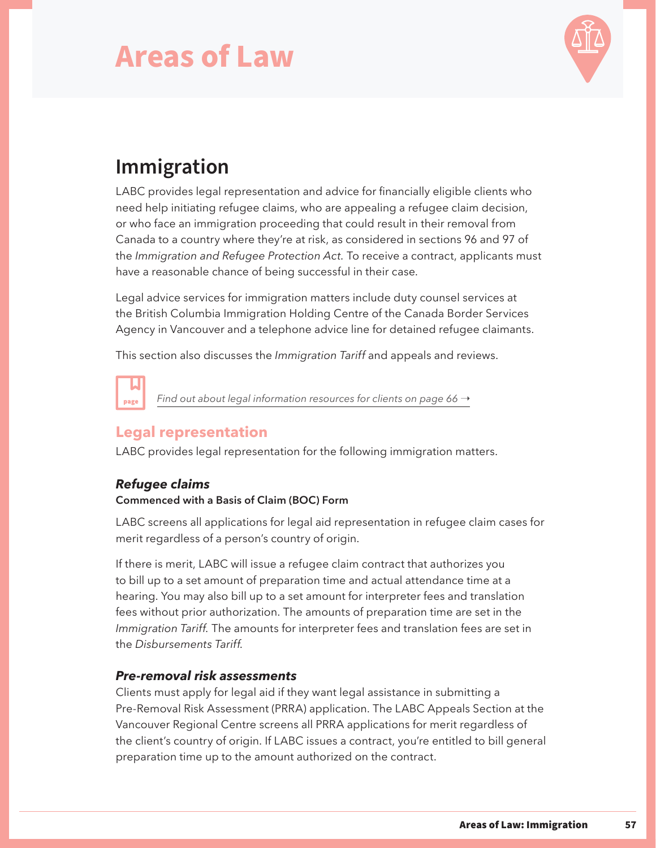

### **Immigration**

LABC provides legal representation and advice for financially eligible clients who need help initiating refugee claims, who are appealing a refugee claim decision, or who face an immigration proceeding that could result in their removal from Canada to a country where they're at risk, as considered in sections 96 and 97 of the *Immigration and Refugee Protection Act.* To receive a contract, applicants must have a reasonable chance of being successful in their case.

Legal advice services for immigration matters include duty counsel services at the British Columbia Immigration Holding Centre of the Canada Border Services Agency in Vancouver and a telephone advice line for detained refugee claimants.

This section also discusses the *Immigration Tariff* and appeals and reviews.

*[Find out about legal information resources for clients on page 66](#page-68-0) →* 

### **Legal representation**

LABC provides legal representation for the following immigration matters.

#### *Refugee claims*

page

#### **Commenced with a Basis of Claim (BOC) Form**

LABC screens all applications for legal aid representation in refugee claim cases for merit regardless of a person's country of origin.

If there is merit, LABC will issue a refugee claim contract that authorizes you to bill up to a set amount of preparation time and actual attendance time at a hearing. You may also bill up to a set amount for interpreter fees and translation fees without prior authorization. The amounts of preparation time are set in the *Immigration Tariff.* The amounts for interpreter fees and translation fees are set in the *Disbursements Tariff.*

#### *Pre-removal risk assessments*

Clients must apply for legal aid if they want legal assistance in submitting a Pre-Removal Risk Assessment (PRRA) application. The LABC Appeals Section at the Vancouver Regional Centre screens all PRRA applications for merit regardless of the client's country of origin. If LABC issues a contract, you're entitled to bill general preparation time up to the amount authorized on the contract.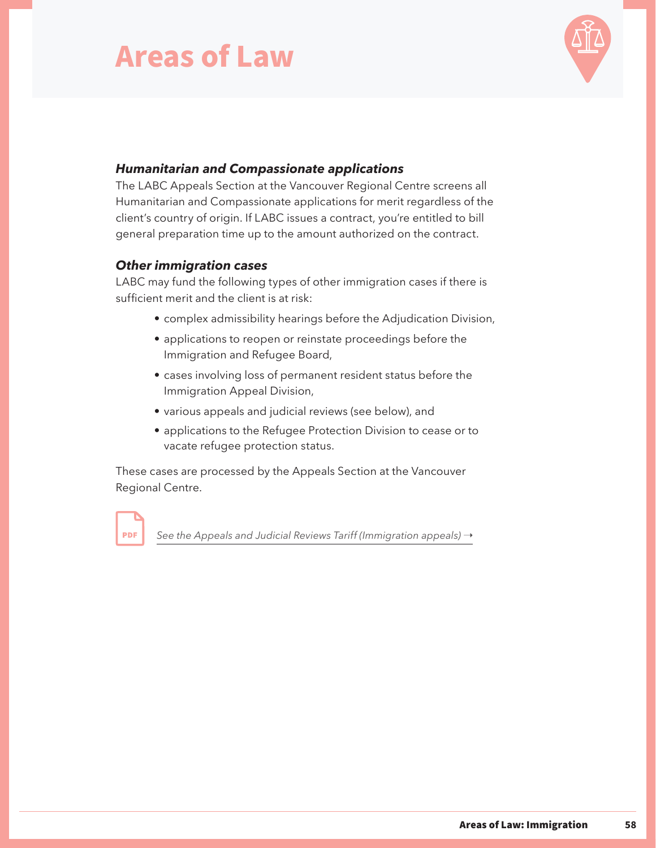

#### *Humanitarian and Compassionate applications*

The LABC Appeals Section at the Vancouver Regional Centre screens all Humanitarian and Compassionate applications for merit regardless of the client's country of origin. If LABC issues a contract, you're entitled to bill general preparation time up to the amount authorized on the contract.

#### *Other immigration cases*

**PDF** 

LABC may fund the following types of other immigration cases if there is sufficient merit and the client is at risk:

- complex admissibility hearings before the Adjudication Division,
- applications to reopen or reinstate proceedings before the Immigration and Refugee Board,
- cases involving loss of permanent resident status before the Immigration Appeal Division,
- various appeals and judicial reviews (see below), and
- applications to the Refugee Protection Division to cease or to vacate refugee protection status.

These cases are processed by the Appeals Section at the Vancouver Regional Centre.

[See the Appeals and Judicial Reviews Tariff \(Immigration appeals\)](https://legalaid.bc.ca/sites/default/files/2019-03/appealsTariffJanuary2017.pdf)  $\rightarrow$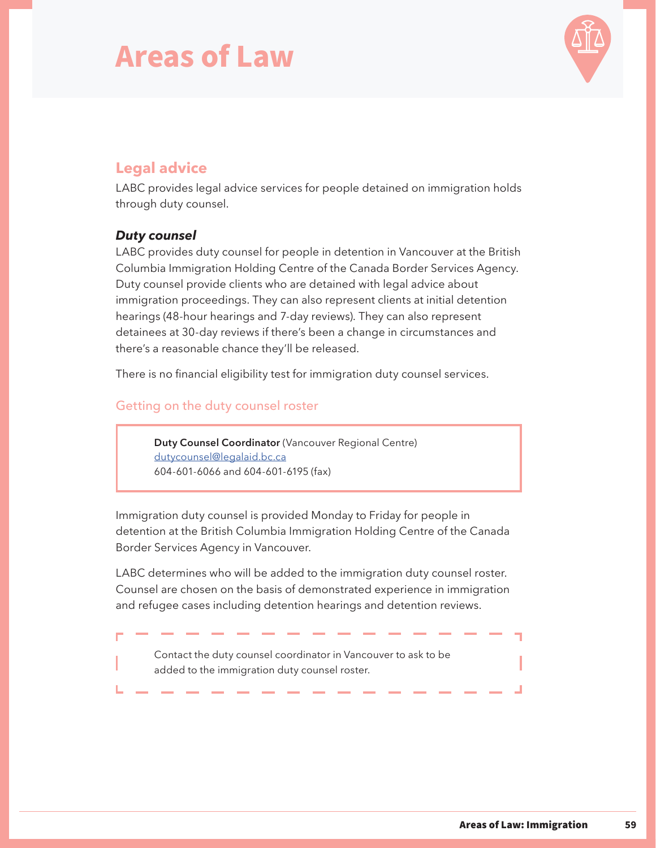

### **Legal advice**

LABC provides legal advice services for people detained on immigration holds through duty counsel.

#### *Duty counsel*

LABC provides duty counsel for people in detention in Vancouver at the British Columbia Immigration Holding Centre of the Canada Border Services Agency. Duty counsel provide clients who are detained with legal advice about immigration proceedings. They can also represent clients at initial detention hearings (48-hour hearings and 7-day reviews). They can also represent detainees at 30-day reviews if there's been a change in circumstances and there's a reasonable chance they'll be released.

There is no financial eligibility test for immigration duty counsel services.

#### Getting on the duty counsel roster

**Duty Counsel Coordinator** (Vancouver Regional Centre) [dutycounsel@legalaid.bc.ca](mailto:dutycounsel%40legalaid.bc.ca?subject=) 604-601-6066 and 604-601-6195 (fax)

Immigration duty counsel is provided Monday to Friday for people in detention at the British Columbia Immigration Holding Centre of the Canada Border Services Agency in Vancouver.

LABC determines who will be added to the immigration duty counsel roster. Counsel are chosen on the basis of demonstrated experience in immigration and refugee cases including detention hearings and detention reviews.

Contact the duty counsel coordinator in Vancouver to ask to be added to the immigration duty counsel roster.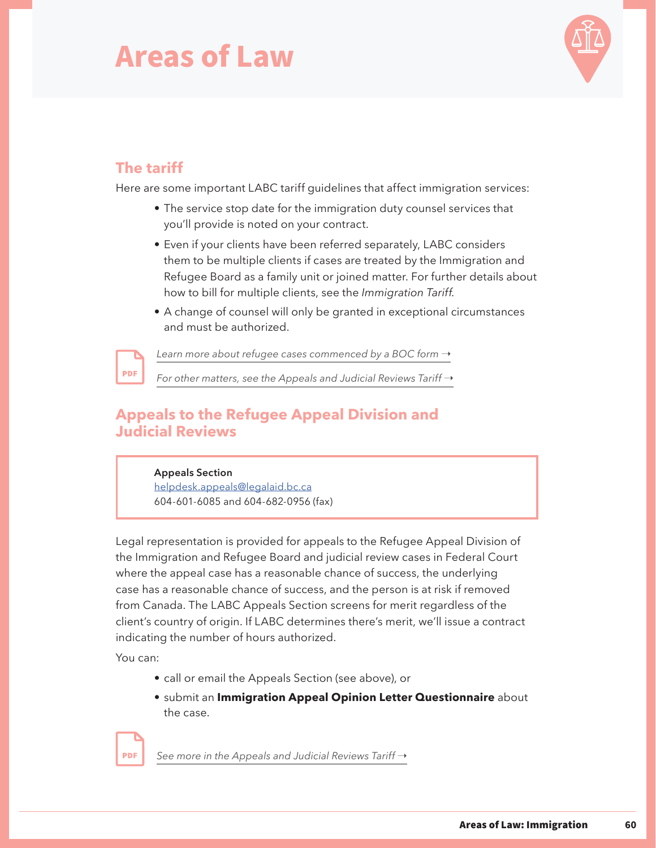

### **The tariff**

**PDF** 

Here are some important LABC tariff guidelines that affect immigration services:

- The service stop date for the immigration duty counsel services that you'll provide is noted on your contract.
- Even if your clients have been referred separately, LABC considers them to be multiple clients if cases are treated by the Immigration and Refugee Board as a family unit or joined matter. For further details about how to bill for multiple clients, see the *Immigration Tariff.*
- A change of counsel will only be granted in exceptional circumstances and must be authorized.

[Learn more about refugee cases commenced by a BOC form](https://legalaid.bc.ca/sites/default/files/2021-03/ImmigrationApril2021_Final.pdf)  $\rightarrow$ 

*[For other matters, see the Appeals and Judicial Reviews Tariff](https://legalaid.bc.ca/sites/default/files/2021-03/AppealsApril2021.pdf) →* 

### **Appeals to the Refugee Appeal Division and Judicial Reviews**

#### **Appeals Section**

[helpdesk.appeals@legalaid.bc.ca](mailto:helpdesk.appeals%40Legalaid.bc.ca?subject=) 604-601-6085 and 604-682-0956 (fax)

Legal representation is provided for appeals to the Refugee Appeal Division of the Immigration and Refugee Board and judicial review cases in Federal Court where the appeal case has a reasonable chance of success, the underlying case has a reasonable chance of success, and the person is at risk if removed from Canada. The LABC Appeals Section screens for merit regardless of the client's country of origin. If LABC determines there's merit, we'll issue a contract indicating the number of hours authorized.

You can:

**PDF** 

- call or email the Appeals Section (see above), or
- submit an **Immigration Appeal Opinion Letter Questionnaire** about the case.

[See more in the Appeals and Judicial Reviews Tariff](https://legalaid.bc.ca/sites/default/files/2021-03/AppealsApril2021.pdf) →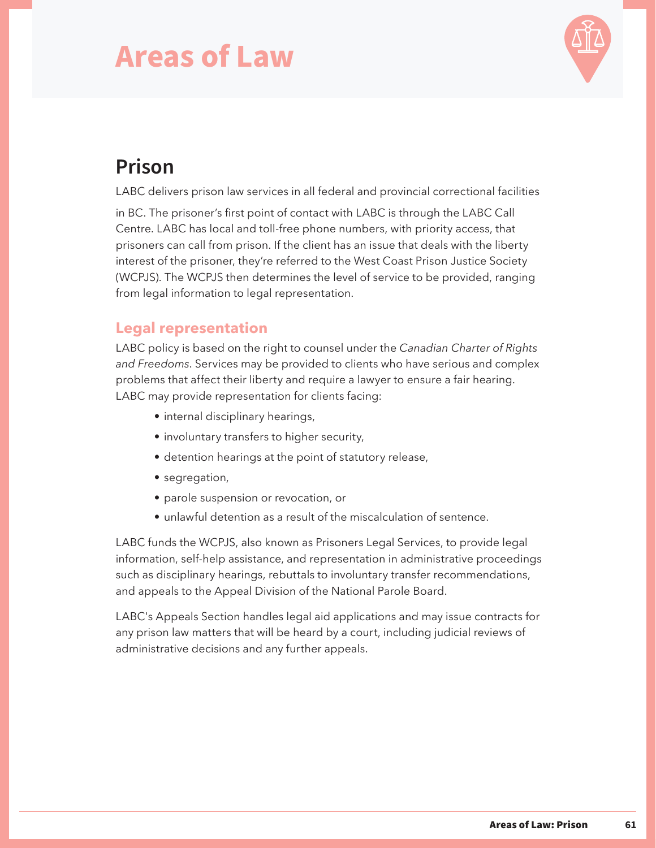

### **Prison**

LABC delivers prison law services in all federal and provincial correctional facilities

in BC. The prisoner's first point of contact with LABC is through the LABC Call Centre. LABC has local and toll-free phone numbers, with priority access, that prisoners can call from prison. If the client has an issue that deals with the liberty interest of the prisoner, they're referred to the West Coast Prison Justice Society (WCPJS). The WCPJS then determines the level of service to be provided, ranging from legal information to legal representation.

### **Legal representation**

LABC policy is based on the right to counsel under the *Canadian Charter of Rights and Freedoms*. Services may be provided to clients who have serious and complex problems that affect their liberty and require a lawyer to ensure a fair hearing. LABC may provide representation for clients facing:

- internal disciplinary hearings,
- involuntary transfers to higher security,
- detention hearings at the point of statutory release,
- segregation,
- parole suspension or revocation, or
- unlawful detention as a result of the miscalculation of sentence.

LABC funds the WCPJS, also known as Prisoners Legal Services, to provide legal information, self-help assistance, and representation in administrative proceedings such as disciplinary hearings, rebuttals to involuntary transfer recommendations, and appeals to the Appeal Division of the National Parole Board.

LABC's Appeals Section handles legal aid applications and may issue contracts for any prison law matters that will be heard by a court, including judicial reviews of administrative decisions and any further appeals.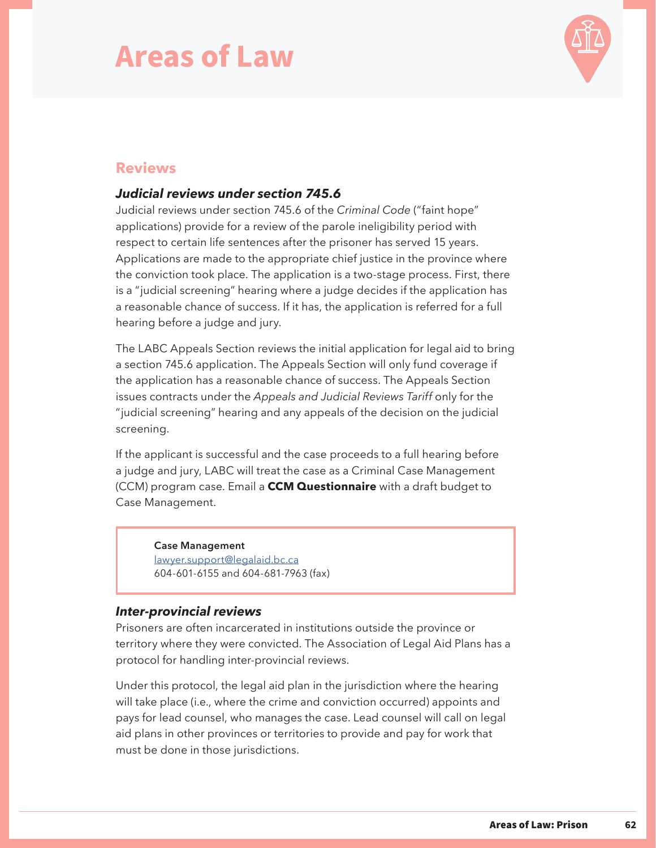

#### **Reviews**

#### *Judicial reviews under section 745.6*

Judicial reviews under section 745.6 of the *Criminal Code* ("faint hope" applications) provide for a review of the parole ineligibility period with respect to certain life sentences after the prisoner has served 15 years. Applications are made to the appropriate chief justice in the province where the conviction took place. The application is a two-stage process. First, there is a "judicial screening" hearing where a judge decides if the application has a reasonable chance of success. If it has, the application is referred for a full hearing before a judge and jury.

The LABC Appeals Section reviews the initial application for legal aid to bring a section 745.6 application. The Appeals Section will only fund coverage if the application has a reasonable chance of success. The Appeals Section issues contracts under the *Appeals and Judicial Reviews Tariff* only for the "judicial screening" hearing and any appeals of the decision on the judicial screening.

If the applicant is successful and the case proceeds to a full hearing before a judge and jury, LABC will treat the case as a Criminal Case Management (CCM) program case. Email a **CCM Questionnaire** with a draft budget to Case Management.

**Case Management** [lawyer.support@legalaid.bc.ca](mailto:lawyer.support%40legalaid.bc.ca?subject=) 604-601-6155 and 604-681-7963 (fax)

#### *Inter-provincial reviews*

Prisoners are often incarcerated in institutions outside the province or territory where they were convicted. The Association of Legal Aid Plans has a protocol for handling inter-provincial reviews.

Under this protocol, the legal aid plan in the jurisdiction where the hearing will take place (i.e., where the crime and conviction occurred) appoints and pays for lead counsel, who manages the case. Lead counsel will call on legal aid plans in other provinces or territories to provide and pay for work that must be done in those jurisdictions.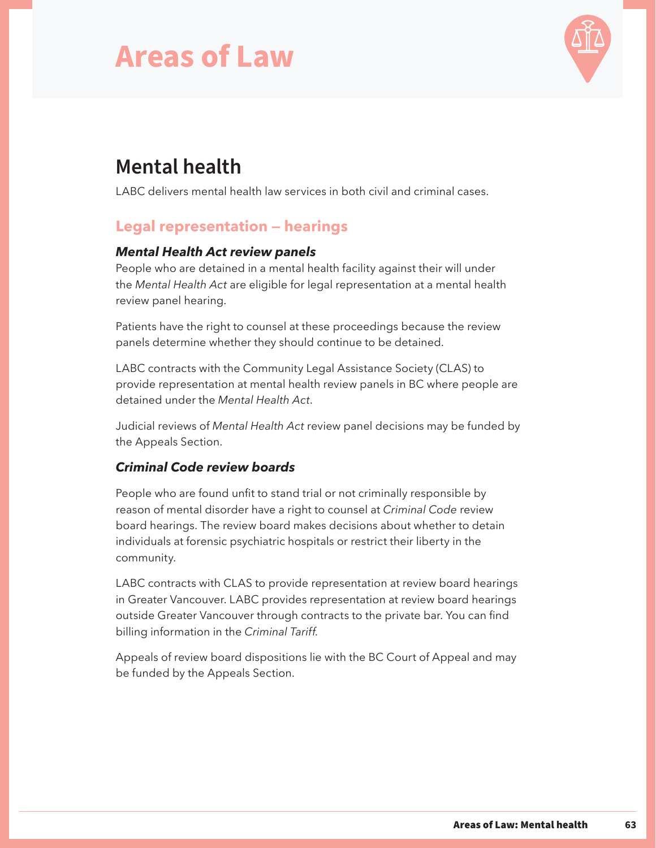

## **Mental health**

LABC delivers mental health law services in both civil and criminal cases.

### **Legal representation — hearings**

#### *Mental Health Act review panels*

People who are detained in a mental health facility against their will under the *Mental Health Act* are eligible for legal representation at a mental health review panel hearing.

Patients have the right to counsel at these proceedings because the review panels determine whether they should continue to be detained.

LABC contracts with the Community Legal Assistance Society (CLAS) to provide representation at mental health review panels in BC where people are detained under the *Mental Health Act*.

Judicial reviews of *Mental Health Act* review panel decisions may be funded by the Appeals Section.

#### *Criminal Code review boards*

People who are found unfit to stand trial or not criminally responsible by reason of mental disorder have a right to counsel at *Criminal Code* review board hearings. The review board makes decisions about whether to detain individuals at forensic psychiatric hospitals or restrict their liberty in the community.

LABC contracts with CLAS to provide representation at review board hearings in Greater Vancouver. LABC provides representation at review board hearings outside Greater Vancouver through contracts to the private bar. You can find billing information in the *Criminal Tariff.*

Appeals of review board dispositions lie with the BC Court of Appeal and may be funded by the Appeals Section.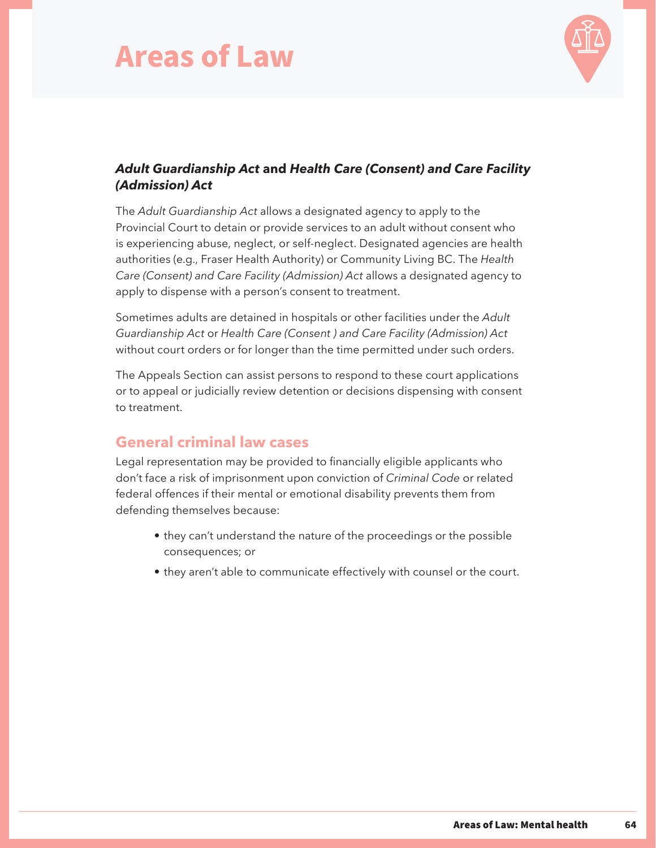

#### *Adult Guardianship Act* **and** *Health Care (Consent) and Care Facility (Admission) Act*

The *Adult Guardianship Act* allows a designated agency to apply to the Provincial Court to detain or provide services to an adult without consent who is experiencing abuse, neglect, or self-neglect. Designated agencies are health authorities (e.g., Fraser Health Authority) or Community Living BC. The *Health Care (Consent) and Care Facility (Admission) Act* allows a designated agency to apply to dispense with a person's consent to treatment.

Sometimes adults are detained in hospitals or other facilities under the *Adult Guardianship Act* or *Health Care (Consent ) and Care Facility (Admission) Act* without court orders or for longer than the time permitted under such orders.

The Appeals Section can assist persons to respond to these court applications or to appeal or judicially review detention or decisions dispensing with consent to treatment.

#### **General criminal law cases**

Legal representation may be provided to financially eligible applicants who don't face a risk of imprisonment upon conviction of *Criminal Code* or related federal offences if their mental or emotional disability prevents them from defending themselves because:

- they can't understand the nature of the proceedings or the possible consequences; or
- they aren't able to communicate effectively with counsel or the court.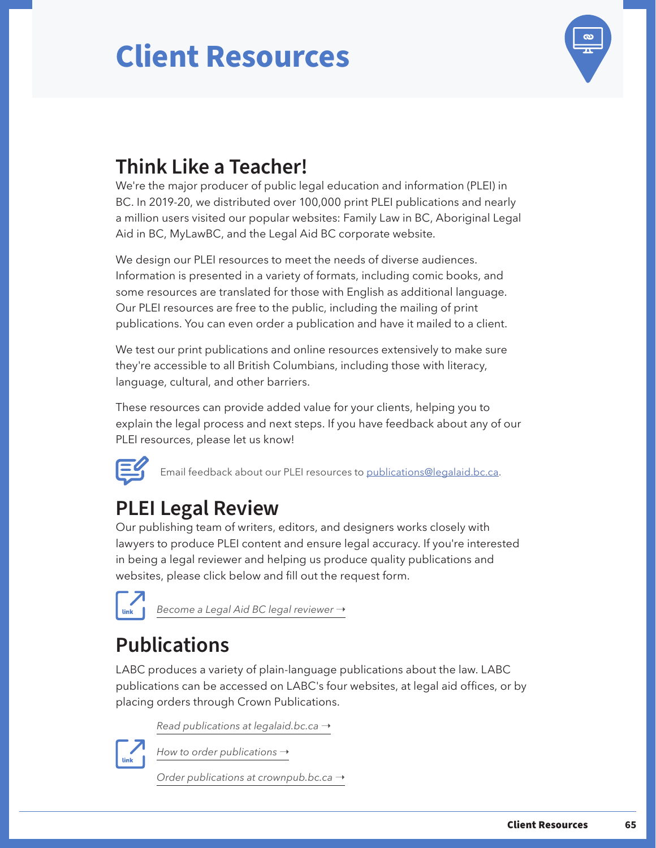

## **Think Like a Teacher!**

We're the major producer of public legal education and information (PLEI) in BC. In 2019-20, we distributed over 100,000 print PLEI publications and nearly a million users visited our popular websites: Family Law in BC, Aboriginal Legal Aid in BC, MyLawBC, and the Legal Aid BC corporate website.

We design our PLEI resources to meet the needs of diverse audiences. Information is presented in a variety of formats, including comic books, and some resources are translated for those with English as additional language. Our PLEI resources are free to the public, including the mailing of print publications. You can even order a publication and have it mailed to a client.

We test our print publications and online resources extensively to make sure they're accessible to all British Columbians, including those with literacy, language, cultural, and other barriers.

These resources can provide added value for your clients, helping you to explain the legal process and next steps. If you have feedback about any of our PLEI resources, please let us know!



Email feedback about our PLEI resources to publication[s@legalaid.bc.ca.](mailto:publications%40legalaid.bc.ca?subject=)

### **PLEI Legal Review**

Our publishing team of writers, editors, and designers works closely with lawyers to produce PLEI content and ensure legal accuracy. If you're interested in being a legal reviewer and helping us produce quality publications and websites, please click below and fill out the request form.



*Become a Legal Aid BC legal reviewer* →

## **Publications**

LABC produces a variety of plain-language publications about the law. LABC publications can be accessed on LABC's four websites, at legal aid offices, or by placing orders through Crown Publications.

*Read publications at legalaid.bc.ca* →



*How to order publications* →

*Order publications at crownpub.bc.ca* →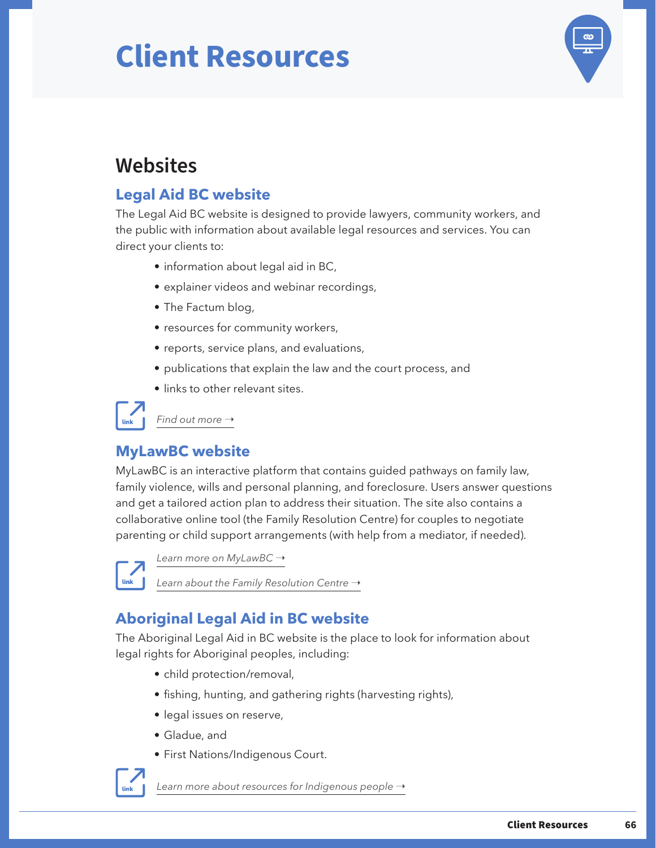

### <span id="page-68-0"></span>**Websites**

### **Legal Aid BC website**

The Legal Aid BC website is designed to provide lawyers, community workers, and the public with information about available legal resources and services. You can direct your clients to:

- information about legal aid in BC,
- explainer videos and webinar recordings,
- The Factum blog,
- resources for community workers,
- reports, service plans, and evaluations,
- publications that explain the law and the court process, and
- links to other relevant sites.

*Find out more*  $\rightarrow$ 

### **MyLawBC website**

MyLawBC is an interactive platform that contains guided pathways on family law, family violence, wills and personal planning, and foreclosure. Users answer questions and get a tailored action plan to address their situation. The site also contains a collaborative online tool (the Family Resolution Centre) for couples to negotiate parenting or child support arrangements (with help from a mediator, if needed).

link

[Learn more on MyLawBC](https://mylawbc.com/) →

*[Learn about the Family Resolution Centre](https://mylawbc.com/mediation/) →* 

### **Aboriginal Legal Aid in BC website**

The Aboriginal Legal Aid in BC website is the place to look for information about legal rights for Aboriginal peoples, including:

- child protection/removal,
- fishing, hunting, and gathering rights (harvesting rights),
- legal issues on reserve,
- Gladue, and
- First Nations/Indigenous Court.



[Learn more about resources for Indigenous people](https://aboriginal.legalaid.bc.ca/) →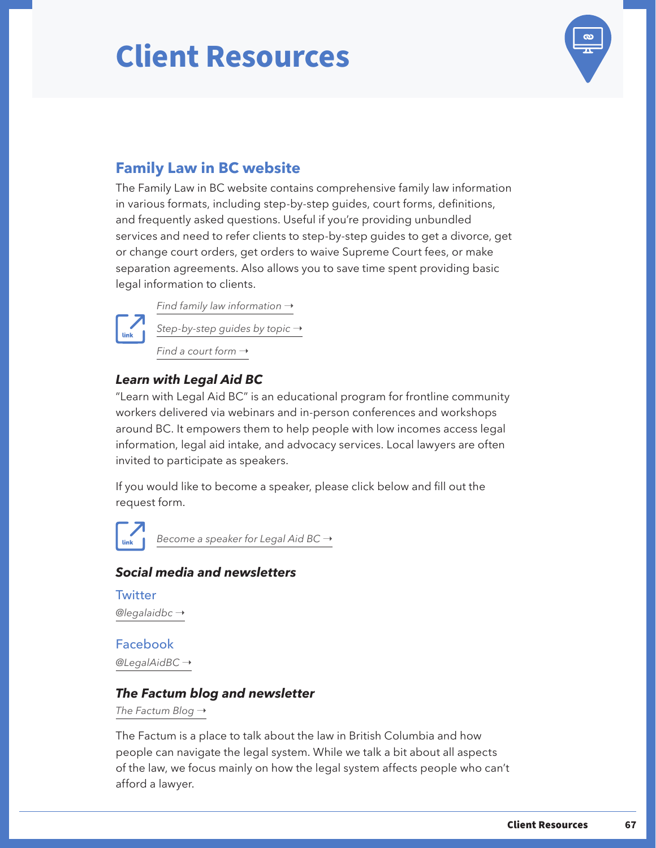

### <span id="page-69-0"></span>**Family Law in BC website**

The Family Law in BC website contains comprehensive family law information in various formats, including step-by-step guides, court forms, definitions, and frequently asked questions. Useful if you're providing unbundled services and need to refer clients to step-by-step guides to get a divorce, get or change court orders, get orders to waive Supreme Court fees, or make separation agreements. Also allows you to save time spent providing basic legal information to clients.



*Find family law information* → *[Step-by-step guides by topic](https://family.legalaid.bc.ca/guides) →* 

*Find a court form*  $\rightarrow$ 

#### *Learn with Legal Aid BC*

"Learn with Legal Aid BC" is an educational program for frontline community workers delivered via webinars and in-person conferences and workshops around BC. It empowers them to help people with low incomes access legal information, legal aid intake, and advocacy services. Local lawyers are often invited to participate as speakers.

If you would like to become a speaker, please click below and fill out the request form.

*[Become a speaker for Legal Aid BC](https://questionnaire.simplesurvey.com/f/s.aspx?s=505891ac-8fda-4ee9-bc20-5e9f52552804) →* 

#### *Social media and newsletters*

**Twitter** *[@legalaidbc](https://twitter.com/legalaidbc)* ➝

Facebook *[@LegalAidBC](https://www.facebook.com/LegalAidBC/)* ➝

#### *The Factum blog and newsletter*

*The Factum Blog* →

The Factum is a place to talk about the law in British Columbia and how people can navigate the legal system. While we talk a bit about all aspects of the law, we focus mainly on how the legal system affects people who can't afford a lawyer.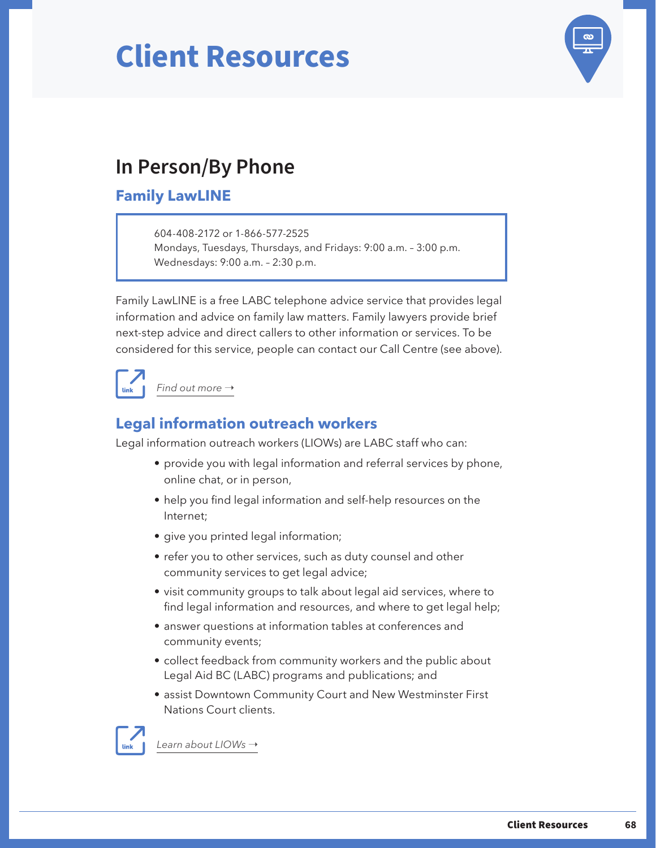

### <span id="page-70-0"></span>**In Person/By Phone**

### **Family LawLINE**

604-408-2172 or 1-866-577-2525 Mondays, Tuesdays, Thursdays, and Fridays: 9:00 a.m. – 3:00 p.m. Wednesdays: 9:00 a.m. – 2:30 p.m.

Family LawLINE is a free LABC telephone advice service that provides legal information and advice on family law matters. Family lawyers provide brief next-step advice and direct callers to other information or services. To be considered for this service, people can contact our Call Centre (see above).



### **Legal information outreach workers**

Legal information outreach workers (LIOWs) are LABC staff who can:

- provide you with legal information and referral services by phone, online chat, or in person,
- help you find legal information and self-help resources on the Internet;
- give you printed legal information;
- refer you to other services, such as duty counsel and other community services to get legal advice;
- visit community groups to talk about legal aid services, where to find legal information and resources, and where to get legal help;
- answer questions at information tables at conferences and community events;
- collect feedback from community workers and the public about Legal Aid BC (LABC) programs and publications; and
- assist Downtown Community Court and New Westminster First Nations Court clients.



[Learn about LIOWs](https://legalaid.bc.ca/legal_aid/legalInformationOutreachWorkers) →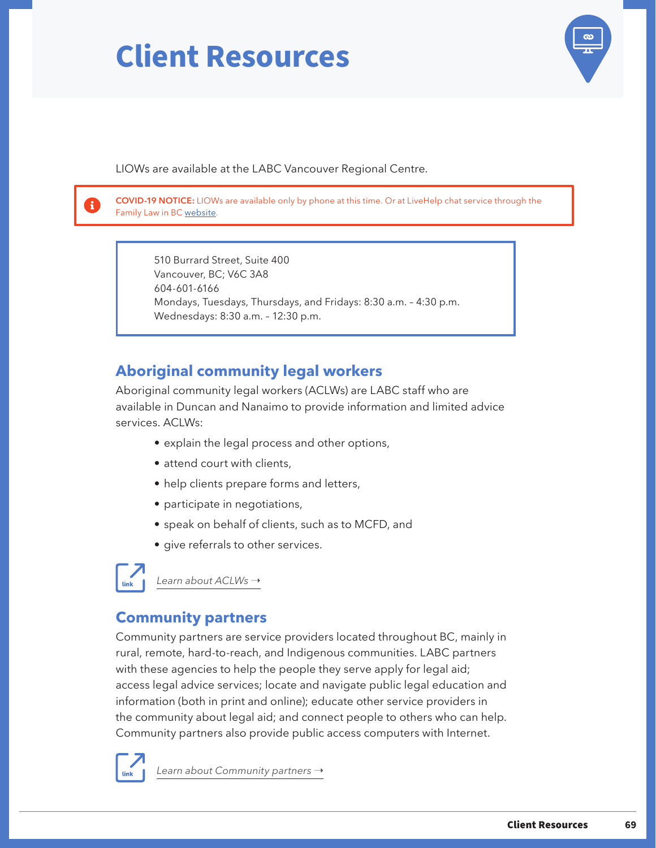

LIOWs are available at the LABC Vancouver Regional Centre.

**COVID-19 NOTICE:** LIOWs are available only by phone at this time. Or at LiveHelp chat service through the Family Law in BC [website.](https://family.legalaid.bc.ca/)

510 Burrard Street, Suite 400 Vancouver, BC; V6C 3A8 604-601-6166 Mondays, Tuesdays, Thursdays, and Fridays: 8:30 a.m. – 4:30 p.m. Wednesdays: 8:30 a.m. – 12:30 p.m.

### **Aboriginal community legal workers**

Aboriginal community legal workers (ACLWs) are LABC staff who are available in Duncan and Nanaimo to provide information and limited advice services. ACLWs:

- explain the legal process and other options,
- attend court with clients,
- help clients prepare forms and letters,
- participate in negotiations,
- speak on behalf of clients, such as to MCFD, and
- give referrals to other services.



[Learn about ACLWs](https://legalaid.bc.ca/legal_aid/aboriginalCommunityLegalWorker) →

### **Community partners**

Community partners are service providers located throughout BC, mainly in rural, remote, hard-to-reach, and Indigenous communities. LABC partners with these agencies to help the people they serve apply for legal aid; access legal advice services; locate and navigate public legal education and information (both in print and online); educate other service providers in the community about legal aid; and connect people to others who can help. Community partners also provide public access computers with Internet.



*Learn about Community partners* →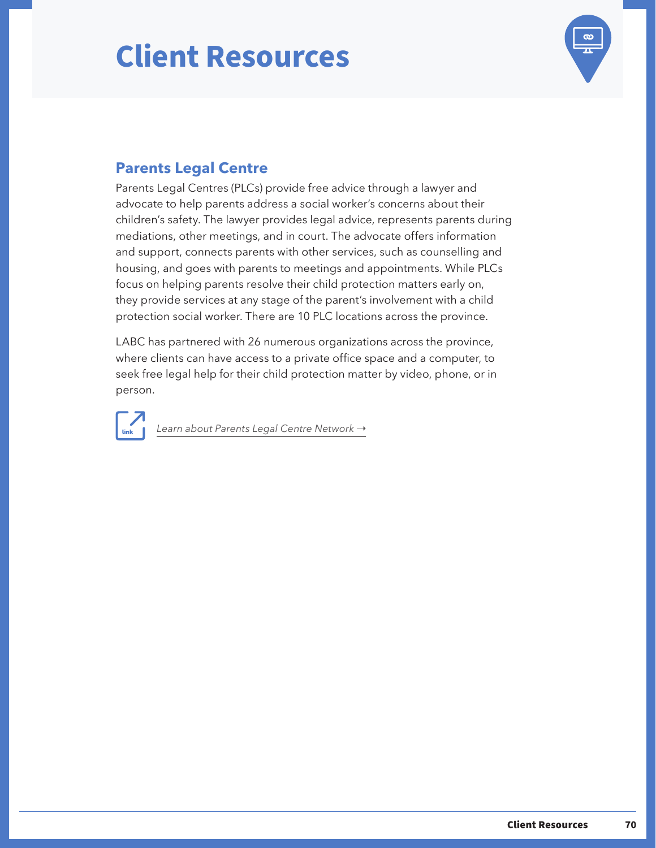## **Client Resources**



### **Parents Legal Centre**

Parents Legal Centres (PLCs) provide free advice through a lawyer and advocate to help parents address a social worker's concerns about their children's safety. The lawyer provides legal advice, represents parents during mediations, other meetings, and in court. The advocate offers information and support, connects parents with other services, such as counselling and housing, and goes with parents to meetings and appointments. While PLCs focus on helping parents resolve their child protection matters early on, they provide services at any stage of the parent's involvement with a child protection social worker. There are 10 PLC locations across the province.

LABC has partnered with 26 numerous organizations across the province, where clients can have access to a private office space and a computer, to seek free legal help for their child protection matter by video, phone, or in person.

[Learn about Parents Legal Centre Network](https://legalaid.bc.ca/legal_aid/plc-network-locations) →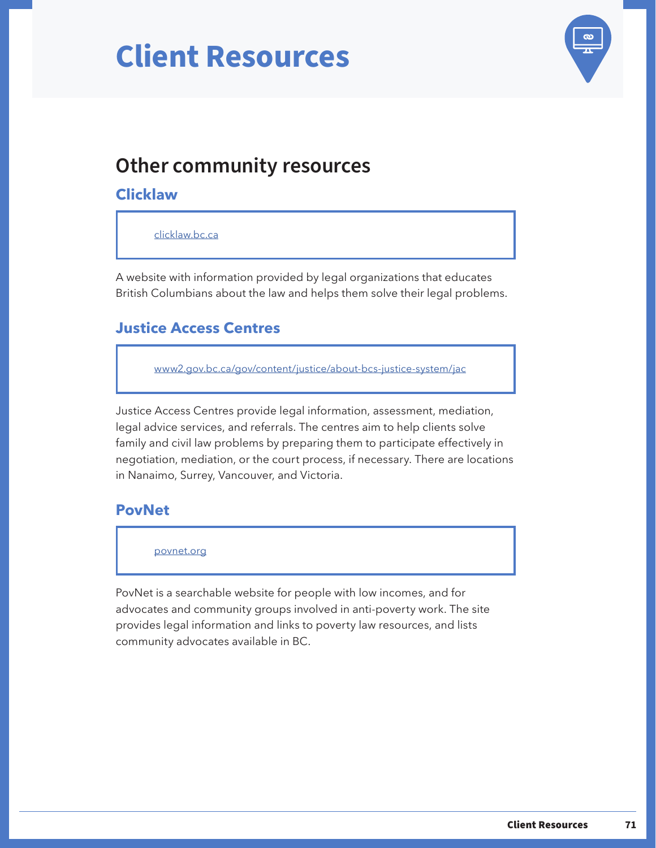# **Client Resources**



## **Other community resources**

#### **Clicklaw**

[clicklaw.bc.ca](https://www.clicklaw.bc.ca/)

A website with information provided by legal organizations that educates British Columbians about the law and helps them solve their legal problems.

## **Justice Access Centres**

[www2.gov.bc.ca/gov/content/justice/about-bcs-justice-system/jac](https://www2.gov.bc.ca/gov/content/justice/about-bcs-justice-system/jac)

Justice Access Centres provide legal information, assessment, mediation, legal advice services, and referrals. The centres aim to help clients solve family and civil law problems by preparing them to participate effectively in negotiation, mediation, or the court process, if necessary. There are locations in Nanaimo, Surrey, Vancouver, and Victoria.

### **PovNet**

[povnet.org](https://www.povnet.org/)

PovNet is a searchable website for people with low incomes, and for advocates and community groups involved in anti-poverty work. The site provides legal information and links to poverty law resources, and lists community advocates available in BC.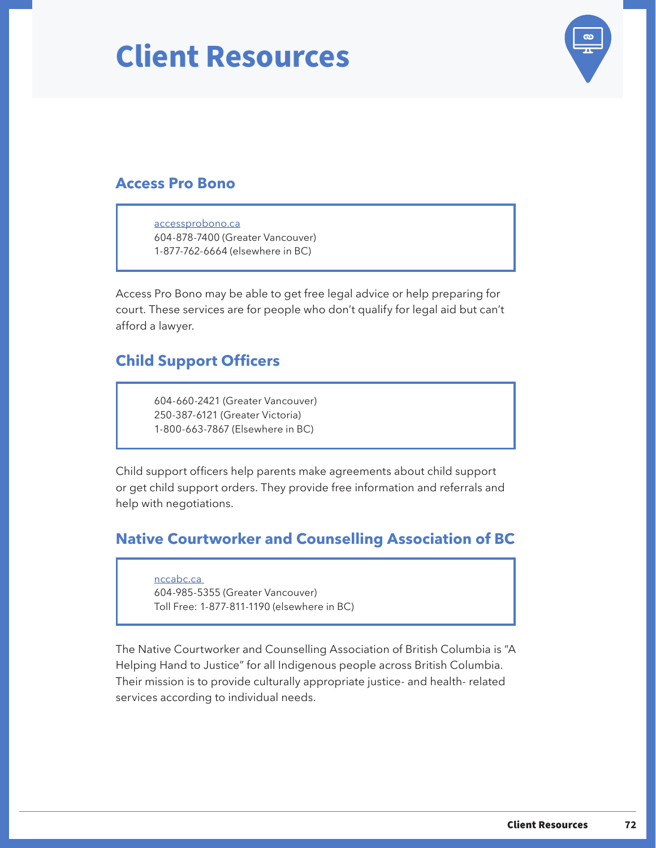## **Client Resources**



### **Access Pro Bono**

[accessprobono.ca](https://www.accessprobono.ca/) 604-878-7400 (Greater Vancouver) 1-877-762-6664 (elsewhere in BC)

Access Pro Bono may be able to get free legal advice or help preparing for court. These services are for people who don't qualify for legal aid but can't afford a lawyer.

## **Child Support Officers**

604-660-2421 (Greater Vancouver) 250-387-6121 (Greater Victoria) 1-800-663-7867 (Elsewhere in BC)

Child support officers help parents make agreements about child support or get child support orders. They provide free information and referrals and help with negotiations.

### **Native Courtworker and Counselling Association of BC**

[nccabc.ca](https://nccabc.ca/) 604-985-5355 (Greater Vancouver) Toll Free: 1-877-811-1190 (elsewhere in BC)

The Native Courtworker and Counselling Association of British Columbia is "A Helping Hand to Justice" for all Indigenous people across British Columbia. Their mission is to provide culturally appropriate justice- and health- related services according to individual needs.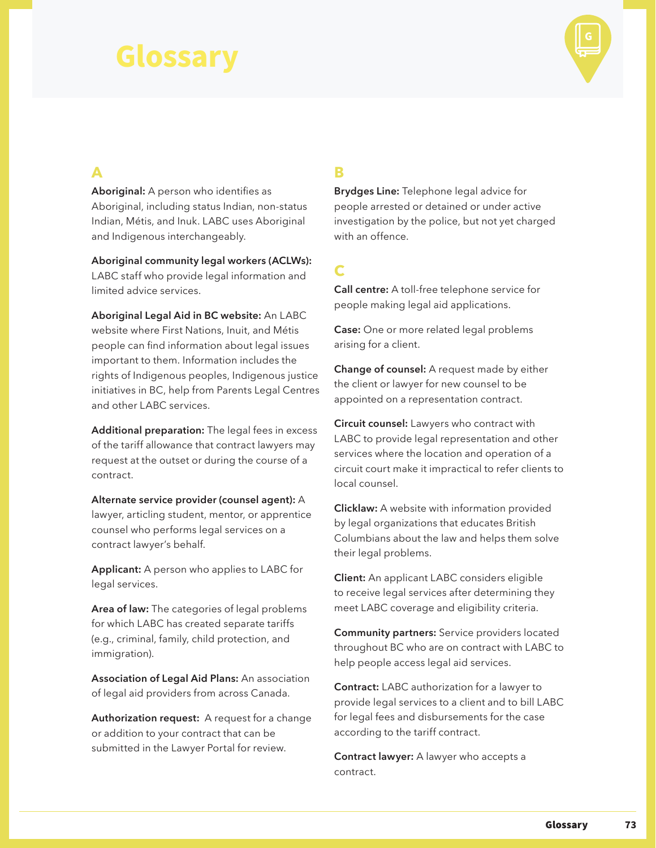

#### **A**

**Aboriginal:** A person who identifies as Aboriginal, including status Indian, non-status Indian, Métis, and Inuk. LABC uses Aboriginal and Indigenous interchangeably.

**Aboriginal community legal workers (ACLWs):**  LABC staff who provide legal information and limited advice services.

**Aboriginal Legal Aid in BC website:** An LABC website where First Nations, Inuit, and Métis people can find information about legal issues important to them. Information includes the rights of Indigenous peoples, Indigenous justice initiatives in BC, help from Parents Legal Centres and other LABC services.

**Additional preparation:** The legal fees in excess of the tariff allowance that contract lawyers may request at the outset or during the course of a contract.

**Alternate service provider (counsel agent):** A lawyer, articling student, mentor, or apprentice counsel who performs legal services on a contract lawyer's behalf.

**Applicant:** A person who applies to LABC for legal services.

**Area of law:** The categories of legal problems for which LABC has created separate tariffs (e.g., criminal, family, child protection, and immigration).

**Association of Legal Aid Plans:** An association of legal aid providers from across Canada.

**Authorization request:** A request for a change or addition to your contract that can be submitted in the Lawyer Portal for review.

## **B**

**Brydges Line:** Telephone legal advice for people arrested or detained or under active investigation by the police, but not yet charged with an offence.

## **C**

**Call centre:** A toll-free telephone service for people making legal aid applications.

**Case:** One or more related legal problems arising for a client.

**Change of counsel:** A request made by either the client or lawyer for new counsel to be appointed on a representation contract.

**Circuit counsel:** Lawyers who contract with LABC to provide legal representation and other services where the location and operation of a circuit court make it impractical to refer clients to local counsel.

**Clicklaw:** A website with information provided by legal organizations that educates British Columbians about the law and helps them solve their legal problems.

**Client:** An applicant LABC considers eligible to receive legal services after determining they meet LABC coverage and eligibility criteria.

**Community partners:** Service providers located throughout BC who are on contract with LABC to help people access legal aid services.

**Contract:** LABC authorization for a lawyer to provide legal services to a client and to bill LABC for legal fees and disbursements for the case according to the tariff contract.

**Contract lawyer:** A lawyer who accepts a contract.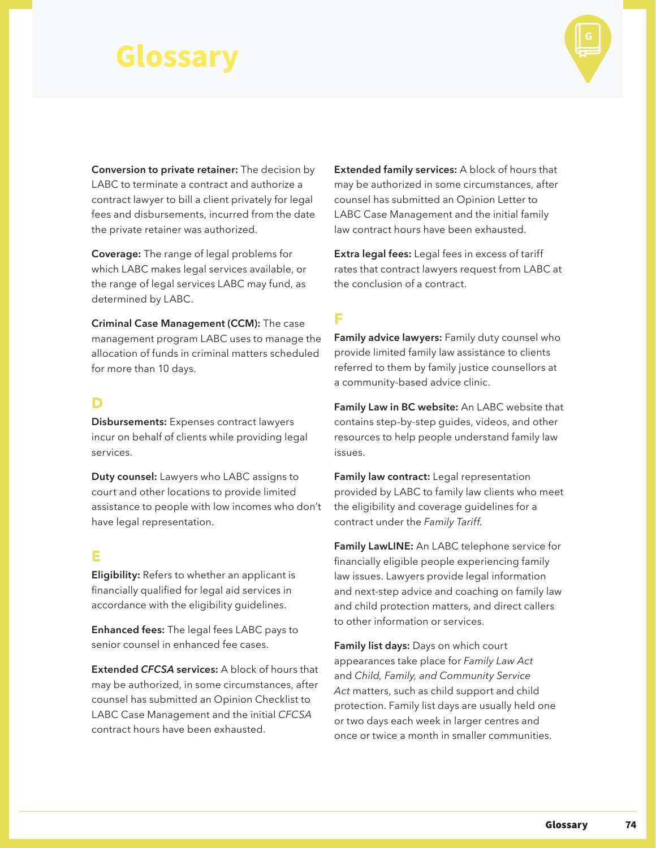

**Conversion to private retainer:** The decision by LABC to terminate a contract and authorize a contract lawyer to bill a client privately for legal fees and disbursements, incurred from the date the private retainer was authorized.

**Coverage:** The range of legal problems for which LABC makes legal services available, or the range of legal services LABC may fund, as determined by LABC.

**Criminal Case Management (CCM):** The case management program LABC uses to manage the allocation of funds in criminal matters scheduled for more than 10 days.

#### **D**

**Disbursements:** Expenses contract lawyers incur on behalf of clients while providing legal services.

**Duty counsel:** Lawyers who LABC assigns to court and other locations to provide limited assistance to people with low incomes who don't have legal representation.

#### **E**

**Eligibility:** Refers to whether an applicant is financially qualified for legal aid services in accordance with the eligibility guidelines.

**Enhanced fees:** The legal fees LABC pays to senior counsel in enhanced fee cases.

**Extended** *CFCSA* **services:** A block of hours that may be authorized, in some circumstances, after counsel has submitted an Opinion Checklist to LABC Case Management and the initial *CFCSA* contract hours have been exhausted.

**Extended family services:** A block of hours that may be authorized in some circumstances, after counsel has submitted an Opinion Letter to LABC Case Management and the initial family law contract hours have been exhausted.

**Extra legal fees:** Legal fees in excess of tariff rates that contract lawyers request from LABC at the conclusion of a contract.

### **F**

**Family advice lawyers:** Family duty counsel who provide limited family law assistance to clients referred to them by family justice counsellors at a community-based advice clinic.

**Family Law in BC website:** An LABC website that contains step-by-step guides, videos, and other resources to help people understand family law issues.

**Family law contract:** Legal representation provided by LABC to family law clients who meet the eligibility and coverage guidelines for a contract under the *Family Tariff*.

**Family LawLINE:** An LABC telephone service for financially eligible people experiencing family law issues. Lawyers provide legal information and next-step advice and coaching on family law and child protection matters, and direct callers to other information or services.

**Family list days:** Days on which court appearances take place for *Family Law Act*  and *Child, Family, and Community Service Act* matters, such as child support and child protection. Family list days are usually held one or two days each week in larger centres and once or twice a month in smaller communities.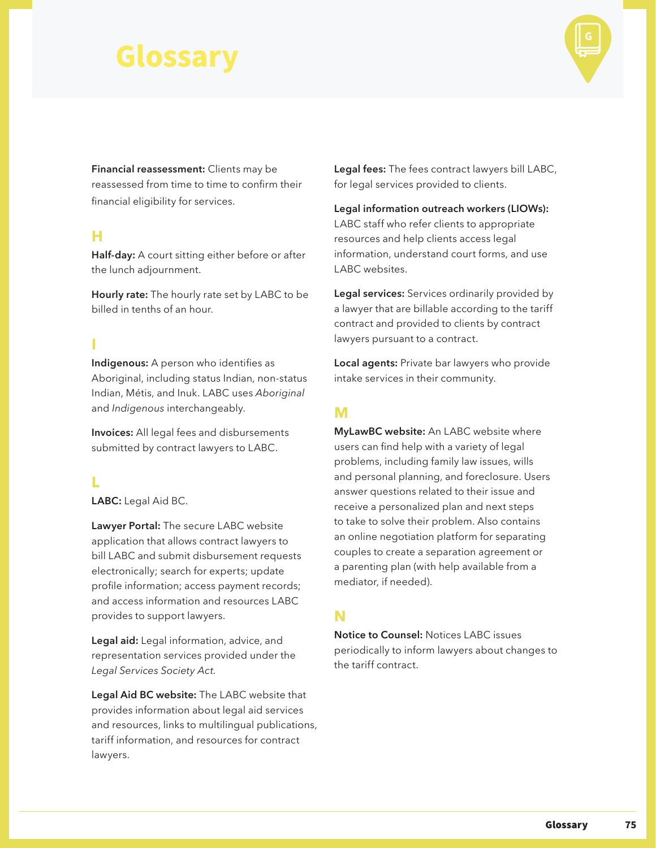

**Financial reassessment:** Clients may be reassessed from time to time to confirm their financial eligibility for services.

#### **H**

**Half-day:** A court sitting either before or after the lunch adjournment.

**Hourly rate:** The hourly rate set by LABC to be billed in tenths of an hour.

### **I**

**Indigenous:** A person who identifies as Aboriginal, including status Indian, non-status Indian, Métis, and Inuk. LABC uses *Aboriginal* and *Indigenous* interchangeably.

**Invoices:** All legal fees and disbursements submitted by contract lawyers to LABC.

#### **L**

**LABC:** Legal Aid BC.

**Lawyer Portal:** The secure LABC website application that allows contract lawyers to bill LABC and submit disbursement requests electronically; search for experts; update profile information; access payment records; and access information and resources LABC provides to support lawyers.

**Legal aid:** Legal information, advice, and representation services provided under the *Legal Services Society Act.*

**Legal Aid BC website:** The LABC website that provides information about legal aid services and resources, links to multilingual publications, tariff information, and resources for contract lawyers.

**Legal fees:** The fees contract lawyers bill LABC, for legal services provided to clients.

**Legal information outreach workers (LIOWs):**  LABC staff who refer clients to appropriate resources and help clients access legal information, understand court forms, and use LABC websites.

**Legal services:** Services ordinarily provided by a lawyer that are billable according to the tariff contract and provided to clients by contract lawyers pursuant to a contract.

**Local agents:** Private bar lawyers who provide intake services in their community.

#### **M**

**MyLawBC website:** An LABC website where users can find help with a variety of legal problems, including family law issues, wills and personal planning, and foreclosure. Users answer questions related to their issue and receive a personalized plan and next steps to take to solve their problem. Also contains an online negotiation platform for separating couples to create a separation agreement or a parenting plan (with help available from a mediator, if needed).

#### **N**

**Notice to Counsel:** Notices LABC issues periodically to inform lawyers about changes to the tariff contract.